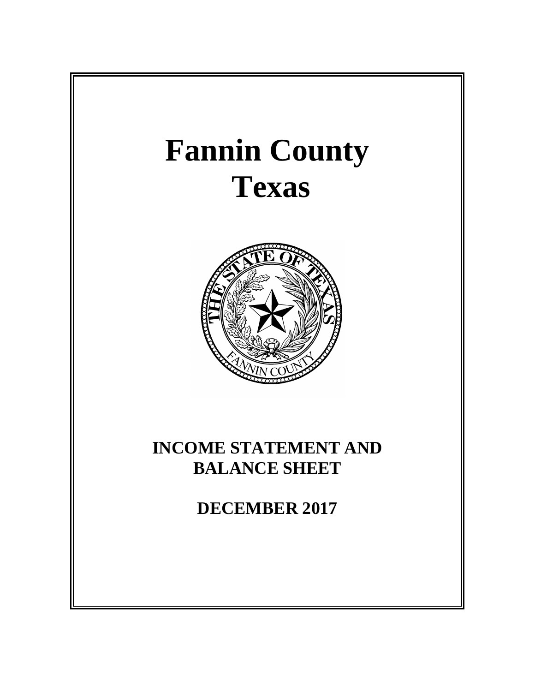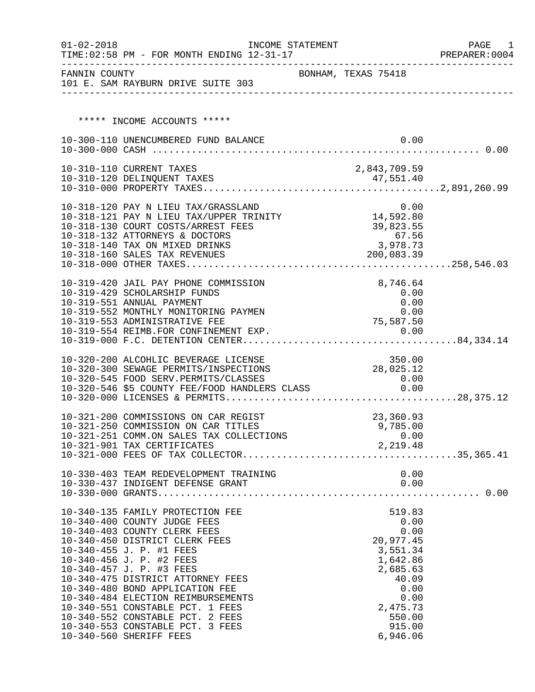| $01 - 02 - 2018$ | INCOME STATEMENT<br>TIME: 02:58 PM - FOR MONTH ENDING 12-31-17                                                                     |                       | PAGE<br>1<br>PREPARER: 0004 |
|------------------|------------------------------------------------------------------------------------------------------------------------------------|-----------------------|-----------------------------|
|                  | FANNIN COUNTY<br>101 E. SAM RAYBURN DRIVE SUITE 303                                                                                | BONHAM, TEXAS 75418   |                             |
|                  |                                                                                                                                    |                       |                             |
|                  |                                                                                                                                    |                       |                             |
|                  | ***** INCOME ACCOUNTS *****                                                                                                        |                       |                             |
|                  | 10-300-110 UNENCUMBERED FUND BALANCE                                                                                               | 0.00                  |                             |
|                  |                                                                                                                                    |                       |                             |
|                  | 10-310-110 CURRENT TAXES                                                                                                           | 2,843,709.59          |                             |
|                  |                                                                                                                                    |                       |                             |
|                  |                                                                                                                                    |                       |                             |
|                  |                                                                                                                                    |                       |                             |
|                  | 10-318-120 PAY N LIEU TAX/GRASSLAND 0.00<br>10-318-121 PAY N LIEU TAX/UPPER TRINITY 14,592.80                                      |                       |                             |
|                  | 10-318-130 COURT COSTS/ARREST FEES                                                                                                 | 39,823.55             |                             |
|                  | 10-318-132 ATTORNEYS & DOCTORS<br>10-318-140 TAX ON MIXED DRINKS                                                                   | 67.56<br>3,978.73     |                             |
|                  | 10-318-160 SALES TAX REVENUES                                                                                                      | 200,083.39            |                             |
|                  |                                                                                                                                    |                       |                             |
|                  |                                                                                                                                    |                       |                             |
|                  | 10-319-420 JAIL PAY PHONE COMMISSION<br>10-319-429 SCHOLARSHIP FUNDS                                                               | 8,746.64              |                             |
|                  | 10-319-551 ANNUAL PAYMENT                                                                                                          | 0.00<br>0.00          |                             |
|                  | 10-319-552 MONTHLY MONITORING PAYMEN                                                                                               | 0.00                  |                             |
|                  | 10-319-553 ADMINISTRATIVE FEE                                                                                                      | 75,587.50             |                             |
|                  |                                                                                                                                    |                       |                             |
|                  |                                                                                                                                    |                       |                             |
|                  | 10-320-200 ALCOHLIC BEVERAGE LICENSE                                                                                               | 350.00                |                             |
|                  | 10-320-300 SEWAGE PERMITS/INSPECTIONS                                                                                              | 28,025.12             |                             |
|                  | 10-320-545 FOOD SERV.PERMITS/CLASSES<br>10-320-545 FOOD SERV.PERMITS/CLASSES<br>10-320-546 \$5 COUNTY FEE/FOOD HANDLERS CLASS 6.00 | 0.00                  |                             |
|                  |                                                                                                                                    |                       |                             |
|                  |                                                                                                                                    |                       |                             |
|                  | 10-321-200 COMMISSIONS ON CAR REGIST                                                                                               | 23,360.93             |                             |
|                  | 10-321-250 COMMISSION ON CAR TITLES                                                                                                | 9,785.00              |                             |
|                  | 10-321-251 COMM.ON SALES TAX COLLECTIONS                                                                                           | 0.00<br>2,219.48      |                             |
|                  | 10-321-901 TAX CERTIFICATES                                                                                                        |                       |                             |
|                  |                                                                                                                                    |                       |                             |
|                  | 10-330-403 TEAM REDEVELOPMENT TRAINING                                                                                             | 0.00                  |                             |
|                  |                                                                                                                                    |                       |                             |
|                  |                                                                                                                                    |                       |                             |
|                  | 10-340-135 FAMILY PROTECTION FEE                                                                                                   | 519.83                |                             |
|                  | 10-340-400 COUNTY JUDGE FEES                                                                                                       | 0.00                  |                             |
|                  | 10-340-403 COUNTY CLERK FEES                                                                                                       | 0.00                  |                             |
|                  | 10-340-450 DISTRICT CLERK FEES<br>10-340-455 J. P. #1 FEES                                                                         | 20,977.45<br>3,551.34 |                             |
|                  | 10-340-456 J. P. #2 FEES                                                                                                           | 1,642.86              |                             |
|                  | 10-340-457 J. P. #3 FEES                                                                                                           | 2,685.63              |                             |
|                  | 10-340-475 DISTRICT ATTORNEY FEES                                                                                                  | 40.09                 |                             |
|                  | 10-340-480 BOND APPLICATION FEE                                                                                                    | 0.00                  |                             |
|                  | 10-340-484 ELECTION REIMBURSEMENTS<br>10-340-551 CONSTABLE PCT. 1 FEES                                                             | 0.00<br>2,475.73      |                             |
|                  | 10-340-552 CONSTABLE PCT. 2 FEES                                                                                                   | 550.00                |                             |
|                  | 10-340-553 CONSTABLE PCT. 3 FEES                                                                                                   | 915.00                |                             |
|                  | 10-340-560 SHERIFF FEES                                                                                                            | 6,946.06              |                             |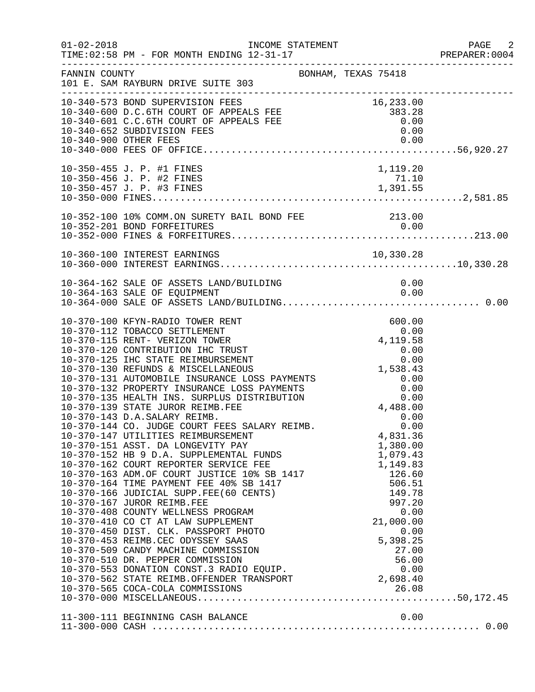|               |                                                                                                                                                                                                                                                                                                                                                                                                                                                                                                                                                                                                                                        |                                                                                           | PAGE 2<br>PREPARER: 0004 |
|---------------|----------------------------------------------------------------------------------------------------------------------------------------------------------------------------------------------------------------------------------------------------------------------------------------------------------------------------------------------------------------------------------------------------------------------------------------------------------------------------------------------------------------------------------------------------------------------------------------------------------------------------------------|-------------------------------------------------------------------------------------------|--------------------------|
| FANNIN COUNTY | BONHAM, TEXAS 75418<br>101 E. SAM RAYBURN DRIVE SUITE 303                                                                                                                                                                                                                                                                                                                                                                                                                                                                                                                                                                              |                                                                                           |                          |
|               | 10-340-573 BOND SUPERVISION FEES<br>10-340-600 D.C.6TH COURT OF APPEALS FEE 383.28<br>10-340-601 C.C.6TH COURT OF APPEALS FEE 383.28<br>10-340-652 SUBDIVISION FEES 0.00<br>10-340-652 SUBDIVISION FEES 0.00<br>10-340-000 OTUFP FEES 0.                                                                                                                                                                                                                                                                                                                                                                                               |                                                                                           |                          |
|               | 10-350-455 J. P. #1 FINES                                                                                                                                                                                                                                                                                                                                                                                                                                                                                                                                                                                                              | 1,119.20                                                                                  |                          |
|               | 10-352-100 10% COMM.ON SURETY BAIL BOND FEE 213.00                                                                                                                                                                                                                                                                                                                                                                                                                                                                                                                                                                                     |                                                                                           |                          |
|               | 10-360-100 INTEREST EARNINGS                                                                                                                                                                                                                                                                                                                                                                                                                                                                                                                                                                                                           |                                                                                           |                          |
|               |                                                                                                                                                                                                                                                                                                                                                                                                                                                                                                                                                                                                                                        |                                                                                           |                          |
|               | 10-370-100 KFYN-RADIO TOWER RENT<br>10-370-112 TOBACCO SETTLEMENT<br>10-370-115 RENT- VERIZON TOWER<br>10-370-120 CONTRIBUTION IHC TRUST<br>10-370-125 IHC STATE REIMBURSEMENT<br>10-370-130 REFUNDS & MISCELLANEOUS<br>10-370-131 AUTOMOBILE INSURANCE LOSS PAYMENTS<br>1,538.43<br>10-370-132 PROPERTY INSURANCE LOSS PAYMENTS<br>10-370-135 HE<br>10-370-139 STATE JUROR REIMB.FEE<br>10-370-143 D.A.SALARY REIMB.<br>10-370-144 CO. JUDGE COURT FEES SALARY REIMB.<br>10-370-144 CO. JUDGE COURT FEES SALARY REIMB.<br>10-370-147 UTILITIES REIMBURSEMENT<br>10-370-151 ASST. DA LONGEVITY PAY<br>10-370-565 COCA-COLA COMMISSIONS | 600.00<br>$0.00$<br>4,119.58<br>4,488.00<br>0.00<br>0.00<br>4,831.36<br>1,380.00<br>26.08 |                          |
|               | 11-300-111 BEGINNING CASH BALANCE                                                                                                                                                                                                                                                                                                                                                                                                                                                                                                                                                                                                      | 0.00                                                                                      |                          |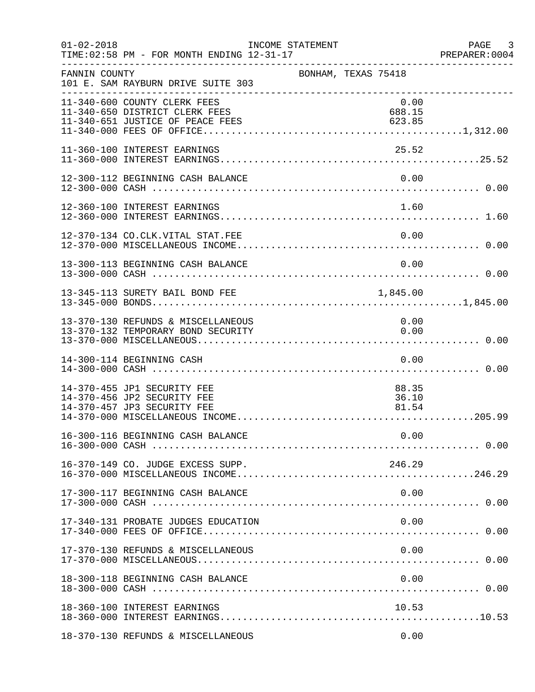| $01 - 02 - 2018$ | TIME: 02:58 PM - FOR MONTH ENDING 12-31-17                                                | INCOME STATEMENT | PREPARER<br>---------------------------------- |                         | PAGE 3<br>PREPARER:0004 |
|------------------|-------------------------------------------------------------------------------------------|------------------|------------------------------------------------|-------------------------|-------------------------|
| FANNIN COUNTY    | 101 E. SAM RAYBURN DRIVE SUITE 303                                                        |                  | BONHAM, TEXAS 75418                            |                         |                         |
|                  | 11-340-600 COUNTY CLERK FEES<br>11-340-650 DISTRICT CLERK FEES                            |                  |                                                | 0.00<br>688.15          |                         |
|                  | 11-360-100 INTEREST EARNINGS                                                              |                  |                                                | 25.52                   |                         |
|                  | 12-300-112 BEGINNING CASH BALANCE                                                         |                  |                                                | 0.00                    |                         |
|                  | 12-360-100 INTEREST EARNINGS                                                              |                  |                                                | 1.60                    |                         |
|                  | 12-370-134 CO.CLK.VITAL STAT.FEE                                                          |                  |                                                | 0.00                    |                         |
|                  | 13-300-113 BEGINNING CASH BALANCE                                                         |                  |                                                | 0.00                    |                         |
|                  | 13-345-113 SURETY BAIL BOND FEE                                                           |                  |                                                | 1,845.00                |                         |
|                  | 13-370-130 REFUNDS & MISCELLANEOUS<br>13-370-132 TEMPORARY BOND SECURITY                  |                  |                                                | 0.00<br>0.00            |                         |
|                  | 14-300-114 BEGINNING CASH                                                                 |                  |                                                | 0.00                    |                         |
|                  | 14-370-455 JP1 SECURITY FEE<br>14-370-456 JP2 SECURITY FEE<br>14-370-457 JP3 SECURITY FEE |                  |                                                | 88.35<br>36.10<br>81.54 |                         |
|                  |                                                                                           |                  |                                                |                         |                         |
|                  | 16-370-149 CO. JUDGE EXCESS SUPP.                                                         |                  |                                                | 246.29                  |                         |
|                  | 17-300-117 BEGINNING CASH BALANCE                                                         |                  |                                                | 0.00                    |                         |
|                  | 17-340-131 PROBATE JUDGES EDUCATION                                                       |                  |                                                | 0.00                    |                         |
|                  | 17-370-130 REFUNDS & MISCELLANEOUS                                                        |                  |                                                | 0.00                    |                         |
|                  | 18-300-118 BEGINNING CASH BALANCE                                                         |                  |                                                | 0.00                    |                         |
|                  | 18-360-100 INTEREST EARNINGS                                                              |                  |                                                | 10.53                   |                         |
|                  | 18-370-130 REFUNDS & MISCELLANEOUS                                                        |                  |                                                | 0.00                    |                         |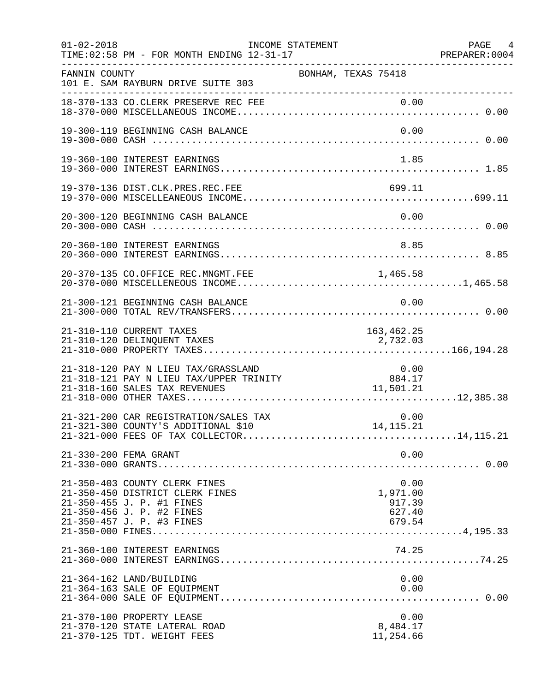| $01 - 02 - 2018$ | TIME: 02:58 PM - FOR MONTH ENDING 12-31-17                                                                                                              | INCOME STATEMENT |                                        | PAGE 4<br>PREPARER:0004 |
|------------------|---------------------------------------------------------------------------------------------------------------------------------------------------------|------------------|----------------------------------------|-------------------------|
| FANNIN COUNTY    | 101 E. SAM RAYBURN DRIVE SUITE 303                                                                                                                      |                  | BONHAM, TEXAS 75418                    |                         |
|                  | 18-370-133 CO.CLERK PRESERVE REC FEE                                                                                                                    |                  | 0.00                                   |                         |
|                  | 19-300-119 BEGINNING CASH BALANCE                                                                                                                       |                  |                                        | 0.00                    |
|                  | 19-360-100 INTEREST EARNINGS                                                                                                                            |                  |                                        | 1.85                    |
|                  | 19-370-136 DIST.CLK.PRES.REC.FEE                                                                                                                        |                  | 699.11                                 |                         |
|                  | 20-300-120 BEGINNING CASH BALANCE                                                                                                                       |                  |                                        | 0.00                    |
|                  | 20-360-100 INTEREST EARNINGS                                                                                                                            |                  |                                        | 8.85                    |
|                  | 20-370-135 CO.OFFICE REC.MNGMT.FEE                                                                                                                      |                  | 1,465.58                               |                         |
|                  | 21-300-121 BEGINNING CASH BALANCE                                                                                                                       |                  |                                        | 0.00                    |
|                  | 21-310-110 CURRENT TAXES<br>21-310-120 DELINQUENT TAXES                                                                                                 |                  | 163,462.25<br>2,732.03                 |                         |
|                  | 21-318-120 PAY N LIEU TAX/GRASSLAND                                                                                                                     |                  |                                        | 0.00                    |
|                  | 21-321-200 CAR REGISTRATION/SALES TAX<br>21-321-300 COUNTY'S ADDITIONAL \$10                                                                            |                  | 0.00<br>14, 115. 21                    |                         |
|                  | 21-330-200 FEMA GRANT                                                                                                                                   |                  |                                        | 0.00                    |
|                  | 21-350-403 COUNTY CLERK FINES<br>21-350-450 DISTRICT CLERK FINES<br>21-350-455 J. P. #1 FINES<br>21-350-456 J. P. #2 FINES<br>21-350-457 J. P. #3 FINES |                  | 1,971.00<br>917.39<br>627.40<br>679.54 | 0.00                    |
|                  | 21-360-100 INTEREST EARNINGS                                                                                                                            |                  | 74.25                                  |                         |
|                  | 21-364-162 LAND/BUILDING<br>21-364-163 SALE OF EQUIPMENT                                                                                                |                  |                                        | 0.00<br>0.00            |
|                  | 21-370-100 PROPERTY LEASE<br>21-370-120 STATE LATERAL ROAD<br>21-370-125 TDT. WEIGHT FEES                                                               |                  | 8,484.17<br>11,254.66                  | 0.00                    |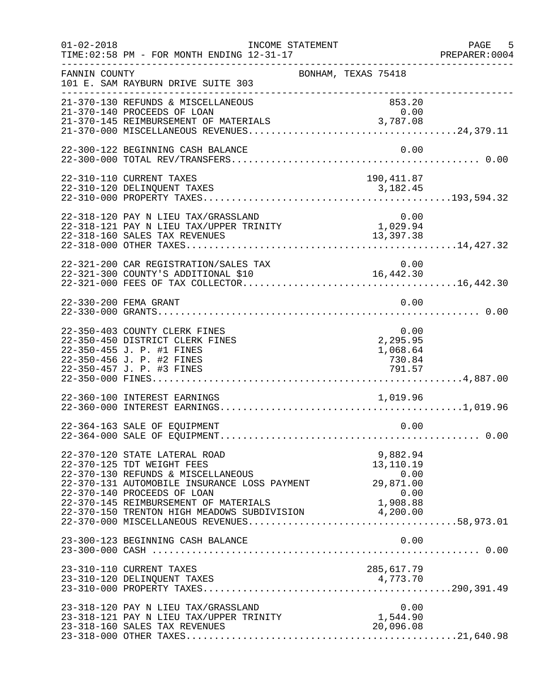| $01 - 02 - 2018$ | INCOME STATEMENT<br>TIME: 02:58 PM - FOR MONTH ENDING 12-31-17                                                                                                                                                                                                                             |                                                                | PAGE 5<br>PREPARER:0004 |
|------------------|--------------------------------------------------------------------------------------------------------------------------------------------------------------------------------------------------------------------------------------------------------------------------------------------|----------------------------------------------------------------|-------------------------|
| FANNIN COUNTY    | 101 E. SAM RAYBURN DRIVE SUITE 303                                                                                                                                                                                                                                                         | BONHAM, TEXAS 75418                                            |                         |
|                  | 21-370-130 REFUNDS & MISCELLANEOUS<br>21-370-140 PROCEEDS OF LOAN<br>21-370-145 REIMBURSEMENT OF MATERIALS                                                                                                                                                                                 | 853.20<br>0.00<br>3,787.08                                     |                         |
|                  | 22-300-122 BEGINNING CASH BALANCE                                                                                                                                                                                                                                                          | 0.00                                                           |                         |
|                  | 22-310-110 CURRENT TAXES                                                                                                                                                                                                                                                                   | 190, 411.87                                                    |                         |
|                  | 22-318-120 PAY N LIEU TAX/GRASSLAND<br>22-318-121 PAY N LIEU TAX/UPPER TRINITY<br>22-318-160 SALES TAX REVENUES                                                                                                                                                                            | $0.00$<br>$1,029.94$<br>13, 397. 38                            |                         |
|                  | 22-321-200 CAR REGISTRATION/SALES TAX<br>22-321-300 COUNTY'S ADDITIONAL \$10                                                                                                                                                                                                               | 0.00<br>16,442.30                                              |                         |
|                  | 22-330-200 FEMA GRANT                                                                                                                                                                                                                                                                      | 0.00                                                           |                         |
|                  | 22-350-403 COUNTY CLERK FINES<br>22-350-450 DISTRICT CLERK FINES<br>22-350-455 J. P. #1 FINES<br>22-350-456 J. P. #2 FINES<br>22-350-457 J. P. #3 FINES                                                                                                                                    | 0.00<br>2,295.95<br>1,068.64<br>730.84<br>791.57               |                         |
|                  | 22-360-100 INTEREST EARNINGS                                                                                                                                                                                                                                                               | 1,019.96                                                       |                         |
|                  | 22-364-163 SALE OF EQUIPMENT                                                                                                                                                                                                                                                               | 0.00                                                           |                         |
|                  | 22-370-120 STATE LATERAL ROAD<br>22-370-125 TDT WEIGHT FEES<br>22-370-130 REFUNDS & MISCELLANEOUS<br>22-370-131 AUTOMOBILE INSURANCE LOSS PAYMENT<br>22-370-140 PROCEEDS OF LOAN<br>22-370-145 REIMBURSEMENT OF MATERIALS 1,908.88<br>22-370-150 TRENTON HIGH MEADOWS SUBDIVISION 4,200.00 | 9,882.94<br>13,110.19<br>0.00<br>29,871.00<br>0.00<br>1,908.88 |                         |
|                  | 23-300-123 BEGINNING CASH BALANCE                                                                                                                                                                                                                                                          | 0.00                                                           |                         |
|                  | 23-310-110 CURRENT TAXES                                                                                                                                                                                                                                                                   | 285,617.79                                                     |                         |
|                  | 23-318-120 PAY N LIEU TAX/GRASSLAND<br>23-318-121 PAY N LIEU TAX/UPPER TRINITY<br>23-318-160 SALES TAX REVENUES                                                                                                                                                                            | 0.00<br>1,544.90<br>20,096.08                                  |                         |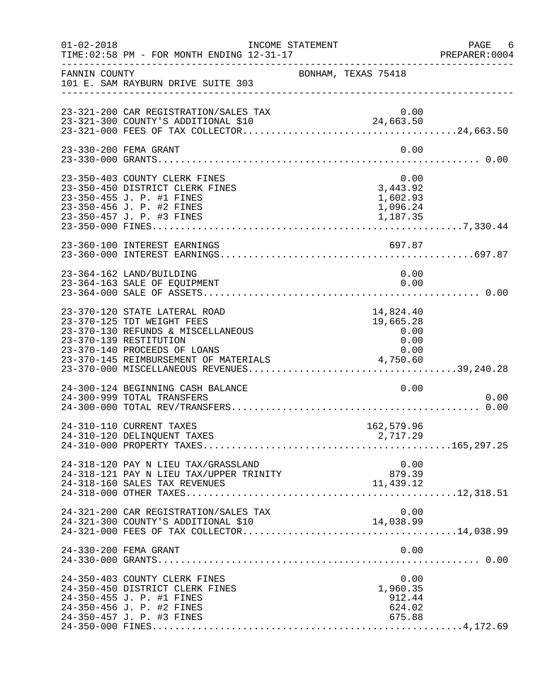| $01 - 02 - 2018$ | INCOME STATEMENT<br>TIME: 02:58 PM - FOR MONTH ENDING 12-31-17                                                                                                                                       |                                            |                                                | PAGE 6<br>PREPARER:0004 |
|------------------|------------------------------------------------------------------------------------------------------------------------------------------------------------------------------------------------------|--------------------------------------------|------------------------------------------------|-------------------------|
| FANNIN COUNTY    | 101 E. SAM RAYBURN DRIVE SUITE 303<br>________________________________                                                                                                                               | BONHAM, TEXAS 75418                        |                                                |                         |
|                  |                                                                                                                                                                                                      |                                            |                                                |                         |
|                  | 23-330-200 FEMA GRANT                                                                                                                                                                                |                                            | 0.00                                           |                         |
|                  | 23-350-403 COUNTY CLERK FINES<br>23-350-450 DISTRICT CLERK FINES<br>23-350-455 J. P. #1 FINES<br>23-350-456 J. P. #2 FINES                                                                           | 0.00<br>3,443.92                           | 1,602.93<br>1,096.24                           |                         |
|                  | 23-360-100 INTEREST EARNINGS                                                                                                                                                                         |                                            | 697.87                                         |                         |
|                  | 23-364-162 LAND/BUILDING<br>23-364-163 SALE OF EQUIPMENT                                                                                                                                             |                                            | 0.00<br>0.00                                   |                         |
|                  | 23-370-120 STATE LATERAL ROAD<br>23-370-125 TDT WEIGHT FEES<br>23-370-130 REFUNDS & MISCELLANEOUS<br>23-370-139 RESTITUTION<br>23-370-140 PROCEEDS OF LOANS<br>23-370-145 REIMBURSEMENT OF MATERIALS | 14,824.40<br>19,665.28<br>0.00<br>4,750.60 | 0.00<br>0.00                                   |                         |
|                  | 24-300-124 BEGINNING CASH BALANCE<br>24-300-999 TOTAL TRANSFERS                                                                                                                                      |                                            | 0.00                                           | 0.00                    |
|                  | 24-310-110 CURRENT TAXES<br>24-310-120 DELINQUENT TAXES                                                                                                                                              | 162,579.96<br>2,717.29                     |                                                |                         |
|                  | 24-318-120 PAY N LIEU TAX/GRASSLAND<br>24-318-121 PAY N LIEU TAX/UPPER TRINITY<br>24-318-160 SALES TAX REVENUES                                                                                      | 879.39<br>11,439.12                        | 0.00                                           |                         |
|                  | 24-321-200 CAR REGISTRATION/SALES TAX<br>24-321-300 COUNTY'S ADDITIONAL \$10                                                                                                                         | 14,038.99                                  | 0.00                                           |                         |
|                  | 24-330-200 FEMA GRANT                                                                                                                                                                                |                                            | 0.00                                           |                         |
|                  | 24-350-403 COUNTY CLERK FINES<br>24-350-450 DISTRICT CLERK FINES<br>24-350-455 J. P. #1 FINES<br>24-350-456 J. P. #2 FINES<br>24-350-457 J. P. #3 FINES                                              |                                            | 0.00<br>1,960.35<br>912.44<br>624.02<br>675.88 |                         |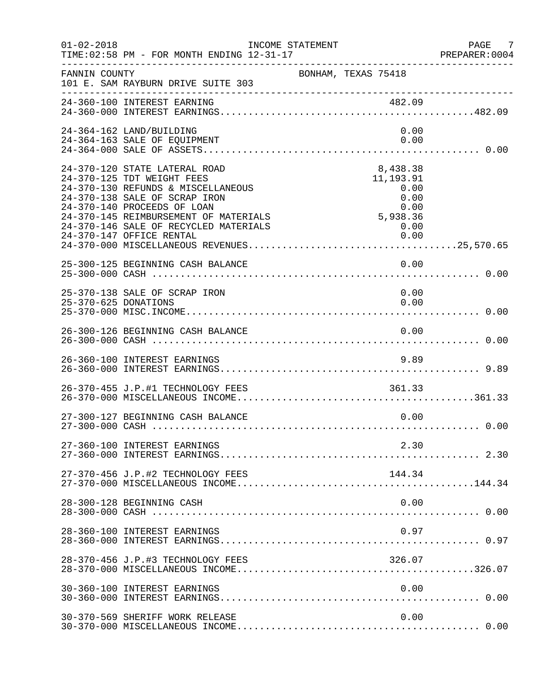| $01 - 02 - 2018$     | INCOME STATEMENT<br>TIME: 02:58 PM - FOR MONTH ENDING 12-31-17                                                                                                                                                                                                                  |                                                                                         | PAGE 7<br>PREPARER:0004 |
|----------------------|---------------------------------------------------------------------------------------------------------------------------------------------------------------------------------------------------------------------------------------------------------------------------------|-----------------------------------------------------------------------------------------|-------------------------|
| FANNIN COUNTY        | 101 E. SAM RAYBURN DRIVE SUITE 303                                                                                                                                                                                                                                              | BONHAM, TEXAS 75418                                                                     |                         |
|                      |                                                                                                                                                                                                                                                                                 |                                                                                         |                         |
|                      | 24-364-162 LAND/BUILDING<br>24-364-163 SALE OF EQUIPMENT                                                                                                                                                                                                                        | 0.00<br>0.00                                                                            |                         |
|                      | 24-370-120 STATE LATERAL ROAD<br>24-370-125 TDT WEIGHT FEES<br>24-370-130 REFUNDS & MISCELLANEOUS<br>24-370-138 SALE OF SCRAP IRON<br>24-370-140 PROCEEDS OF LOAN<br>24-370-145 REIMBURSEMENT OF MATERIALS<br>24-370-146 SALE OF RECYCLED MATERIALS<br>24-370-147 OFFICE RENTAL | 8,438.38<br>11,193.91<br>0.00<br>0.00<br>0.00<br>0 . 00<br>5 , 938 . 36<br>0.00<br>0.00 |                         |
|                      | 25-300-125 BEGINNING CASH BALANCE                                                                                                                                                                                                                                               | 0.00                                                                                    |                         |
| 25-370-625 DONATIONS | 25-370-138 SALE OF SCRAP IRON                                                                                                                                                                                                                                                   | 0.00<br>0.00                                                                            |                         |
|                      | 26-300-126 BEGINNING CASH BALANCE                                                                                                                                                                                                                                               | 0.00                                                                                    |                         |
|                      | 26-360-100 INTEREST EARNINGS                                                                                                                                                                                                                                                    | 9.89                                                                                    |                         |
|                      | 26-370-455 J.P.#1 TECHNOLOGY FEES                                                                                                                                                                                                                                               | 361.33                                                                                  |                         |
|                      | 27-300-127 BEGINNING CASH BALANCE                                                                                                                                                                                                                                               | 0.00                                                                                    |                         |
|                      | 27-360-100 INTEREST EARNINGS                                                                                                                                                                                                                                                    | 2.30                                                                                    |                         |
|                      | 27-370-456 J.P.#2 TECHNOLOGY FEES                                                                                                                                                                                                                                               | 144.34                                                                                  |                         |
|                      | 28-300-128 BEGINNING CASH                                                                                                                                                                                                                                                       | 0.00                                                                                    |                         |
|                      | 28-360-100 INTEREST EARNINGS                                                                                                                                                                                                                                                    | 0.97                                                                                    |                         |
|                      | 28-370-456 J.P.#3 TECHNOLOGY FEES                                                                                                                                                                                                                                               | 326.07                                                                                  |                         |
|                      | 30-360-100 INTEREST EARNINGS                                                                                                                                                                                                                                                    | 0.00                                                                                    |                         |
|                      | 30-370-569 SHERIFF WORK RELEASE                                                                                                                                                                                                                                                 | 0.00                                                                                    |                         |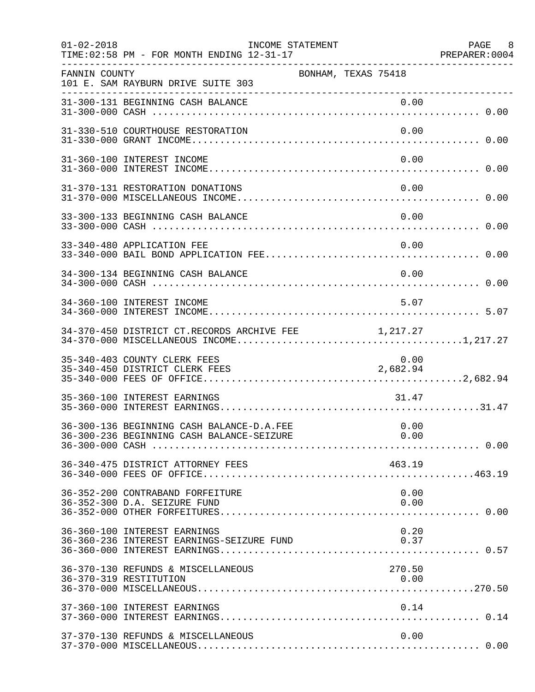| $01 - 02 - 2018$ | INCOME STATEMENT<br>TIME: 02:58 PM - FOR MONTH ENDING 12-31-17            |                     | PAGE 8<br>PREPARER:0004 |
|------------------|---------------------------------------------------------------------------|---------------------|-------------------------|
| FANNIN COUNTY    | 101 E. SAM RAYBURN DRIVE SUITE 303                                        | BONHAM, TEXAS 75418 |                         |
|                  |                                                                           |                     |                         |
|                  | 31-330-510 COURTHOUSE RESTORATION                                         | 0.00                |                         |
|                  | 31-360-100 INTEREST INCOME                                                | 0.00                |                         |
|                  | 31-370-131 RESTORATION DONATIONS                                          | 0.00                |                         |
|                  | 33-300-133 BEGINNING CASH BALANCE                                         | 0.00                |                         |
|                  | 33-340-480 APPLICATION FEE                                                | 0.00                |                         |
|                  | 34-300-134 BEGINNING CASH BALANCE                                         | 0.00                |                         |
|                  | 34-360-100 INTEREST INCOME                                                | 5.07                |                         |
|                  | 34-370-450 DISTRICT CT.RECORDS ARCHIVE FEE                                | 1, 217.27           |                         |
|                  | 35-340-403 COUNTY CLERK FEES<br>35-340-450 DISTRICT CLERK FEES            | 0.00<br>2,682.94    |                         |
|                  | 35-360-100 INTEREST EARNINGS                                              | 31.47               |                         |
|                  | 36-300-136 BEGINNING CASH BALANCE-D.A.FEE                                 | 0.00                |                         |
|                  | 36-340-475 DISTRICT ATTORNEY FEES                                         | 463.19              |                         |
|                  | 36-352-200 CONTRABAND FORFEITURE<br>36-352-300 D.A. SEIZURE FUND          | 0.00<br>0.00        |                         |
|                  | 36-360-100 INTEREST EARNINGS<br>36-360-236 INTEREST EARNINGS-SEIZURE FUND | 0.20<br>0.37        |                         |
|                  | 36-370-130 REFUNDS & MISCELLANEOUS<br>36-370-319 RESTITUTION              | 270.50<br>0.00      |                         |
|                  | 37-360-100 INTEREST EARNINGS                                              | 0.14                |                         |
|                  | 37-370-130 REFUNDS & MISCELLANEOUS                                        | 0.00                |                         |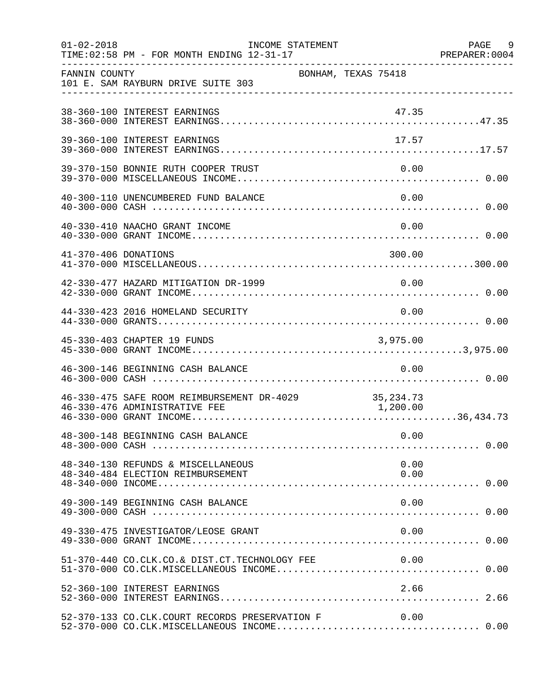| $01 - 02 - 2018$     | TIME: 02:58 PM - FOR MONTH ENDING 12-31-17                                            | INCOME STATEMENT |                     |          | PAGE 9<br>PREPARER : 0004<br>PREPARER : 0004 |
|----------------------|---------------------------------------------------------------------------------------|------------------|---------------------|----------|----------------------------------------------|
| FANNIN COUNTY        | 101 E. SAM RAYBURN DRIVE SUITE 303                                                    |                  | BONHAM, TEXAS 75418 |          |                                              |
|                      | 38-360-100 INTEREST EARNINGS                                                          |                  |                     | 47.35    |                                              |
|                      | 39-360-100 INTEREST EARNINGS                                                          |                  |                     | 17.57    |                                              |
|                      | 39-370-150 BONNIE RUTH COOPER TRUST                                                   |                  |                     | 0.00     |                                              |
|                      | 40-300-110 UNENCUMBERED FUND BALANCE                                                  |                  |                     | 0.00     |                                              |
|                      | 40-330-410 NAACHO GRANT INCOME                                                        |                  |                     | 0.00     |                                              |
| 41-370-406 DONATIONS |                                                                                       |                  |                     | 300.00   |                                              |
|                      | 42-330-477 HAZARD MITIGATION DR-1999                                                  |                  |                     | 0.00     |                                              |
|                      | 44-330-423 2016 HOMELAND SECURITY                                                     |                  |                     | 0.00     |                                              |
|                      | 45-330-403 CHAPTER 19 FUNDS                                                           |                  |                     | 3,975.00 |                                              |
|                      | 46-300-146 BEGINNING CASH BALANCE                                                     |                  |                     | 0.00     |                                              |
|                      | 46-330-475 SAFE ROOM REIMBURSEMENT DR-4029 35,234.73<br>46-330-476 ADMINISTRATIVE FEE |                  |                     | 1,200.00 |                                              |
|                      | 48-300-148 BEGINNING CASH BALANCE                                                     |                  |                     | 0.00     |                                              |
|                      | 48-340-130 REFUNDS & MISCELLANEOUS                                                    |                  |                     | 0.00     |                                              |
|                      | 49-300-149 BEGINNING CASH BALANCE                                                     |                  |                     | 0.00     |                                              |
|                      | 49-330-475 INVESTIGATOR/LEOSE GRANT                                                   |                  |                     | 0.00     |                                              |
|                      | 51-370-440 CO.CLK.CO.& DIST.CT.TECHNOLOGY FEE 0.00                                    |                  |                     |          |                                              |
|                      | 52-360-100 INTEREST EARNINGS                                                          |                  |                     | 2.66     |                                              |
|                      | 52-370-133 CO.CLK.COURT RECORDS PRESERVATION F                                        |                  |                     | 0.00     |                                              |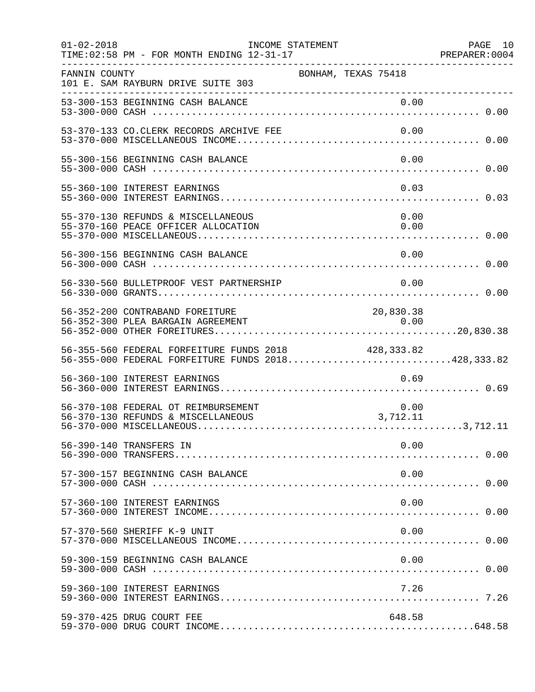| $01 - 02 - 2018$ | INCOME STATEMENT<br>TIME: 02:58 PM - FOR MONTH ENDING 12-31-17                                            |                     | PAGE 10<br>PREPARER: 0004 |
|------------------|-----------------------------------------------------------------------------------------------------------|---------------------|---------------------------|
| FANNIN COUNTY    | 101 E. SAM RAYBURN DRIVE SUITE 303                                                                        | BONHAM, TEXAS 75418 |                           |
|                  | 53-300-153 BEGINNING CASH BALANCE                                                                         |                     |                           |
|                  | 53-370-133 CO.CLERK RECORDS ARCHIVE FEE                                                                   | 0.00                |                           |
|                  | 55-300-156 BEGINNING CASH BALANCE                                                                         | 0.00                |                           |
|                  | 55-360-100 INTEREST EARNINGS                                                                              | 0.03                |                           |
|                  | 55-370-130 REFUNDS & MISCELLANEOUS<br>55-370-160 PEACE OFFICER ALLOCATION                                 | 0.00<br>0.00        |                           |
|                  | 56-300-156 BEGINNING CASH BALANCE                                                                         | 0.00                |                           |
|                  | 56-330-560 BULLETPROOF VEST PARTNERSHIP                                                                   | 0.00                |                           |
|                  | 56-352-200 CONTRABAND FOREITURE<br>56-352-300 PLEA BARGAIN AGREEMENT                                      | 20,830.38<br>0.00   |                           |
|                  | 56-355-560 FEDERAL FORFEITURE FUNDS 2018 428,333.82<br>56-355-000 FEDERAL FORFEITURE FUNDS 2018428,333.82 |                     |                           |
|                  | 56-360-100 INTEREST EARNINGS                                                                              | 0.69                |                           |
|                  | 56-370-108 FEDERAL OT REIMBURSEMENT<br>56-370-130 REFUNDS & MISCELLANEOUS                                 | 0.00<br>3,712.11    |                           |
|                  | 56-390-140 TRANSFERS IN                                                                                   | 0.00                |                           |
|                  | 57-300-157 BEGINNING CASH BALANCE                                                                         | 0.00                |                           |
|                  | 57-360-100 INTEREST EARNINGS                                                                              | 0.00                |                           |
|                  | 57-370-560 SHERIFF K-9 UNIT                                                                               | 0.00                |                           |
|                  | 59-300-159 BEGINNING CASH BALANCE                                                                         | 0.00                |                           |
|                  | 59-360-100 INTEREST EARNINGS                                                                              | 7.26                |                           |
|                  | 59-370-425 DRUG COURT FEE                                                                                 | 648.58              |                           |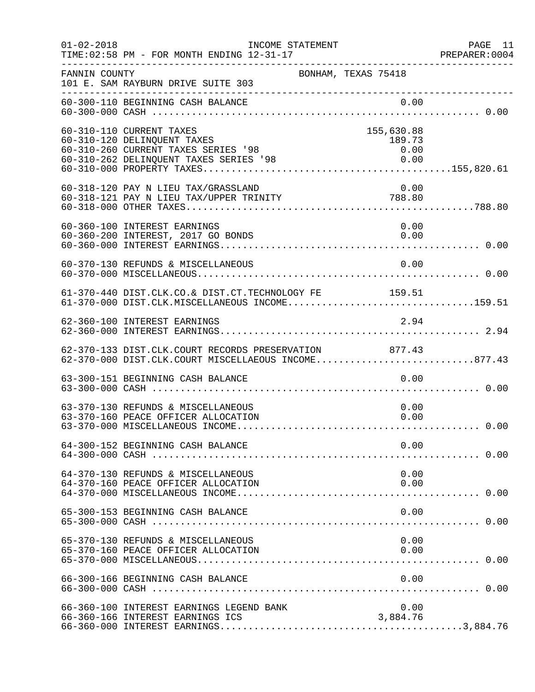| $01 - 02 - 2018$ | INCOME STATEMENT<br>TIME: 02:58 PM - FOR MONTH ENDING 12-31-17                                                                           |                              | PAGE 11<br>PREPARER: 0004 |
|------------------|------------------------------------------------------------------------------------------------------------------------------------------|------------------------------|---------------------------|
| FANNIN COUNTY    | BONHAM, TEXAS 75418<br>101 E. SAM RAYBURN DRIVE SUITE 303                                                                                |                              |                           |
|                  |                                                                                                                                          |                              |                           |
|                  | 60-310-110 CURRENT TAXES<br>60-310-120 DELINQUENT TAXES<br>60-310-260 CURRENT TAXES SERIES '98<br>60-310-262 DELINQUENT TAXES SERIES '98 | 155,630.88<br>189.73<br>0.00 |                           |
|                  | 60-318-120 PAY N LIEU TAX/GRASSLAND<br>60-318-120 PAY N LIEU TAX/GRASSLAND<br>60-318-121 PAY N LIEU TAX/UPPER TRINITY                    | 0.00<br>788.80               |                           |
|                  | 60-360-100 INTEREST EARNINGS<br>60-360-200 INTEREST, 2017 GO BONDS                                                                       | 0.00<br>0.00                 |                           |
|                  | 60-370-130 REFUNDS & MISCELLANEOUS                                                                                                       | 0.00                         |                           |
|                  | 61-370-440 DIST.CLK.CO.& DIST.CT.TECHNOLOGY FE 159.51<br>61-370-000 DIST.CLK.MISCELLANEOUS INCOME159.51                                  |                              |                           |
|                  | 62-360-100 INTEREST EARNINGS                                                                                                             | 2.94                         |                           |
|                  | 62-370-133 DIST.CLK.COURT RECORDS PRESERVATION 877.43<br>62-370-000 DIST.CLK.COURT MISCELLAEOUS INCOME877.43                             |                              |                           |
|                  | 63-300-151 BEGINNING CASH BALANCE                                                                                                        | 0.00                         |                           |
|                  | 63-370-130 REFUNDS & MISCELLANEOUS<br>63-370-160 PEACE OFFICER ALLOCATION                                                                | 0.00<br>0.00                 |                           |
|                  | 64-300-152 BEGINNING CASH BALANCE                                                                                                        | 0.00                         |                           |
|                  | 64-370-130 REFUNDS & MISCELLANEOUS<br>64-370-160 PEACE OFFICER ALLOCATION                                                                | 0.00<br>0.00                 |                           |
|                  | 65-300-153 BEGINNING CASH BALANCE                                                                                                        | 0.00                         |                           |
|                  | 65-370-130 REFUNDS & MISCELLANEOUS<br>65-370-160 PEACE OFFICER ALLOCATION                                                                | 0.00<br>0.00                 |                           |
|                  | 66-300-166 BEGINNING CASH BALANCE                                                                                                        | 0.00                         |                           |
|                  | 66-360-100 INTEREST EARNINGS LEGEND BANK<br>66-360-166 INTEREST EARNINGS ICS                                                             | 0.00<br>3,884.76             |                           |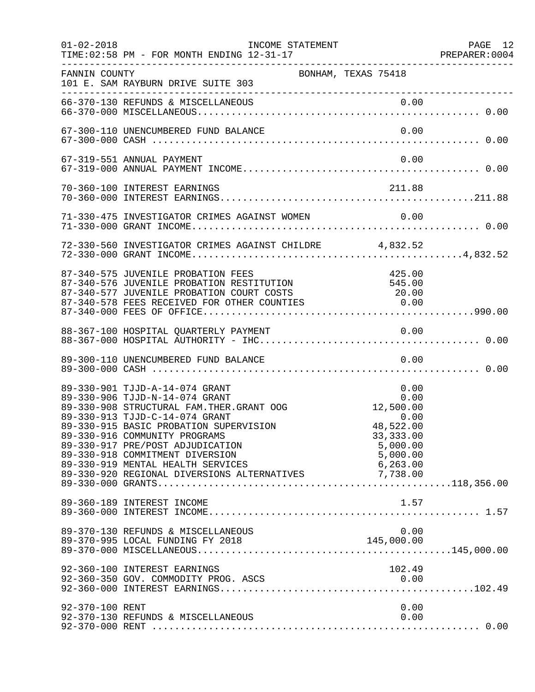| $01 - 02 - 2018$ | INCOME STATEMENT<br>TIME: 02:58 PM - FOR MONTH ENDING 12-31-17                                                                                                                                                                                                                                                                                                                                           |                                                                                      | PAGE 12 |
|------------------|----------------------------------------------------------------------------------------------------------------------------------------------------------------------------------------------------------------------------------------------------------------------------------------------------------------------------------------------------------------------------------------------------------|--------------------------------------------------------------------------------------|---------|
| FANNIN COUNTY    | BONHAM, TEXAS 75418<br>101 E. SAM RAYBURN DRIVE SUITE 303                                                                                                                                                                                                                                                                                                                                                |                                                                                      |         |
|                  |                                                                                                                                                                                                                                                                                                                                                                                                          |                                                                                      |         |
|                  | 67-300-110 UNENCUMBERED FUND BALANCE                                                                                                                                                                                                                                                                                                                                                                     | 0.00                                                                                 |         |
|                  | 67-319-551 ANNUAL PAYMENT                                                                                                                                                                                                                                                                                                                                                                                | 0.00                                                                                 |         |
|                  | 70-360-100 INTEREST EARNINGS                                                                                                                                                                                                                                                                                                                                                                             | 211.88                                                                               |         |
|                  |                                                                                                                                                                                                                                                                                                                                                                                                          |                                                                                      |         |
|                  | 72-330-560 INVESTIGATOR CRIMES AGAINST CHILDRE 4,832.52                                                                                                                                                                                                                                                                                                                                                  |                                                                                      |         |
|                  | 87-340-575 JUVENILE PROBATION FEES<br>87-340-576 JUVENILE PROBATION RESTITUTION<br>87-340-577 JUVENILE PROBATION COURT COSTS<br>87-340-577 JUVENILE PROBATION COURT COSTS (20.00                                                                                                                                                                                                                         | 425.00<br>545.00                                                                     |         |
|                  |                                                                                                                                                                                                                                                                                                                                                                                                          |                                                                                      |         |
|                  | 89-300-110 UNENCUMBERED FUND BALANCE                                                                                                                                                                                                                                                                                                                                                                     | 0.00                                                                                 |         |
|                  | 89-330-901 TJJD-A-14-074 GRANT<br>89-330-906 TJJD-N-14-074 GRANT<br>89-330-908 STRUCTURAL FAM. THER. GRANT OOG<br>89-330-913 TJJD-C-14-074 GRANT<br>89-330-915 BASIC PROBATION SUPERVISION<br>89-330-916 COMMUNITY PROGRAMS<br>89-330-917 PRE/POST ADJUDICATION<br>89-330-918 COMMITMENT DIVERSION<br>89-330-919 MENTAL HEALTH SERVICES 6,263.00<br>89-330-920 REGIONAL DIVERSIONS ALTERNATIVES 7,738.00 | 0.00<br>0.00<br>12,500.00<br>0.00<br>48,522.00<br>33, 333.00<br>5,000.00<br>5,000.00 |         |
|                  | 89-360-189 INTEREST INCOME                                                                                                                                                                                                                                                                                                                                                                               | 1.57                                                                                 |         |
|                  | 89-370-130 REFUNDS & MISCELLANEOUS                                                                                                                                                                                                                                                                                                                                                                       | 0.00                                                                                 |         |
|                  | 92-360-100 INTEREST EARNINGS                                                                                                                                                                                                                                                                                                                                                                             | 102.49                                                                               |         |
| 92-370-100 RENT  | 92-370-130 REFUNDS & MISCELLANEOUS                                                                                                                                                                                                                                                                                                                                                                       | 0.00<br>0.00                                                                         |         |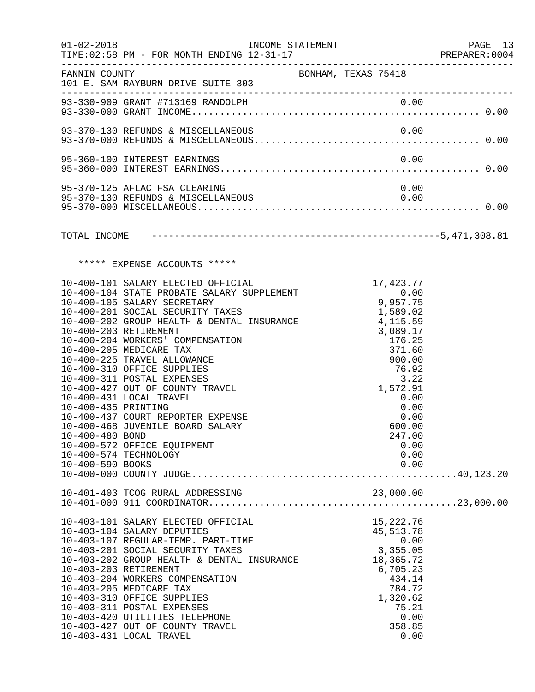| BONHAM, TEXAS 75418<br>FANNIN COUNTY<br>101 E. SAM RAYBURN DRIVE SUITE 303<br>0.00<br>95-370-125 AFLAC FSA CLEARING<br>95-370-130 REFUNDS & MISCELLANEOUS<br>0.00<br>***** EXPENSE ACCOUNTS *****<br>17,423.77<br>10-400-101 SALARY ELECTED OFFICIAL<br>10-400-104 STATE PROBATE SALARY SUPPLEMENT<br>0.00<br>9,957.75<br>10-400-105 SALARY SECRETARY<br>10-400-201 SOCIAL SECURITY TAXES<br>1,589.02<br>4,115.59<br>10-400-202 GROUP HEALTH & DENTAL INSURANCE<br>4,115.59<br>10-400-203 RETIREMENT<br>3,089.17<br>10-400-204 WORKERS' COMPENSATION<br>176.25<br>10-400-205 MEDICARE TAX<br>371.60<br>10-400-225 TRAVEL ALLOWANCE<br>900.00<br>$\begin{array}{c} \n \sqrt{3} \cdot 22 \\  -572 \cdot 91\n \end{array}$<br>10-400-310 OFFICE SUPPLIES<br>10-400-311 POSTAL EXPENSES | PREPARER: 0004 |
|-------------------------------------------------------------------------------------------------------------------------------------------------------------------------------------------------------------------------------------------------------------------------------------------------------------------------------------------------------------------------------------------------------------------------------------------------------------------------------------------------------------------------------------------------------------------------------------------------------------------------------------------------------------------------------------------------------------------------------------------------------------------------------------|----------------|
|                                                                                                                                                                                                                                                                                                                                                                                                                                                                                                                                                                                                                                                                                                                                                                                     |                |
|                                                                                                                                                                                                                                                                                                                                                                                                                                                                                                                                                                                                                                                                                                                                                                                     |                |
|                                                                                                                                                                                                                                                                                                                                                                                                                                                                                                                                                                                                                                                                                                                                                                                     |                |
|                                                                                                                                                                                                                                                                                                                                                                                                                                                                                                                                                                                                                                                                                                                                                                                     |                |
|                                                                                                                                                                                                                                                                                                                                                                                                                                                                                                                                                                                                                                                                                                                                                                                     |                |
|                                                                                                                                                                                                                                                                                                                                                                                                                                                                                                                                                                                                                                                                                                                                                                                     |                |
|                                                                                                                                                                                                                                                                                                                                                                                                                                                                                                                                                                                                                                                                                                                                                                                     |                |
| 10-400-427 OUT OF COUNTY TRAVEL<br>1,572.91<br>10-400-431 LOCAL TRAVEL<br>0.00<br>10-400-435 PRINTING<br>0.00<br>10-400-437 COURT REPORTER EXPENSE<br>0.00<br>10-400-468 JUVENILE BOARD SALARY<br>600.00<br>10-400-480 BOND<br>247.00<br>10-400-572 OFFICE EQUIPMENT<br>0.00<br>10-400-574 TECHNOLOGY<br>0.00<br>10-400-590 BOOKS<br>0.00                                                                                                                                                                                                                                                                                                                                                                                                                                           |                |
|                                                                                                                                                                                                                                                                                                                                                                                                                                                                                                                                                                                                                                                                                                                                                                                     |                |
| 10-403-101 SALARY ELECTED OFFICIAL<br>15, 222.76<br>10-403-104 SALARY DEPUTIES<br>45, 513. 78<br>10-403-107 REGULAR-TEMP. PART-TIME<br>0.00<br>3,355.05<br>10-403-201 SOCIAL SECURITY TAXES<br>10-403-202 GROUP HEALTH & DENTAL INSURANCE<br>18,365.72<br>10-403-203 RETIREMENT<br>6,705.23<br>10-403-204 WORKERS COMPENSATION<br>434.14<br>10-403-205 MEDICARE TAX<br>784.72<br>10-403-310 OFFICE SUPPLIES<br>1,320.62<br>10-403-311 POSTAL EXPENSES<br>75.21<br>0.00<br>10-403-420 UTILITIES TELEPHONE<br>10-403-427 OUT OF COUNTY TRAVEL<br>358.85                                                                                                                                                                                                                               |                |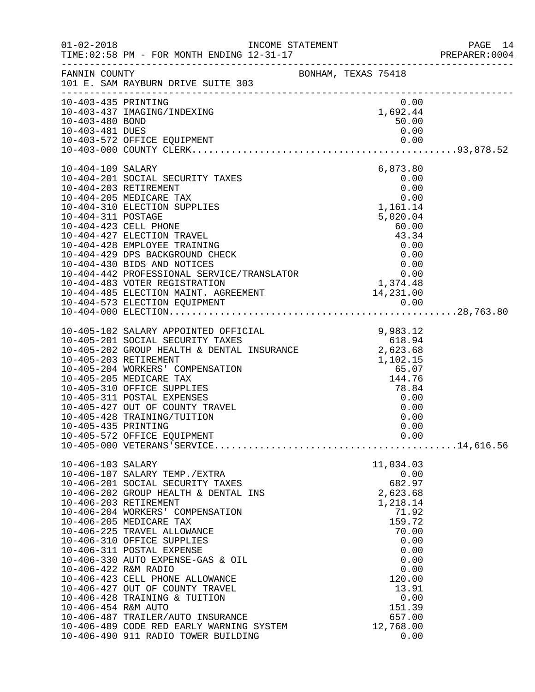|                                                                  |                                                                                                                                                                                                                                                                                                                                                                                                                                                                                                                                                                 |                     |                                                                                                                                                                                     | PAGE 14<br>PREPARER: 0004 |
|------------------------------------------------------------------|-----------------------------------------------------------------------------------------------------------------------------------------------------------------------------------------------------------------------------------------------------------------------------------------------------------------------------------------------------------------------------------------------------------------------------------------------------------------------------------------------------------------------------------------------------------------|---------------------|-------------------------------------------------------------------------------------------------------------------------------------------------------------------------------------|---------------------------|
|                                                                  | FANNIN COUNTY<br>101 E. SAM RAYBURN DRIVE SUITE 303                                                                                                                                                                                                                                                                                                                                                                                                                                                                                                             | BONHAM, TEXAS 75418 |                                                                                                                                                                                     |                           |
| 10-403-435 PRINTING<br>10-403-480 BOND<br>10-403-481 DUES        | 10-403-437 IMAGING/INDEXING<br>10-403-572 OFFICE EQUIPMENT                                                                                                                                                                                                                                                                                                                                                                                                                                                                                                      |                     | 0.00<br>1,692.44<br>50.00<br>0.00                                                                                                                                                   |                           |
| 10-404-109 SALARY<br>10-404-311 POSTAGE                          | 10-404-201 SOCIAL SECURITY TAXES<br>10-404-203 RETIREMENT<br>10-404-205 MEDICARE TAX<br>10-404-310 ELECTION SUPPLIES<br>10-404-423 CELL PHONE<br>10-404-427 ELECTION TRAVEL<br>10-404-428 EMPLOYEE TRAINING<br>10-404-429 DPS BACKGROUND CHECK<br>10-404-430 BIDS AND NOTICES<br>10-404-430 BIDS AND NOTICES<br>10-404-442 PROFESSIONAL SERVICE/TRANSLATOR 0.00<br>10-404-483 VOTER REGISTRATION 1,374.48<br>10-404-485 ELECTION MAINT. AGREEMENT 0.00<br>10-404-573 ELECTION EQUIPMENT 0.00<br>10-404-000 ELECTION                                             |                     | 6,873.80<br>0.00<br>0.00<br>$0.00$<br>1,161.14<br>5,020.04                                                                                                                          |                           |
| 10-405-435 PRINTING                                              | $\begin{tabular}{lllllllllllllllllll} 10-405-102 & \texttt{SALARY APPOINTED} & \texttt{OFFICIAL} & & & & & 9,983.12 \\ 10-405-201 & \texttt{SOCIAL SECURITY TAXES} & & & & 618.94 \\ 10-405-202 & \texttt{GROUP HEALTH & & \texttt{DENTAL INSURANCE} & & & 2,623.68 \\ 10-405-203 & \texttt{RETIREMENT} & & & & 1,102.15 \\ 10-405-204 & \texttt{WORKERS'} & \texttt{COMPENSATION} &$<br>10-405-311 POSTAL EXPENSES<br>10-405-427 OUT OF COUNTY TRAVEL<br>10-405-428 TRAINING/TUITION                                                                           |                     | 0.00<br>0.00<br>0.00<br>0.00                                                                                                                                                        |                           |
| 10-406-103 SALARY<br>10-406-422 R&M RADIO<br>10-406-454 R&M AUTO | 10-406-107 SALARY TEMP./EXTRA<br>10-406-201 SOCIAL SECURITY TAXES<br>10-406-202 GROUP HEALTH & DENTAL INS<br>10-406-203 RETIREMENT<br>10-406-204 WORKERS' COMPENSATION<br>10-406-205 MEDICARE TAX<br>10-406-225 TRAVEL ALLOWANCE<br>10-406-310 OFFICE SUPPLIES<br>10-406-311 POSTAL EXPENSE<br>10-406-330 AUTO EXPENSE-GAS & OIL<br>10-406-423 CELL PHONE ALLOWANCE<br>10-406-427 OUT OF COUNTY TRAVEL<br>10-406-428 TRAINING & TUITION<br>10-406-487 TRAILER/AUTO INSURANCE<br>10-406-489 CODE RED EARLY WARNING SYSTEM<br>10-406-490 911 RADIO TOWER BUILDING |                     | 11,034.03<br>0.00<br>682.97<br>2,623.68<br>1,218.14<br>71.92<br>159.72<br>70.00<br>0.00<br>0.00<br>0.00<br>0.00<br>120.00<br>13.91<br>0.00<br>151.39<br>657.00<br>12,768.00<br>0.00 |                           |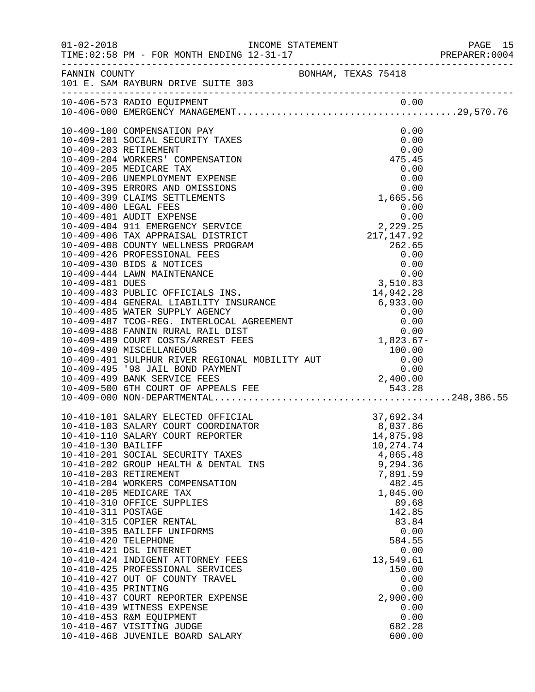|                                                                                         | INCOME STATEMENT                                                                                                                                                                                                                                                                                                                                                                                                                                                                                                                                                                                                                                                                 |                                                                                                                                                                                                                                                        | PREPARER:0004 |
|-----------------------------------------------------------------------------------------|----------------------------------------------------------------------------------------------------------------------------------------------------------------------------------------------------------------------------------------------------------------------------------------------------------------------------------------------------------------------------------------------------------------------------------------------------------------------------------------------------------------------------------------------------------------------------------------------------------------------------------------------------------------------------------|--------------------------------------------------------------------------------------------------------------------------------------------------------------------------------------------------------------------------------------------------------|---------------|
|                                                                                         | FANNIN COUNTY BONHAM, TEXAS 75418<br>101 E. SAM RAYBURN DRIVE SUITE 303                                                                                                                                                                                                                                                                                                                                                                                                                                                                                                                                                                                                          |                                                                                                                                                                                                                                                        |               |
|                                                                                         | 10-406-573 RADIO EQUIPMENT                                                                                                                                                                                                                                                                                                                                                                                                                                                                                                                                                                                                                                                       |                                                                                                                                                                                                                                                        |               |
|                                                                                         | 10-409-100 COMPENSATION PAY<br>10-409-201 SOCIAL SECURITY TAXES<br>10-409-203 RETIREMENT<br>10-409-204 WORKERS' COMPENSATION<br>10-409-205 MEDICARE TAX<br>10-409-206 UNEMPLOYMENT EXPENSE<br>10-409-395 ERRORS AND OMISSIONS<br>10-409-399 CLAIMS SETTLEMENTS<br>10-409-495 '98 JAIL BOND PAYMENT<br>10-409-499 BANK SERVICE FEES<br>10-409-500 6TH COURT OF APPEALS FEE                                                                                                                                                                                                                                                                                                        | 0.00<br>0.00<br>0.00<br>475.45<br>$\begin{array}{r} 0.00 \\ 0.00 \\ 0.00 \\ 0.00 \\ 1,665.56 \end{array}$                                                                                                                                              |               |
| 10-410-130 BAILIFF<br>10-410-311 POSTAGE<br>10-410-420 TELEPHONE<br>10-410-435 PRINTING | 10-410-101 SALARY ELECTED OFFICIAL<br>10-410-103 SALARY COURT COORDINATOR<br>10-410-110 SALARY COURT REPORTER<br>10-410-201 SOCIAL SECURITY TAXES<br>10-410-202 GROUP HEALTH & DENTAL INS<br>10-410-203 RETIREMENT<br>10-410-204 WORKERS COMPENSATION<br>10-410-205 MEDICARE TAX<br>10-410-310 OFFICE SUPPLIES<br>10-410-315 COPIER RENTAL<br>10-410-395 BAILIFF UNIFORMS<br>10-410-421 DSL INTERNET<br>10-410-424 INDIGENT ATTORNEY FEES<br>10-410-425 PROFESSIONAL SERVICES<br>10-410-427 OUT OF COUNTY TRAVEL<br>10-410-437 COURT REPORTER EXPENSE<br>10-410-439 WITNESS EXPENSE<br>10-410-453 R&M EQUIPMENT<br>10-410-467 VISITING JUDGE<br>10-410-468 JUVENILE BOARD SALARY | 37,692.34<br>8,037.86<br>14,875.98<br>10,274.74<br>4,065.48<br>9,294.36<br>7,891.59<br>482.45<br>1,045.00<br>89.68<br>142.85<br>83.84<br>0.00<br>584.55<br>0.00<br>13,549.61<br>150.00<br>0.00<br>0.00<br>2,900.00<br>0.00<br>0.00<br>682.28<br>600.00 |               |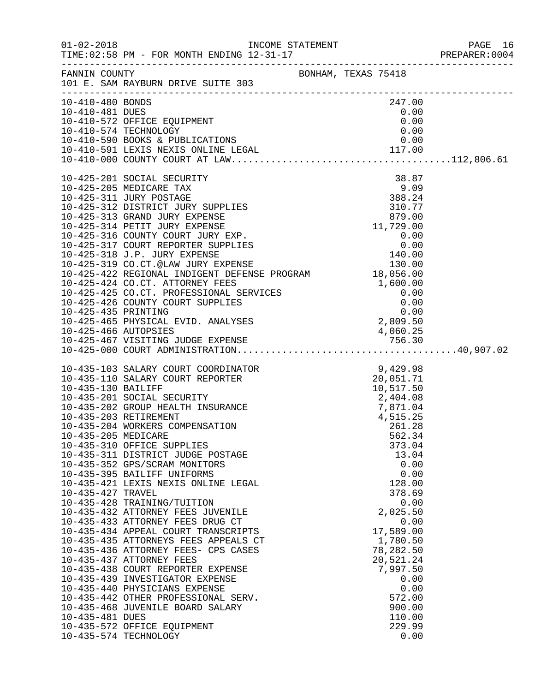|                                                                                   |                                                                                                                                                                                                                                                                                                                                                                                                                                                                                                                                                                                                                                                                                                                                                                                                                                                                                        |                                                                                                                                                                                                                                                                                                                                  | PREPARER: 0004 |
|-----------------------------------------------------------------------------------|----------------------------------------------------------------------------------------------------------------------------------------------------------------------------------------------------------------------------------------------------------------------------------------------------------------------------------------------------------------------------------------------------------------------------------------------------------------------------------------------------------------------------------------------------------------------------------------------------------------------------------------------------------------------------------------------------------------------------------------------------------------------------------------------------------------------------------------------------------------------------------------|----------------------------------------------------------------------------------------------------------------------------------------------------------------------------------------------------------------------------------------------------------------------------------------------------------------------------------|----------------|
|                                                                                   | FANNIN COUNTY BONHAM, TEXAS 75418<br>101 E. SAM RAYBURN DRIVE SUITE 303                                                                                                                                                                                                                                                                                                                                                                                                                                                                                                                                                                                                                                                                                                                                                                                                                |                                                                                                                                                                                                                                                                                                                                  |                |
| 10-410-480 BONDS                                                                  | 10-410-481 DUES<br>10-410-572 OFFICE EQUIPMENT<br>10-410-574 TECHNOLOGY<br>10-410-590 BOOKS & PUBLICATIONS<br>10-410-591 LEXIS NEXIS ONLINE LEGAL<br>10-410-591 LEXIS NEXIS ONLINE LEGAL<br>117.00<br>10-410-000 COUNTY COURT AT LAW                                                                                                                                                                                                                                                                                                                                                                                                                                                                                                                                                                                                                                                   | 247.00                                                                                                                                                                                                                                                                                                                           |                |
|                                                                                   | 10-425-465 PHYSICAL EVID. ANALYSES<br>10-425-466 AUTOPSIES<br>10-425-467 VISITING JUDGE EXPENSE                                                                                                                                                                                                                                                                                                                                                                                                                                                                                                                                                                                                                                                                                                                                                                                        | 4,060.25                                                                                                                                                                                                                                                                                                                         |                |
| 10-435-130 BAILIFF<br>10-435-205 MEDICARE<br>10-435-427 TRAVEL<br>10-435-481 DUES | 10-435-103 SALARY COURT COORDINATOR<br>10-435-110 SALARY COURT REPORTER<br>10-435-201 SOCIAL SECURITY<br>10-435-202 GROUP HEALTH INSURANCE<br>10-435-203 RETIREMENT<br>10-435-204 WORKERS COMPENSATION<br>10-435-310 OFFICE SUPPLIES<br>10-435-311 DISTRICT JUDGE POSTAGE<br>10-435-352 GPS/SCRAM MONITORS<br>10-435-395 BAILIFF UNIFORMS<br>10-435-421 LEXIS NEXIS ONLINE LEGAL<br>10-435-428 TRAINING/TUITION<br>10-435-432 ATTORNEY FEES JUVENILE<br>10-435-433 ATTORNEY FEES DRUG CT<br>10-435-434 APPEAL COURT TRANSCRIPTS<br>10-435-435 ATTORNEYS FEES APPEALS CT<br>10-435-436 ATTORNEY FEES- CPS CASES<br>10-435-437 ATTORNEY FEES<br>10-435-438 COURT REPORTER EXPENSE<br>10-435-439 INVESTIGATOR EXPENSE<br>10-435-440 PHYSICIANS EXPENSE<br>10-435-442 OTHER PROFESSIONAL SERV.<br>10-435-468 JUVENILE BOARD SALARY<br>10-435-572 OFFICE EQUIPMENT<br>10-435-574 TECHNOLOGY | 9,429.98<br>PORTER<br>PORTER<br>30,051.71<br>10,517.50<br>2,404.08<br>7,871.04<br>1 F15.07<br>261.28<br>562.34<br>373.04<br>13.04<br>0.00<br>0.00<br>128.00<br>378.69<br>0.00<br>2,025.50<br>0.00<br>17,589.00<br>1,780.50<br>78,282.50<br>20,521.24<br>7,997.50<br>0.00<br>0.00<br>572.00<br>900.00<br>110.00<br>229.99<br>0.00 |                |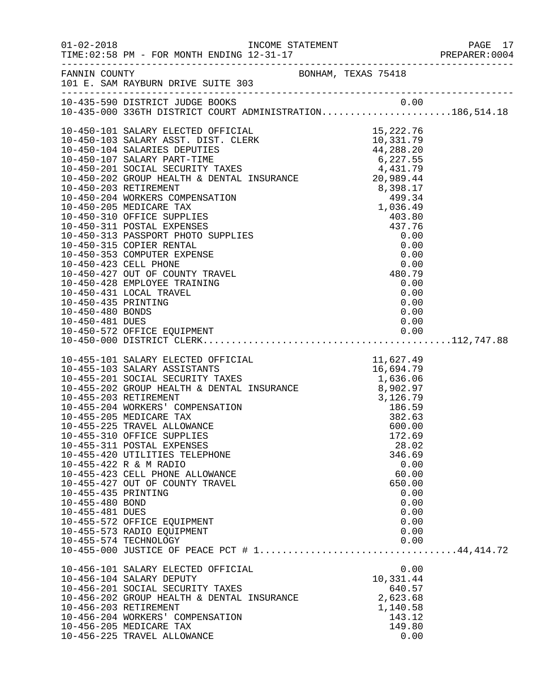|                                                           | FANNIN COUNTY<br>101 E. SAM RAYBURN DRIVE SUITE 303                                                                                                                                                                                                                                                                                                                                                                                                                                                                            |  |                                                                                                      |  |
|-----------------------------------------------------------|--------------------------------------------------------------------------------------------------------------------------------------------------------------------------------------------------------------------------------------------------------------------------------------------------------------------------------------------------------------------------------------------------------------------------------------------------------------------------------------------------------------------------------|--|------------------------------------------------------------------------------------------------------|--|
|                                                           | 10-435-590 DISTRICT JUDGE BOOKS 0.00<br>10-435-000 336TH DISTRICT COURT ADMINISTRATION186,514.18                                                                                                                                                                                                                                                                                                                                                                                                                               |  |                                                                                                      |  |
|                                                           |                                                                                                                                                                                                                                                                                                                                                                                                                                                                                                                                |  |                                                                                                      |  |
| 10-455-435 PRINTING<br>10-455-480 BOND<br>10-455-481 DUES | 10-455-101 SALARY ELECTED OFFICIAL<br>10-455-101 SALARY ELECTED OFFICIAL<br>11,627.49<br>10-455-201 SOCIAL SECURITY TAXES<br>10-455-202 GROUP HEALTH & DENTAL INSURANCE<br>10-455-202 GROUP HEALTH & DENTAL INSURANCE<br>10-455-203 RETIRE<br>10-455-310 OFFICE SUPPLIES<br>10-455-311 POSTAL EXPENSES<br>10-455-420 UTILITIES TELEPHONE<br>10-455-422 R & M RADIO<br>10-455-423 CELL PHONE ALLOWANCE<br>10-455-427 OUT OF COUNTY TRAVEL<br>10-455-572 OFFICE EQUIPMENT<br>10-455-573 RADIO EQUIPMENT<br>10-455-574 TECHNOLOGY |  | 172.69<br>28.02<br>346.69<br>0.00<br>60.00<br>650.00<br>0.00<br>0.00<br>0.00<br>0.00<br>0.00<br>0.00 |  |
|                                                           | 10-456-101 SALARY ELECTED OFFICIAL<br>10-456-104 SALARY DEPUTY<br>10-456-201 SOCIAL SECURITY TAXES<br>10-456-202 GROUP HEALTH & DENTAL INSURANCE<br>10-456-203 RETIREMENT<br>10-456-204 WORKERS' COMPENSATION<br>10-456-205 MEDICARE TAX<br>10-456-225 TRAVEL ALLOWANCE                                                                                                                                                                                                                                                        |  | 0.00<br>10,331.44<br>640.57<br>2,623.68<br>1,140.58<br>143.12<br>149.80<br>0.00                      |  |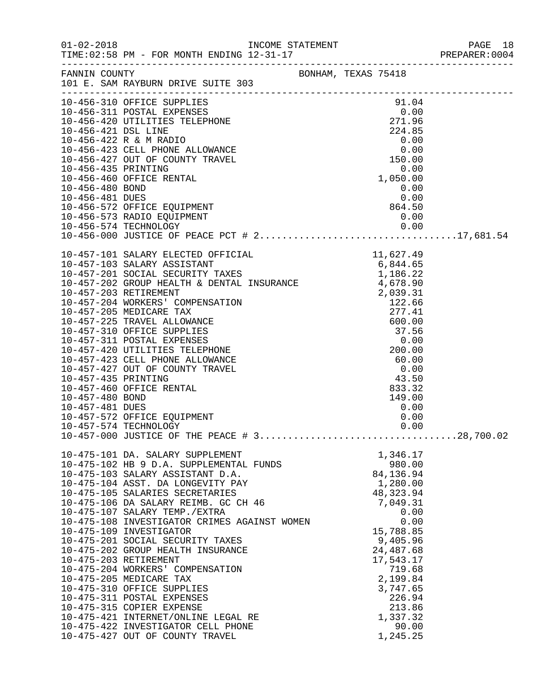|                                                           |                                                                                                                                                                                                                                                                                                                                                                                                                                                                                                                                                                                                                                                                                                                       |                                                                                                                                                                                                                                                                                                      |                                                                                                                                         |                                                                                       | PREPARER: 0004 |
|-----------------------------------------------------------|-----------------------------------------------------------------------------------------------------------------------------------------------------------------------------------------------------------------------------------------------------------------------------------------------------------------------------------------------------------------------------------------------------------------------------------------------------------------------------------------------------------------------------------------------------------------------------------------------------------------------------------------------------------------------------------------------------------------------|------------------------------------------------------------------------------------------------------------------------------------------------------------------------------------------------------------------------------------------------------------------------------------------------------|-----------------------------------------------------------------------------------------------------------------------------------------|---------------------------------------------------------------------------------------|----------------|
|                                                           | FANNIN COUNTY<br>101 E. SAM RAYBURN DRIVE SUITE 303                                                                                                                                                                                                                                                                                                                                                                                                                                                                                                                                                                                                                                                                   | BONHAM, TEXAS 75418                                                                                                                                                                                                                                                                                  |                                                                                                                                         |                                                                                       |                |
| 10-456-435 PRINTING<br>10-456-480 BOND<br>10-456-481 DUES | 10-456-311 POSTAL EXPENSES<br>10-456-420 UTILITIES TELEPHONE<br>10-456-420 UTILITIES TELEPHONE<br>10-456-421 DSL LINE<br>10-456-422 R & M RADIO<br>10-456-422 R & M RADIO<br>10-456-422 CH & M RADIO<br>10-456-422 R & M RADIO 0.00<br>10-456-423 CELL PHONE ALLOWANCE 0.00<br>10-456-427 OUT OF COUNTY TRAVEL 150.00<br>10-456-460 OFFICE RENTAL<br>10-456-572 OFFICE EQUIPMENT<br>10-456-573 RADIO EQUIPMENT                                                                                                                                                                                                                                                                                                        | $-55.50$<br>0.00<br>1,050.00<br>$0.00$<br>0.00<br>0.00<br>864.50<br>0.00                                                                                                                                                                                                                             |                                                                                                                                         |                                                                                       |                |
|                                                           |                                                                                                                                                                                                                                                                                                                                                                                                                                                                                                                                                                                                                                                                                                                       |                                                                                                                                                                                                                                                                                                      |                                                                                                                                         |                                                                                       |                |
| 10-457-435 PRINTING<br>10-457-480 BOND<br>10-457-481 DUES | 10-457-101 SALARY ELECTED OFFICIAL 11,627.49<br>10-457-103 SALARY ASSISTANT 6,844.65<br>10-457-201 SOCIAL SECURITY TAXES 1,186.22<br>10-457-202 GROUP HEALTH & DENTAL INSURANCE 4,678.90<br>10.457.202 DETIDEMENT<br>10-457-203 RETIREMENT<br>10-457-204 WORKERS' COMPENSATION<br>10-457-205 MEDICARE TAX<br>10-457-225 TRAVEL ALLOWANCE<br>10-457-310 OFFICE SUPPLIES<br>10-457-311 POSTAL EXPENSES<br>10-457-420 UTILITIES TELEPHONE<br>10-457-423 CELL PHONE ALLOWANCE<br>10-457-427 OUT OF COUNTY TRAVEL<br>10-457-460 OFFICE RENTAL<br>10-457-572 OFFICE EQUIPMENT<br>10-457-574 TECHNOLOGY<br>10-457-000 JUSTICE OF THE PEACE # 328,700.02                                                                      | WEL:<br>WEL:<br>WEL:<br>WEL:<br>WEL:<br>WEL:<br>WEL:<br>WEL:<br>WEL:<br>WEL:<br>WEL:<br>WEL:<br>200.00<br>43.50<br>200.00<br>43.50<br>200.00<br>43.50<br>0.00<br>43.50<br>0.00<br>43.50<br>0.00<br>0.00<br>43.50<br>0.00<br>0.00<br>0.00<br>0.00<br>0.00<br>0.00<br>0.00<br>0.00<br>0.00<br>0.00<br> |                                                                                                                                         | 0.00                                                                                  |                |
|                                                           | 10-475-101 DA. SALARY SUPPLEMENT<br>10-475-102 HB 9 D.A. SUPPLEMENTAL FUNDS<br>10-475-103 SALARY ASSISTANT D.A.<br>10-475-104 ASST. DA LONGEVITY PAY<br>10-475-105 SALARIES SECRETARIES<br>10-475-106 DA SALARY REIMB. GC CH 46<br>10-475-107 SALARY TEMP./EXTRA<br>10-475-108 INVESTIGATOR CRIMES AGAINST WOMEN<br>10-475-109 INVESTIGATOR<br>10-475-201 SOCIAL SECURITY TAXES<br>10-475-202 GROUP HEALTH INSURANCE<br>10-475-203 RETIREMENT<br>10-475-204 WORKERS' COMPENSATION<br>10-475-205 MEDICARE TAX<br>10-475-310 OFFICE SUPPLIES<br>10-475-311 POSTAL EXPENSES<br>10-475-315 COPIER EXPENSE<br>10-475-421 INTERNET/ONLINE LEGAL RE<br>10-475-422 INVESTIGATOR CELL PHONE<br>10-475-427 OUT OF COUNTY TRAVEL |                                                                                                                                                                                                                                                                                                      | 1,346.17<br>84,136.94<br>1,280.00<br>48, 323. 94<br>7,049.31<br>15,788.85<br>9,405.96<br>24,487.68<br>17,543.17<br>3,747.65<br>1,245.25 | 980.00<br>0.00<br>0.00<br>719.68<br>2,199.84<br>226.94<br>213.86<br>1,337.32<br>90.00 |                |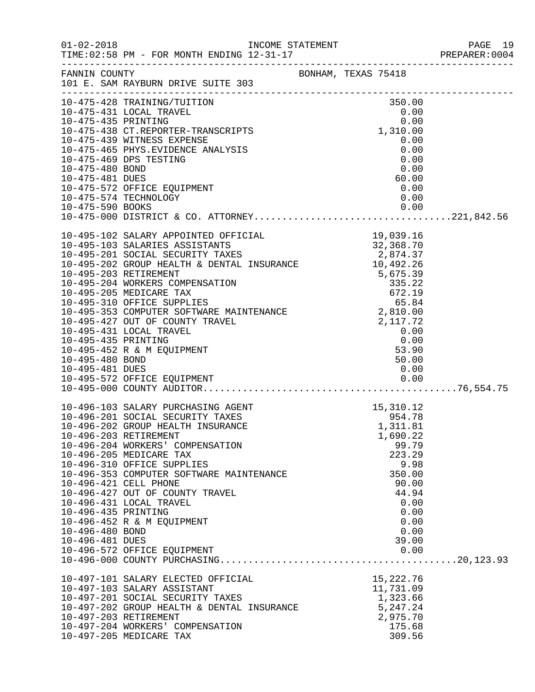|                                                           |                                                                                                                                                                                                                                                                                                                                                                                                                                   |                                                                                                                                                                                                | PREPARER: 0004 |
|-----------------------------------------------------------|-----------------------------------------------------------------------------------------------------------------------------------------------------------------------------------------------------------------------------------------------------------------------------------------------------------------------------------------------------------------------------------------------------------------------------------|------------------------------------------------------------------------------------------------------------------------------------------------------------------------------------------------|----------------|
|                                                           | FANNIN COUNTY BONHAM, TEXAS 75418<br>101 E. SAM RAYBURN DRIVE SUITE 303                                                                                                                                                                                                                                                                                                                                                           |                                                                                                                                                                                                |                |
| 10-475-480 BOND<br>10-475-481 DUES                        | 10-475-428 TRAINING/TUITION 350.00<br>10-475-431 LOCAL TRAVEL 0.00<br>10-475-435 PRINTING 0.00<br>10-475-438 CT.REPORTER-TRANSCRIPTS 1,310.00<br>10-475-439 WITNESS EXPENSE<br>10-475-465 PHYS.EVIDENCE ANALYSIS<br>10-475-469 DPS TESTING<br>10-475-572 OFFICE EQUIPMENT<br>10-475-574 TECHNOLOGY                                                                                                                                | 0.00<br>0.00<br>0.00<br>0.00<br>60.00<br>0.00<br>0.00                                                                                                                                          |                |
| 10-495-435 PRINTING<br>10-495-480 BOND<br>10-495-481 DUES | $\begin{tabular}{lllllllllllllllllllllllllllllllllll} \textbf{19,039.16} \\ \textbf{10-495-103 SALARIES ASSISTANTS} & & & & & 19,039.16 \\ \textbf{10-495-201 SOLAL SECURITY TAXES} & & & & 32,368.70 \\ \textbf{10-495-201 SOCIAL SECURITY TAXES} & & & 2,874.37 \\ \textbf{10-495-202 GROUP HEALTH & DENTAL INSURANCE} & & 10,492.26 \\ \textbf{10-495-203 RETIREMENT} & & & 5,6$<br>10-495-452 R & M EQUIPMENT                 | $\begin{array}{c} 0.00 \\ 0.00 \\ 53.90 \\ 50.00 \end{array}$<br>50.00<br>0.00                                                                                                                 |                |
| 10-496-435 PRINTING<br>10-496-480 BOND<br>10-496-481 DUES | 10-496-103 SALARY PURCHASING AGENT<br>10-496-201 SOCIAL SECURITY TAXES<br>10-496-202 GROUP HEALTH INSURANCE<br>10-496-203 RETIREMENT<br>10-496-204 WORKERS' COMPENSATION<br>10-496-205 MEDICARE TAX<br>10-496-310 OFFICE SUPPLIES<br>10-496-353 COMPUTER SOFTWARE MAINTENANCE<br>10-496-421 CELL PHONE<br>10-496-427 OUT OF COUNTY TRAVEL<br>10-496-431 LOCAL TRAVEL<br>10-496-452 R & M EQUIPMENT<br>10-496-572 OFFICE EQUIPMENT | $\begin{array}{r} 15,310.12 \\ 954.78 \\ 1,311.81 \\ 1,500.22 \end{array}$<br>1,690.22<br>99.79<br>223.29<br>9.98<br>350.00<br>90.00<br>44.94<br>0.00<br>0.00<br>0.00<br>0.00<br>39.00<br>0.00 |                |
|                                                           | 10-497-101 SALARY ELECTED OFFICIAL<br>10-497-103 SALARY ASSISTANT<br>10-497-201 SOCIAL SECURITY TAXES<br>10-497-202 GROUP HEALTH & DENTAL INSURANCE<br>10-497-203 RETIREMENT<br>10-497-204 WORKERS' COMPENSATION<br>10-497-205 MEDICARE TAX                                                                                                                                                                                       | 15,222.76<br>11,731.09<br>1,323.66<br>5,247.24<br>2,975.70<br>175.68<br>309.56                                                                                                                 |                |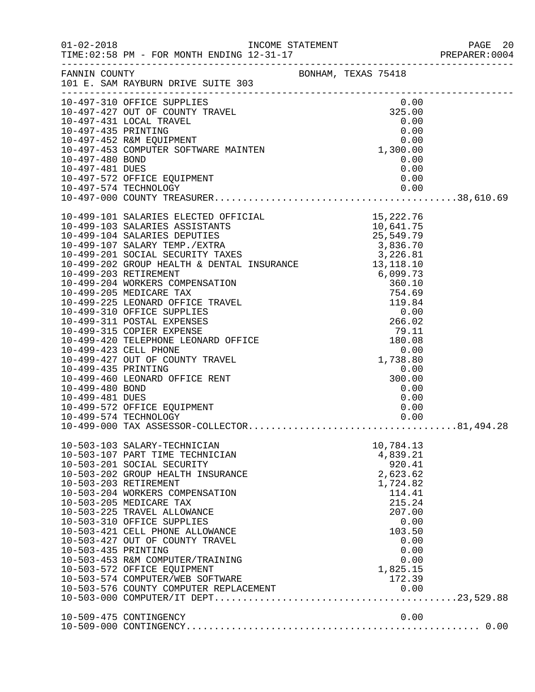|                                    |                                                                                                                                                                                                                                                                                                                                                                                                                                                                                                               |                                                                                                                                                               | PREPARER: 0004 |
|------------------------------------|---------------------------------------------------------------------------------------------------------------------------------------------------------------------------------------------------------------------------------------------------------------------------------------------------------------------------------------------------------------------------------------------------------------------------------------------------------------------------------------------------------------|---------------------------------------------------------------------------------------------------------------------------------------------------------------|----------------|
|                                    | FANNIN COUNTY<br>101 E. SAM RAYBURN DRIVE SUITE 303                                                                                                                                                                                                                                                                                                                                                                                                                                                           |                                                                                                                                                               |                |
|                                    | $\begin{tabular}{lllllllllllllllllllll} 10-497-310 & {\tt OFFICE} & {\tt SUPPLIES} & 0.00 \\ 10-497-427 & {\tt OUT OF COUNTY TRAVEL} & 325.00 \\ 10-497-431 & {\tt LOCAL TRAVEL} & 0.00 \\ 10-497-435 & {\tt PRINTING} & 0.00 \\ 10-497-452 & {\tt R&M ECQUIPMENT} & 0.00 \\ 10-497-453 & {\tt COMPUTER SCFTWARE MAINTEM} & 1,300.00 \\ 10-497-480 & {\tt BOND} & 0.0$                                                                                                                                        |                                                                                                                                                               |                |
|                                    | 10-497-572 OFFICE EQUIPMENT<br>10-497-574 TECHNOLOGY                                                                                                                                                                                                                                                                                                                                                                                                                                                          | 0.00<br>0.00                                                                                                                                                  |                |
|                                    |                                                                                                                                                                                                                                                                                                                                                                                                                                                                                                               |                                                                                                                                                               |                |
| 10-499-435 PRINTING                | 10-499-423 CELL PHONE<br>10-499-427 OUT OF COUNTY TRAVEL<br>10-499-460 LEONARD OFFICE RENT                                                                                                                                                                                                                                                                                                                                                                                                                    | $0.00$<br>0.00<br>1,738.80<br>0.00<br>0.00<br>300.00                                                                                                          |                |
| 10-499-480 BOND<br>10-499-481 DUES | 10-499-572 OFFICE EQUIPMENT                                                                                                                                                                                                                                                                                                                                                                                                                                                                                   | 0.00<br>0.00<br>0.00                                                                                                                                          |                |
| 10-503-435 PRINTING                | 10-503-103 SALARY-TECHNICIAN<br>10-503-107 PART TIME TECHNICIAN<br>10-503-201 SOCIAL SECURITY<br>10-503-202 GROUP HEALTH INSURANCE<br>10-503-203 RETIREMENT<br>10-503-204 WORKERS COMPENSATION<br>10-503-205 MEDICARE TAX<br>10-503-225 TRAVEL ALLOWANCE<br>10-503-310 OFFICE SUPPLIES<br>10-503-421 CELL PHONE ALLOWANCE<br>10-503-427 OUT OF COUNTY TRAVEL<br>10-503-453 R&M COMPUTER/TRAINING<br>10-503-572 OFFICE EQUIPMENT<br>10-503-574 COMPUTER/WEB SOFTWARE<br>10-503-576 COUNTY COMPUTER REPLACEMENT | 10,784.13<br>4,839.21<br>920.41<br>2,623.62<br>1,724.82<br>114.41<br>215.24<br>207.00<br>0.00<br>103.50<br>0.00<br>0.00<br>0.00<br>1,825.15<br>172.39<br>0.00 |                |
|                                    | 10-509-475 CONTINGENCY                                                                                                                                                                                                                                                                                                                                                                                                                                                                                        | 0.00                                                                                                                                                          |                |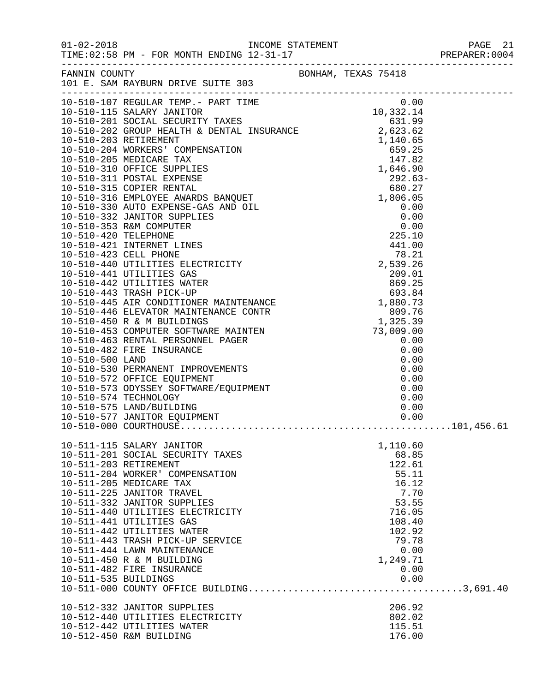01-02-2018 INCOME STATEMENT PAGE 21<br>TIME:02:58 PM - FOR MONTH ENDING 12-31-17 TIME:02:58 PM - FOR MONTH ENDING 12-31-17

| FANNIN COUNTY        |                                                                                                                                                                                                                                         |          |  |
|----------------------|-----------------------------------------------------------------------------------------------------------------------------------------------------------------------------------------------------------------------------------------|----------|--|
|                      | FANNIN COUNTY<br>101 E. SAM RAYBURN DRIVE SUITE 303                                                                                                                                                                                     |          |  |
|                      |                                                                                                                                                                                                                                         |          |  |
|                      |                                                                                                                                                                                                                                         |          |  |
|                      |                                                                                                                                                                                                                                         |          |  |
|                      |                                                                                                                                                                                                                                         |          |  |
|                      |                                                                                                                                                                                                                                         |          |  |
|                      |                                                                                                                                                                                                                                         |          |  |
|                      |                                                                                                                                                                                                                                         |          |  |
|                      |                                                                                                                                                                                                                                         |          |  |
|                      |                                                                                                                                                                                                                                         |          |  |
|                      |                                                                                                                                                                                                                                         |          |  |
|                      |                                                                                                                                                                                                                                         |          |  |
|                      |                                                                                                                                                                                                                                         |          |  |
|                      |                                                                                                                                                                                                                                         |          |  |
|                      |                                                                                                                                                                                                                                         |          |  |
|                      |                                                                                                                                                                                                                                         |          |  |
|                      |                                                                                                                                                                                                                                         |          |  |
|                      |                                                                                                                                                                                                                                         |          |  |
|                      |                                                                                                                                                                                                                                         |          |  |
|                      |                                                                                                                                                                                                                                         |          |  |
|                      |                                                                                                                                                                                                                                         |          |  |
|                      |                                                                                                                                                                                                                                         |          |  |
|                      |                                                                                                                                                                                                                                         |          |  |
|                      |                                                                                                                                                                                                                                         |          |  |
|                      |                                                                                                                                                                                                                                         |          |  |
|                      |                                                                                                                                                                                                                                         |          |  |
|                      |                                                                                                                                                                                                                                         |          |  |
|                      |                                                                                                                                                                                                                                         |          |  |
|                      |                                                                                                                                                                                                                                         |          |  |
|                      |                                                                                                                                                                                                                                         |          |  |
|                      |                                                                                                                                                                                                                                         |          |  |
|                      |                                                                                                                                                                                                                                         |          |  |
|                      |                                                                                                                                                                                                                                         |          |  |
|                      |                                                                                                                                                                                                                                         |          |  |
|                      |                                                                                                                                                                                                                                         |          |  |
|                      |                                                                                                                                                                                                                                         |          |  |
|                      |                                                                                                                                                                                                                                         |          |  |
|                      |                                                                                                                                                                                                                                         |          |  |
|                      |                                                                                                                                                                                                                                         |          |  |
|                      |                                                                                                                                                                                                                                         |          |  |
|                      | 101 B. SM RAYSURM DRIVER 301 MINTERNANCE CRIP (101 0)<br>10-510-107 RECELEAS TEMP - PART TIME (101 0)<br>10-510-115 SALARY JANITOR TART TIME (102)<br>10-510-203 RETERENT (100 DRIVER)<br>10-510-203 RETERENT (100 DRIVER)<br>10-510-20 |          |  |
|                      |                                                                                                                                                                                                                                         |          |  |
|                      | 10-511-115 SALARY JANITOR<br>10-511-201 SOCIAL SECURITY TAXES<br>10-511-115 SALARY JANITOR                                                                                                                                              | 1,110.60 |  |
|                      |                                                                                                                                                                                                                                         | 68.85    |  |
|                      | 10-511-203 RETIREMENT                                                                                                                                                                                                                   | 122.61   |  |
|                      | 10-511-204 WORKER' COMPENSATION                                                                                                                                                                                                         | 55.11    |  |
|                      |                                                                                                                                                                                                                                         |          |  |
|                      | 10-511-205 MEDICARE TAX                                                                                                                                                                                                                 | 16.12    |  |
|                      | 10-511-225 JANITOR TRAVEL                                                                                                                                                                                                               | 7.70     |  |
|                      | 10-511-332 JANITOR SUPPLIES                                                                                                                                                                                                             | 53.55    |  |
|                      | 10-511-440 UTILITIES ELECTRICITY                                                                                                                                                                                                        | 716.05   |  |
|                      | 10-511-441 UTILITIES GAS                                                                                                                                                                                                                | 108.40   |  |
|                      | 10-511-442 UTILITIES WATER                                                                                                                                                                                                              | 102.92   |  |
|                      | 10-511-443 TRASH PICK-UP SERVICE                                                                                                                                                                                                        | 79.78    |  |
|                      | 10-511-444 LAWN MAINTENANCE                                                                                                                                                                                                             | 0.00     |  |
|                      | 10-511-450 R & M BUILDING                                                                                                                                                                                                               | 1,249.71 |  |
|                      | 10-511-482 FIRE INSURANCE                                                                                                                                                                                                               | 0.00     |  |
| 10-511-535 BUILDINGS |                                                                                                                                                                                                                                         | 0.00     |  |
|                      |                                                                                                                                                                                                                                         |          |  |
|                      |                                                                                                                                                                                                                                         |          |  |
|                      | 10-512-332 JANITOR SUPPLIES                                                                                                                                                                                                             | 206.92   |  |
|                      | 10-512-440 UTILITIES ELECTRICITY                                                                                                                                                                                                        | 802.02   |  |
|                      | 10-512-442 UTILITIES WATER                                                                                                                                                                                                              | 115.51   |  |
|                      | 10-512-450 R&M BUILDING                                                                                                                                                                                                                 | 176.00   |  |
|                      |                                                                                                                                                                                                                                         |          |  |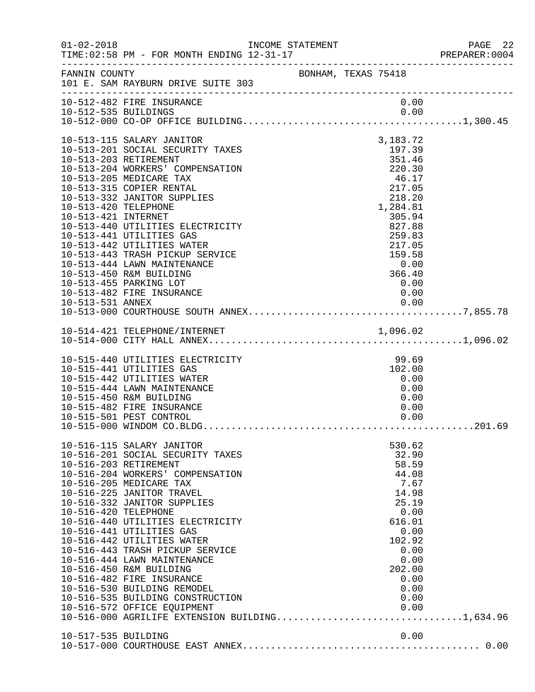| $01 - 02 - 2018$                                                | INCOME STATEMENT                                                                                                                                                                                                                                                                                                                                                                                                                                                                                                                                                                                                                  |  |                                                                                                                                                                                                                        | PAGE 22<br>PREPARER:0004 |
|-----------------------------------------------------------------|-----------------------------------------------------------------------------------------------------------------------------------------------------------------------------------------------------------------------------------------------------------------------------------------------------------------------------------------------------------------------------------------------------------------------------------------------------------------------------------------------------------------------------------------------------------------------------------------------------------------------------------|--|------------------------------------------------------------------------------------------------------------------------------------------------------------------------------------------------------------------------|--------------------------|
|                                                                 | FANNIN COUNTY BONHAM, TEXAS 75418<br>101 E. SAM RAYBURN DRIVE SUITE 303                                                                                                                                                                                                                                                                                                                                                                                                                                                                                                                                                           |  |                                                                                                                                                                                                                        |                          |
|                                                                 | 10-512-482 FIRE INSURANCE                                                                                                                                                                                                                                                                                                                                                                                                                                                                                                                                                                                                         |  | 0.00                                                                                                                                                                                                                   |                          |
| 10-513-420 TELEPHONE<br>10-513-421 INTERNET<br>10-513-531 ANNEX | 10-513-115 SALARY JANITOR<br>10-513-201 SOCIAL SECURITY TAXES<br>10-513-203 RETIREMENT<br>10-513-204 WORKERS' COMPENSATION<br>10-513-205 MEDICARE TAX<br>10-513-315 COPIER RENTAL<br>10-513-332 JANITOR SUPPLIES<br>10-513-440 UTILITIES ELECTRICITY<br>10-513-441 UTILITIES GAS<br>10-513-442 UTILITIES WATER<br>10-513-443 TRASH PICKUP SERVICE<br>10-513-444 LAWN MAINTENANCE<br>10-513-450 R&M BUILDING<br>10-513-455 PARKING LOT<br>10-513-482 FIRE INSURANCE                                                                                                                                                                |  | 3,183.72<br>197.39<br>351.46<br>220.30<br>$\begin{array}{c} 46.17 \\ 217.05 \\ 218.20 \\ 1,284.81 \end{array}$<br>1,284.81<br>305.94<br>827.88<br>259.83<br>217.05<br>159.58<br>0.00<br>366.40<br>0.00<br>0.00<br>0.00 |                          |
|                                                                 |                                                                                                                                                                                                                                                                                                                                                                                                                                                                                                                                                                                                                                   |  |                                                                                                                                                                                                                        |                          |
|                                                                 | 10-515-440 UTILITIES ELECTRICITY<br>10-515-441 UTILITIES GAS<br>10-515-442 UTILITIES WATER<br>10-515-444 LAWN MAINTENANCE<br>10-515-450 R&M BUILDING<br>10-515-482 FIRE INSURANCE<br>10-515-501 PEST CONTROL                                                                                                                                                                                                                                                                                                                                                                                                                      |  | 99.69<br>102.00<br>0.00<br>0.00<br>0.00<br>0.00<br>0.00                                                                                                                                                                |                          |
| 10-516-420 TELEPHONE                                            | 10-516-115 SALARY JANITOR<br>10-516-201 SOCIAL SECURITY TAXES<br>10-516-203 RETIREMENT<br>10-516-204 WORKERS' COMPENSATION<br>10-516-205 MEDICARE TAX<br>10-516-225 JANITOR TRAVEL<br>10-516-332 JANITOR SUPPLIES<br>10-516-440 UTILITIES ELECTRICITY<br>10-516-441 UTILITIES GAS<br>10-516-442 UTILITIES WATER<br>10-516-443 TRASH PICKUP SERVICE<br>10-516-444 LAWN MAINTENANCE<br>10-516-450 R&M BUILDING<br>10-516-482 FIRE INSURANCE<br>10-516-530 BUILDING REMODEL<br>10-516-535 BUILDING CONSTRUCTION<br>10-516-572 OFFICE EQUIPMENT<br>10-516-572 OFFICE EQUIPMENT 0.00<br>10-516-000 AGRILIFE EXTENSION BUILDING1,634.96 |  | 530.62<br>32.90<br>58.59<br>44.08<br>7.67<br>14.98<br>25.19<br>0.00<br>616.01<br>0.00<br>102.92<br>0.00<br>0.00<br>202.00<br>0.00<br>0.00<br>0.00<br>0.00                                                              |                          |
| 10-517-535 BUILDING                                             |                                                                                                                                                                                                                                                                                                                                                                                                                                                                                                                                                                                                                                   |  | 0.00                                                                                                                                                                                                                   |                          |
|                                                                 |                                                                                                                                                                                                                                                                                                                                                                                                                                                                                                                                                                                                                                   |  |                                                                                                                                                                                                                        |                          |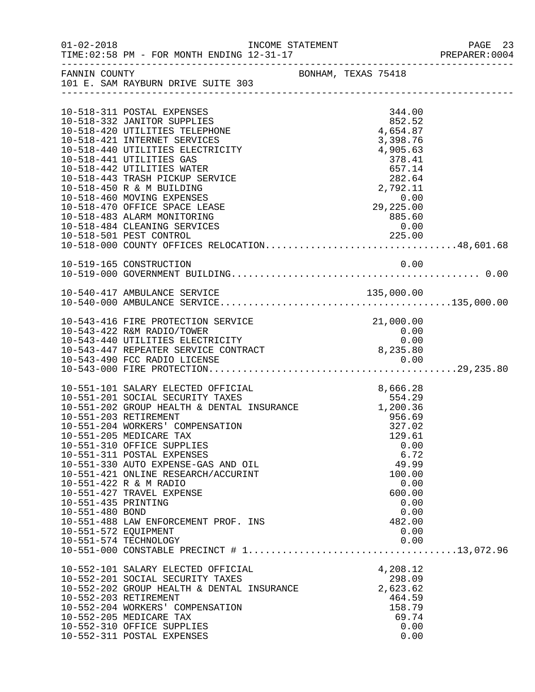| $01 - 02 - 2018$      |                                                                                                                 | INCOME STATEMENT    |  |                                                                     |              | PAGE 23 |
|-----------------------|-----------------------------------------------------------------------------------------------------------------|---------------------|--|---------------------------------------------------------------------|--------------|---------|
| FANNIN COUNTY         | 101 E. SAM RAYBURN DRIVE SUITE 303                                                                              | BONHAM, TEXAS 75418 |  |                                                                     |              |         |
|                       | 10-518-311 POSTAL EXPENSES                                                                                      |                     |  | 344.00                                                              |              |         |
|                       | 10-518-332 JANITOR SUPPLIES                                                                                     |                     |  | 852.52                                                              |              |         |
|                       | 10-518-420 UTILITIES TELEPHONE                                                                                  |                     |  | 4,654.87                                                            |              |         |
|                       | 10-518-421 INTERNET SERVICES                                                                                    |                     |  | 3,398.76                                                            |              |         |
|                       | 10-518-440 UTILITIES ELECTRICITY                                                                                |                     |  | 4,905.63                                                            |              |         |
|                       | 10-518-441 UTILITIES GAS<br>10-518-442 UTILITIES WATER                                                          |                     |  | 378.41                                                              |              |         |
|                       | 10-518-443 TRASH PICKUP SERVICE                                                                                 |                     |  |                                                                     |              |         |
|                       | 10-518-450 R & M BUILDING                                                                                       |                     |  | $\begin{array}{r} 657.11 \\ 282.64 \\ 2,792.11 \\ 0.00 \end{array}$ |              |         |
|                       | 10-518-460 MOVING EXPENSES                                                                                      |                     |  |                                                                     |              |         |
|                       | 10-518-470 OFFICE SPACE LEASE                                                                                   |                     |  | 0.00<br>29,225.00                                                   |              |         |
|                       | 10-518-483 ALARM MONITORING                                                                                     |                     |  | 885.60                                                              |              |         |
|                       | 10-518-484 CLEANING SERVICES                                                                                    |                     |  | 0.00                                                                |              |         |
|                       | 10-518-501 PEST CONTROL 225.00<br>10-518-000 COUNTY OFFICES RELOCATION48,601.68                                 |                     |  |                                                                     |              |         |
|                       |                                                                                                                 |                     |  |                                                                     |              |         |
|                       |                                                                                                                 |                     |  |                                                                     | 0.00         |         |
|                       | 10-519-165 CONSTRUCTION                                                                                         |                     |  |                                                                     |              |         |
|                       |                                                                                                                 |                     |  |                                                                     |              |         |
|                       |                                                                                                                 |                     |  |                                                                     |              |         |
|                       |                                                                                                                 |                     |  |                                                                     |              |         |
|                       |                                                                                                                 |                     |  |                                                                     |              |         |
|                       | 10-543-416 FIRE PROTECTION SERVICE                                                                              |                     |  | 21,000.00                                                           |              |         |
|                       | 10-543-422 R&M RADIO/TOWER                                                                                      |                     |  | 0.00                                                                |              |         |
|                       | 10-543-440 UTILITIES ELECTRICITY                                                                                |                     |  |                                                                     | 0.00         |         |
|                       | 10-543-447 REPEATER SERVICE CONTRACT                                                                            |                     |  | 8,235.80                                                            |              |         |
|                       |                                                                                                                 |                     |  |                                                                     |              |         |
|                       |                                                                                                                 |                     |  |                                                                     |              |         |
|                       | 10-551-101 SALARY ELECTED OFFICIAL                                                                              |                     |  | 8,666.28                                                            |              |         |
|                       | 10-551-201 SOCIAL SECURITY TAXES<br>10-551-202 GROUP HEALTH & DENTAL INSURANCE 1,200.36<br>10 E51 202 DEELEMBER | $\mathcal{L}$       |  |                                                                     |              |         |
|                       |                                                                                                                 |                     |  |                                                                     |              |         |
| 10-551-203 RETIREMENT |                                                                                                                 |                     |  | 956.69                                                              |              |         |
|                       | 10-551-204 WORKERS' COMPENSATION                                                                                |                     |  | 327.02                                                              |              |         |
|                       | 10-551-205 MEDICARE TAX                                                                                         |                     |  | 129.61                                                              |              |         |
|                       | 10-551-310 OFFICE SUPPLIES<br>10-551-311 POSTAL EXPENSES                                                        |                     |  |                                                                     | 0.00<br>6.72 |         |
|                       | 10-551-330 AUTO EXPENSE-GAS AND OIL                                                                             |                     |  | 49.99                                                               |              |         |
|                       | 10-551-421 ONLINE RESEARCH/ACCURINT                                                                             |                     |  | 100.00                                                              |              |         |
|                       | 10-551-422 R & M RADIO                                                                                          |                     |  |                                                                     | 0.00         |         |
|                       | 10-551-427 TRAVEL EXPENSE                                                                                       |                     |  | 600.00                                                              |              |         |
| 10-551-435 PRINTING   |                                                                                                                 |                     |  |                                                                     | 0.00         |         |
| 10-551-480 BOND       |                                                                                                                 |                     |  |                                                                     | 0.00         |         |
|                       | 10-551-488 LAW ENFORCEMENT PROF. INS                                                                            |                     |  | 482.00                                                              |              |         |
| 10-551-572 EQUIPMENT  |                                                                                                                 |                     |  |                                                                     | 0.00         |         |
|                       | 10-551-574 TECHNOLOGY                                                                                           |                     |  |                                                                     | 0.00         |         |
|                       |                                                                                                                 |                     |  |                                                                     |              |         |
|                       | 10-552-101 SALARY ELECTED OFFICIAL                                                                              |                     |  | 4,208.12                                                            |              |         |
|                       | 10-552-201 SOCIAL SECURITY TAXES                                                                                |                     |  | 298.09                                                              |              |         |
|                       | 10-552-202 GROUP HEALTH & DENTAL INSURANCE                                                                      |                     |  | 2,623.62                                                            |              |         |
|                       | 10-552-203 RETIREMENT                                                                                           |                     |  | 464.59                                                              |              |         |
|                       | 10-552-204 WORKERS' COMPENSATION                                                                                |                     |  | 158.79                                                              |              |         |
|                       | 10-552-205 MEDICARE TAX                                                                                         |                     |  | 69.74                                                               |              |         |
|                       | 10-552-310 OFFICE SUPPLIES                                                                                      |                     |  |                                                                     | 0.00         |         |
|                       | 10-552-311 POSTAL EXPENSES                                                                                      |                     |  |                                                                     | 0.00         |         |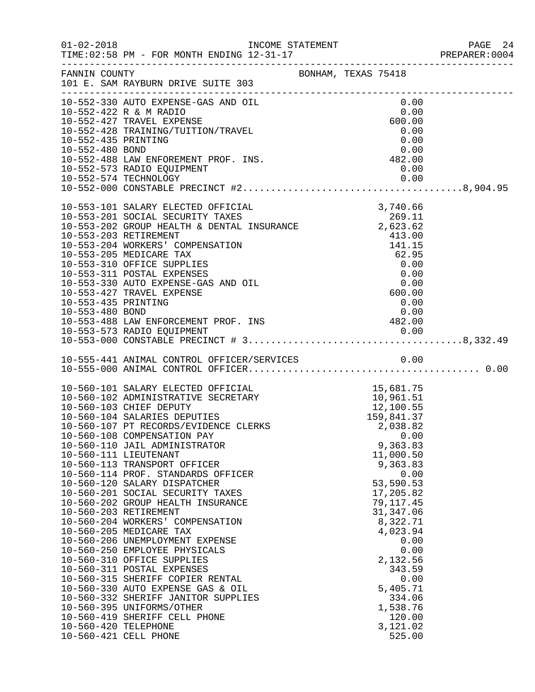|                                        |                                                                                                                                                                                                                                                                                                                                                                                                                                                                                                                                                                                                                                                                                                                                                                                                                                                                                                                                                 |  |                                                                                                                                                                                                         |                                      | PREPARER: 0004 |
|----------------------------------------|-------------------------------------------------------------------------------------------------------------------------------------------------------------------------------------------------------------------------------------------------------------------------------------------------------------------------------------------------------------------------------------------------------------------------------------------------------------------------------------------------------------------------------------------------------------------------------------------------------------------------------------------------------------------------------------------------------------------------------------------------------------------------------------------------------------------------------------------------------------------------------------------------------------------------------------------------|--|---------------------------------------------------------------------------------------------------------------------------------------------------------------------------------------------------------|--------------------------------------|----------------|
|                                        | FANNIN COUNTY                                                                                                                                                                                                                                                                                                                                                                                                                                                                                                                                                                                                                                                                                                                                                                                                                                                                                                                                   |  |                                                                                                                                                                                                         |                                      |                |
| 10-552-435 PRINTING<br>10-552-480 BOND | 10-552-330 AUTO EXPENSE-GAS AND OIL<br>10-552-422 R & M RADIO<br>10-552-427 TRAVEL EXPENSE<br>10-552-428 TRAINING/TUITION/TRAVEL<br>$10-552-488$ LAW ENFOREMENT PROF. INS.<br>$10-552-572$ RADIO FOULDMENT<br>10-552-573 RADIO EQUIPMENT                                                                                                                                                                                                                                                                                                                                                                                                                                                                                                                                                                                                                                                                                                        |  | 0.00<br>0.00<br>600.00<br>0.00<br>0.00<br>0.00<br>0.00                                                                                                                                                  |                                      |                |
| 10-553-435 PRINTING                    | 0.00<br>10-553-480 BOND 0.00<br>10-553-488 LAW ENFORCEMENT PROF. INS 482.00<br>10-553-573 RADIO EQUIPMENT                                                                                                                                                                                                                                                                                                                                                                                                                                                                                                                                                                                                                                                                                                                                                                                                                                       |  | 0.00                                                                                                                                                                                                    |                                      |                |
|                                        |                                                                                                                                                                                                                                                                                                                                                                                                                                                                                                                                                                                                                                                                                                                                                                                                                                                                                                                                                 |  |                                                                                                                                                                                                         |                                      |                |
| 10-560-420 TELEPHONE                   | 10-560-101 SALARY ELECTED OFFICIAL 15,681.75<br>10-560-102 ADMINISTRATIVE SECRETARY 10,961.51<br>10-560-103 CHIEF DEPUTY 12,100.55<br>10-560-104 SALARIES DEPUTIES 159,841.37<br>10-560-107 PT RECORDS/EVIDENCE CLERKS 2,038.82<br>10-56<br>10-560-108 COMPENSATION PAY<br>10-560-110 JAIL ADMINISTRATOR<br>10-560-111 LIEUTENANT<br>10-560-113 TRANSPORT OFFICER<br>10-560-114 PROF. STANDARDS OFFICER<br>10-560-120 SALARY DISPATCHER<br>10-560-201 SOCIAL SECURITY TAXES<br>10-560-202 GROUP HEALTH INSURANCE<br>10-560-203 RETIREMENT<br>10-560-204 WORKERS' COMPENSATION<br>10-560-205 MEDICARE TAX<br>10-560-206 UNEMPLOYMENT EXPENSE<br>10-560-250 EMPLOYEE PHYSICALS<br>10-560-310 OFFICE SUPPLIES<br>10-560-311 POSTAL EXPENSES<br>10-560-315 SHERIFF COPIER RENTAL<br>10-560-330 AUTO EXPENSE GAS & OIL<br>10-560-332 SHERIFF JANITOR SUPPLIES<br>10-560-395 UNIFORMS/OTHER<br>10-560-419 SHERIFF CELL PHONE<br>10-560-421 CELL PHONE |  | 9,363.83<br>11,000.50<br>9,363.83<br>53,590.53<br>17,205.82<br>79, 117.45<br>31, 347.06<br>8,322.71<br>4,023.94<br>2,132.56<br>343.59<br>5,405.71<br>334.06<br>1,538.76<br>120.00<br>3,121.02<br>525.00 | 0.00<br>0.00<br>0.00<br>0.00<br>0.00 |                |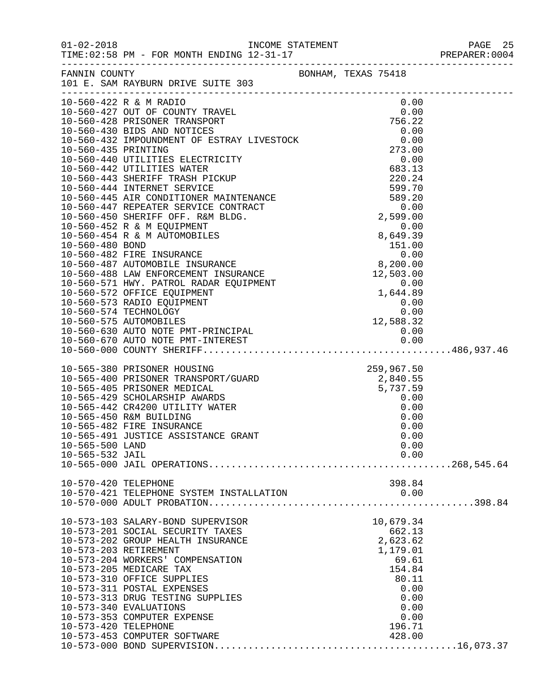| FANNIN COUNTY                      | 101 E. SAM RAYBURN DRIVE SUITE 303                                                                                                                                                                                                                                                                                                                                                          | BONHAM, TEXAS 75418                                                                                                         |  |
|------------------------------------|---------------------------------------------------------------------------------------------------------------------------------------------------------------------------------------------------------------------------------------------------------------------------------------------------------------------------------------------------------------------------------------------|-----------------------------------------------------------------------------------------------------------------------------|--|
|                                    | $\begin{tabular}{l c c c} \hline \texttt{1-560-42R & R & RADID} & 0.00 \\ \hline 10-560-42R & R & RADID & 0.00 \\ 10-560-428 & PRISONBER TRANS OF SSTRAY LIVESTOCK & 0.00 \\ 10-560-430 & BIDS AND NOTICES & 756.22 \\ 10-560-430 & BIDS AND NOTICES & 0.00 \\ 10-560-432 & MRIDUNDIES & 0.00 \\ 10-560-442 & UTLITITES WATER & 273.00 \\ 10-560-442 & UTLITIT$                             |                                                                                                                             |  |
|                                    |                                                                                                                                                                                                                                                                                                                                                                                             |                                                                                                                             |  |
| 10-565-500 LAND<br>10-565-532 JAIL | 10-565-380 PRISONER HOUSING<br>10-565-400 PRISONER TRANSPORT/GUARD<br>10-565-405 PRISONER MEDICAL<br>10-565-429 SCHOLARSHIP AWARDS<br>10-565-429 SCHOLARSHIP AWARDS<br>10-565-442 CR420 UTILITY WATER<br>0.00<br>0.00<br>10-565-450 R&M BUILDING<br>10-565-482 FIRE INSURANCE<br>10-565-491 JUSTICE ASSISTANCE GRANT                                                                        | 0.00<br>0.00<br>0.00<br>0.00<br>0.00                                                                                        |  |
| 10-570-420 TELEPHONE               | 10-570-421 TELEPHONE SYSTEM INSTALLATION                                                                                                                                                                                                                                                                                                                                                    | 398.84<br>0.00                                                                                                              |  |
| 10-573-420 TELEPHONE               | 10-573-103 SALARY-BOND SUPERVISOR<br>10-573-201 SOCIAL SECURITY TAXES<br>10-573-202 GROUP HEALTH INSURANCE<br>10-573-203 RETIREMENT<br>10-573-204 WORKERS' COMPENSATION<br>10-573-205 MEDICARE TAX<br>10-573-310 OFFICE SUPPLIES<br>10-573-311 POSTAL EXPENSES<br>10-573-313 DRUG TESTING SUPPLIES<br>10-573-340 EVALUATIONS<br>10-573-353 COMPUTER EXPENSE<br>10-573-453 COMPUTER SOFTWARE | 10,679.34<br>662.13<br>2,623.62<br>1,179.01<br>69.61<br>154.84<br>80.11<br>0.00<br>0.00<br>0.00<br>0.00<br>196.71<br>428.00 |  |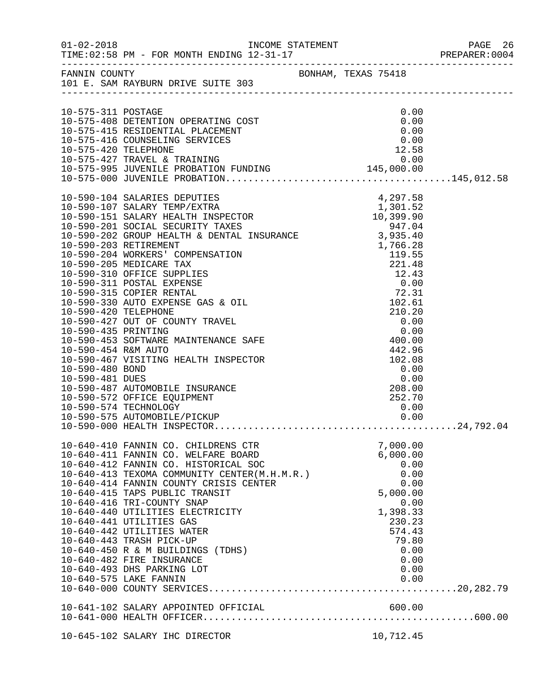|                      |                                                                                        |                                                      |                                                                                                   |               | PREPARER: 0004 |
|----------------------|----------------------------------------------------------------------------------------|------------------------------------------------------|---------------------------------------------------------------------------------------------------|---------------|----------------|
|                      | FANNIN COUNTY<br>101 E. SAM RAYBURN DRIVE SUITE 303                                    |                                                      |                                                                                                   |               |                |
|                      |                                                                                        |                                                      |                                                                                                   |               |                |
| 10-575-311 POSTAGE   |                                                                                        |                                                      |                                                                                                   | 0.00          |                |
|                      | 10-575-408 DETENTION OPERATING COST                                                    |                                                      |                                                                                                   | 0.00          |                |
|                      | 10-575-415 RESIDENTIAL PLACEMENT                                                       |                                                      |                                                                                                   | 0.00          |                |
| 10-575-420 TELEPHONE | 10-575-416 COUNSELING SERVICES                                                         |                                                      |                                                                                                   | 0.00<br>12.58 |                |
|                      |                                                                                        |                                                      |                                                                                                   |               |                |
|                      |                                                                                        |                                                      |                                                                                                   |               |                |
|                      |                                                                                        |                                                      |                                                                                                   |               |                |
|                      |                                                                                        |                                                      |                                                                                                   |               |                |
|                      | 10-590-104 SALARIES DEPUTIES                                                           |                                                      |                                                                                                   | 4,297.58      |                |
|                      | 10-590-107 SALARY TEMP/EXTRA                                                           | ECTOR<br>ECTOR<br>ECTOR<br>$1,301.52$<br>$10,399.90$ |                                                                                                   |               |                |
|                      | 10-590-151 SALARY HEALTH INSPECTOR<br>10-590-201 SOCIAL SECURITY TAXES                 |                                                      |                                                                                                   |               |                |
|                      | 947.04<br>10-590-202 GROUP HEALTH & DENTAL INSURANCE 3,935.40<br>10-590-203 RETIREMENT |                                                      |                                                                                                   |               |                |
|                      | 10-590-203 RETIREMENT                                                                  |                                                      |                                                                                                   |               |                |
|                      | 10-590-204 WORKERS' COMPENSATION                                                       |                                                      |                                                                                                   |               |                |
|                      | 10-590-205 MEDICARE TAX                                                                |                                                      |                                                                                                   |               |                |
|                      | 10-590-310 OFFICE SUPPLIES                                                             |                                                      |                                                                                                   |               |                |
|                      | 10-590-311 POSTAL EXPENSE                                                              |                                                      | 3, 933. 40<br>1, 766. 28<br>119. 55<br>221. 48<br>12. 43<br>0. 00<br>72. 31<br>102. 61<br>210. 20 |               |                |
|                      | 10-590-315 COPIER RENTAL                                                               |                                                      |                                                                                                   |               |                |
|                      | 10-590-330 AUTO EXPENSE GAS & OIL                                                      |                                                      |                                                                                                   |               |                |
| 10-590-420 TELEPHONE |                                                                                        |                                                      |                                                                                                   |               |                |
| 10-590-435 PRINTING  | 10-590-427 OUT OF COUNTY TRAVEL                                                        |                                                      |                                                                                                   |               |                |
|                      | 10-590-453 SOFTWARE MAINTENANCE SAFE                                                   |                                                      | $-10.20$<br>0.00<br>0.00                                                                          |               |                |
| 10-590-454 R&M AUTO  |                                                                                        |                                                      |                                                                                                   | 442.96        |                |
|                      | 10-590-467 VISITING HEALTH INSPECTOR                                                   |                                                      |                                                                                                   | 102.08        |                |
| 10-590-480 BOND      |                                                                                        |                                                      | $\begin{smallmatrix} &0.00\ 0.00\ 0.00\ 0.00\ \end{smallmatrix}$                                  |               |                |
| 10-590-481 DUES      |                                                                                        |                                                      |                                                                                                   |               |                |
|                      | 10-590-487 AUTOMOBILE INSURANCE                                                        |                                                      |                                                                                                   |               |                |
|                      | 10-590-572 OFFICE EQUIPMENT                                                            |                                                      |                                                                                                   | 252.70        |                |
|                      | 10-590-574 TECHNOLOGY                                                                  |                                                      |                                                                                                   | 0.00          |                |
|                      |                                                                                        |                                                      |                                                                                                   |               |                |
|                      |                                                                                        |                                                      |                                                                                                   |               |                |
|                      | 10-640-410 FANNIN CO. CHILDRENS CTR                                                    |                                                      |                                                                                                   | 7,000.00      |                |
|                      | 10-640-411 FANNIN CO. WELFARE BOARD                                                    |                                                      |                                                                                                   | 6,000.00      |                |
|                      | 10-640-412 FANNIN CO. HISTORICAL SOC<br>10-640-413 TEXOMA COMMUNITY CENTER(M.H.M.R.)   |                                                      |                                                                                                   | 0.00<br>0.00  |                |
|                      | 10-640-414 FANNIN COUNTY CRISIS CENTER                                                 |                                                      |                                                                                                   | 0.00          |                |
|                      | 10-640-415 TAPS PUBLIC TRANSIT                                                         |                                                      |                                                                                                   | 5,000.00      |                |
|                      | 10-640-416 TRI-COUNTY SNAP                                                             |                                                      |                                                                                                   | 0.00          |                |
|                      | 10-640-440 UTILITIES ELECTRICITY                                                       |                                                      |                                                                                                   | 1,398.33      |                |
|                      | 10-640-441 UTILITIES GAS                                                               |                                                      |                                                                                                   | 230.23        |                |
|                      | 10-640-442 UTILITIES WATER                                                             |                                                      |                                                                                                   | 574.43        |                |
|                      | 10-640-443 TRASH PICK-UP                                                               |                                                      |                                                                                                   | 79.80         |                |
|                      | 10-640-450 R & M BUILDINGS (TDHS)                                                      |                                                      |                                                                                                   | 0.00          |                |
|                      | 10-640-482 FIRE INSURANCE<br>10-640-493 DHS PARKING LOT                                |                                                      |                                                                                                   | 0.00<br>0.00  |                |
|                      | 10-640-575 LAKE FANNIN                                                                 |                                                      |                                                                                                   | 0.00          |                |
|                      |                                                                                        |                                                      |                                                                                                   |               |                |
|                      |                                                                                        |                                                      |                                                                                                   |               |                |
|                      | 10-641-102 SALARY APPOINTED OFFICIAL                                                   |                                                      |                                                                                                   | 600.00        |                |
|                      |                                                                                        |                                                      |                                                                                                   |               |                |
|                      |                                                                                        |                                                      |                                                                                                   |               |                |
|                      | 10-645-102 SALARY IHC DIRECTOR                                                         |                                                      |                                                                                                   | 10,712.45     |                |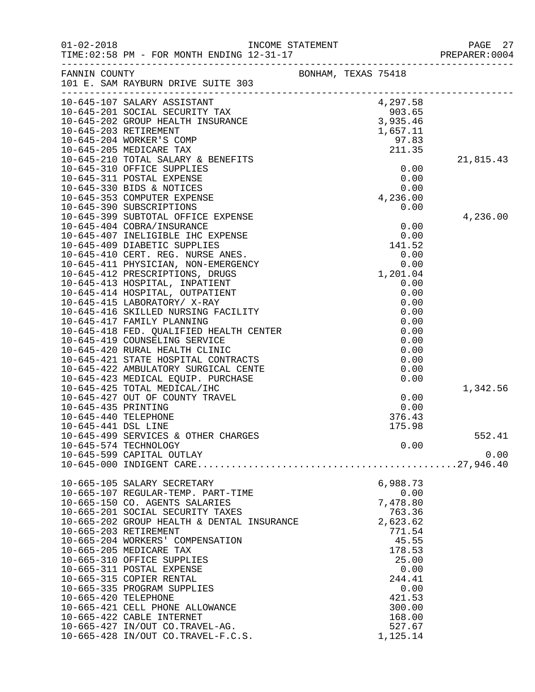| $01 - 02 - 2018$     | TIME: 02:58 PM - FOR MONTH ENDING 12-31-17                                                                                              | INCOME STATEMENT |                     |              | 27<br>PAGE<br>PREPARER: 0004 |
|----------------------|-----------------------------------------------------------------------------------------------------------------------------------------|------------------|---------------------|--------------|------------------------------|
|                      | FANNIN COUNTY<br>101 E. SAM RAYBURN DRIVE SUITE 303                                                                                     |                  | BONHAM, TEXAS 75418 |              |                              |
|                      | 10-645-107 SALARY ASSISTANT<br>10-645-201 SOCIAL SECURITY TAX 903.65<br>10-645-202 GROUP HEALTH INSURANCE 3,935.46<br>1,657.11<br>97.83 |                  |                     |              |                              |
|                      |                                                                                                                                         |                  |                     |              |                              |
|                      |                                                                                                                                         |                  |                     |              |                              |
|                      |                                                                                                                                         |                  |                     |              |                              |
|                      |                                                                                                                                         |                  |                     |              |                              |
|                      | 10-645-205 MEDICARE TAX                                                                                                                 |                  |                     | 211.35       |                              |
|                      | 10-645-210 TOTAL SALARY & BENEFITS                                                                                                      |                  |                     |              | 21,815.43                    |
|                      | 10-645-310 OFFICE SUPPLIES<br>10-645-311 POSTAL EXPENSE                                                                                 |                  |                     | 0.00<br>0.00 |                              |
|                      | 10-645-330 BIDS & NOTICES                                                                                                               |                  |                     | 0.00         |                              |
|                      | 10-645-353 COMPUTER EXPENSE                                                                                                             |                  |                     | 4,236.00     |                              |
|                      | 10-645-390 SUBSCRIPTIONS                                                                                                                |                  |                     | 0.00         |                              |
|                      | 10-645-399 SUBTOTAL OFFICE EXPENSE                                                                                                      |                  |                     |              | 4,236.00                     |
|                      | 10-645-404 COBRA/INSURANCE                                                                                                              |                  |                     | 0.00         |                              |
|                      | 10-645-407 INELIGIBLE IHC EXPENSE                                                                                                       |                  |                     | 0.00         |                              |
|                      | 10-645-409 DIABETIC SUPPLIES                                                                                                            |                  |                     | 141.52       |                              |
|                      | 10-645-410 CERT. REG. NURSE ANES.                                                                                                       |                  |                     | 0.00         |                              |
|                      | 10-645-411 PHYSICIAN, NON-EMERGENCY                                                                                                     |                  |                     | 0.00         |                              |
|                      | 10-645-412 PRESCRIPTIONS, DRUGS                                                                                                         |                  |                     | 1,201.04     |                              |
|                      | 10-645-413 HOSPITAL, INPATIENT                                                                                                          |                  |                     | 0.00         |                              |
|                      | 10-645-414 HOSPITAL, OUTPATIENT                                                                                                         |                  |                     | 0.00         |                              |
|                      | 10-645-415 LABORATORY/ X-RAY                                                                                                            |                  |                     | 0.00         |                              |
|                      | 10-645-416 SKILLED NURSING FACILITY                                                                                                     |                  |                     | 0.00         |                              |
|                      | 10-645-417 FAMILY PLANNING                                                                                                              |                  |                     | 0.00         |                              |
|                      | 10-645-418 FED. QUALIFIED HEALTH CENTER                                                                                                 |                  |                     | 0.00         |                              |
|                      | 10-645-419 COUNSELING SERVICE                                                                                                           |                  |                     | 0.00         |                              |
|                      | 10-645-420 RURAL HEALTH CLINIC                                                                                                          |                  |                     | 0.00         |                              |
|                      | 10-645-421 STATE HOSPITAL CONTRACTS                                                                                                     |                  |                     | 0.00         |                              |
|                      | 10-645-422 AMBULATORY SURGICAL CENTE                                                                                                    |                  |                     | 0.00         |                              |
|                      | 10-645-423 MEDICAL EQUIP. PURCHASE                                                                                                      |                  |                     | 0.00         |                              |
|                      | 10-645-425 TOTAL MEDICAL/IHC                                                                                                            |                  |                     |              | 1,342.56                     |
|                      | 10-645-427 OUT OF COUNTY TRAVEL                                                                                                         |                  |                     | 0.00         |                              |
| 10-645-435 PRINTING  |                                                                                                                                         |                  |                     | 0.00         |                              |
| 10-645-440 TELEPHONE |                                                                                                                                         |                  |                     | 376.43       |                              |
| 10-645-441 DSL LINE  |                                                                                                                                         |                  |                     | 175.98       |                              |
|                      | 10-645-499 SERVICES & OTHER CHARGES                                                                                                     |                  |                     |              | 552.41                       |
|                      | 10-645-574 TECHNOLOGY                                                                                                                   |                  |                     | 0.00         |                              |
|                      | 10-645-599 CAPITAL OUTLAY                                                                                                               |                  |                     |              | 0.00                         |
|                      |                                                                                                                                         |                  |                     |              |                              |
|                      | 10-665-105 SALARY SECRETARY                                                                                                             |                  |                     | 6,988.73     |                              |
|                      | 10-665-107 REGULAR-TEMP. PART-TIME                                                                                                      |                  |                     | 0.00         |                              |
|                      | 10-665-150 CO. AGENTS SALARIES                                                                                                          |                  |                     | 7,478.80     |                              |
|                      | 10-665-201 SOCIAL SECURITY TAXES                                                                                                        |                  |                     | 763.36       |                              |
|                      | 10-665-202 GROUP HEALTH & DENTAL INSURANCE                                                                                              |                  |                     | 2,623.62     |                              |
|                      | 10-665-203 RETIREMENT                                                                                                                   |                  |                     | 771.54       |                              |
|                      | 10-665-204 WORKERS' COMPENSATION                                                                                                        |                  |                     | 45.55        |                              |
|                      | 10-665-205 MEDICARE TAX                                                                                                                 |                  |                     | 178.53       |                              |
|                      | 10-665-310 OFFICE SUPPLIES                                                                                                              |                  |                     | 25.00        |                              |
|                      | 10-665-311 POSTAL EXPENSE                                                                                                               |                  |                     | 0.00         |                              |
|                      | 10-665-315 COPIER RENTAL                                                                                                                |                  |                     | 244.41       |                              |
|                      | 10-665-335 PROGRAM SUPPLIES                                                                                                             |                  |                     | 0.00         |                              |
| 10-665-420 TELEPHONE |                                                                                                                                         |                  |                     | 421.53       |                              |
|                      | 10-665-421 CELL PHONE ALLOWANCE                                                                                                         |                  |                     | 300.00       |                              |
|                      | 10-665-422 CABLE INTERNET                                                                                                               |                  |                     | 168.00       |                              |
|                      | 10-665-427 IN/OUT CO.TRAVEL-AG.                                                                                                         |                  |                     | 527.67       |                              |
|                      | 10-665-428 IN/OUT CO.TRAVEL-F.C.S.                                                                                                      |                  |                     | 1,125.14     |                              |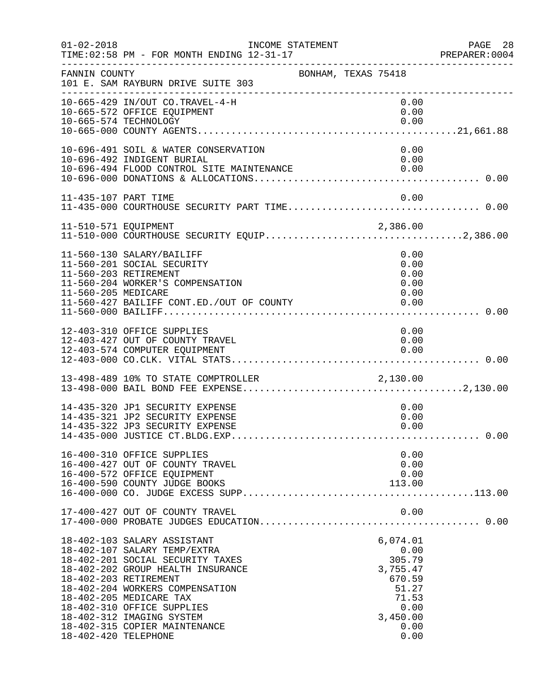| $01 - 02 - 2018$                              | INCOME STATEMENT<br>TIME: 02:58 PM - FOR MONTH ENDING 12-31-17                                                                                                                                                                                                                                 |                     | PREPARER<br>---------------------------------                                                          | PAGE 28<br>PREPARER:0004 |
|-----------------------------------------------|------------------------------------------------------------------------------------------------------------------------------------------------------------------------------------------------------------------------------------------------------------------------------------------------|---------------------|--------------------------------------------------------------------------------------------------------|--------------------------|
| FANNIN COUNTY                                 | 101 E. SAM RAYBURN DRIVE SUITE 303                                                                                                                                                                                                                                                             | BONHAM, TEXAS 75418 |                                                                                                        |                          |
|                                               | 10-665-429 IN/OUT CO.TRAVEL-4-H<br>10-665-572 OFFICE EQUIPMENT<br>10-665-574 TECHNOLOGY                                                                                                                                                                                                        |                     | 0.00<br>0.00<br>0.00                                                                                   |                          |
|                                               | 10-696-491 SOIL & WATER CONSERVATION<br>10-696-492 INDIGENT BURIAL<br>10-696-494 FLOOD CONTROL SITE MAINTENANCE                                                                                                                                                                                |                     | 0.00<br>0.00<br>0.00                                                                                   |                          |
| 11-435-107 PART TIME                          |                                                                                                                                                                                                                                                                                                |                     | 0.00                                                                                                   |                          |
|                                               |                                                                                                                                                                                                                                                                                                |                     |                                                                                                        |                          |
| 11-560-203 RETIREMENT<br>11-560-205 MEDICARE  | 11-560-130 SALARY/BAILIFF<br>11-560-201 SOCIAL SECURITY<br>11-560-204 WORKER'S COMPENSATION<br>11-560-427 BAILIFF CONT.ED./OUT OF COUNTY                                                                                                                                                       |                     | 0.00<br>0.00<br>0.00<br>0.00<br>0.00<br>0.00                                                           |                          |
|                                               | 12-403-310 OFFICE SUPPLIES<br>12-403-427 OUT OF COUNTY TRAVEL<br>12-403-574 COMPUTER EQUIPMENT                                                                                                                                                                                                 |                     | 0.00<br>0.00<br>0.00                                                                                   |                          |
|                                               | 13-498-489 10% TO STATE COMPTROLLER 2,130.00                                                                                                                                                                                                                                                   |                     |                                                                                                        |                          |
|                                               | 14-435-320 JP1 SECURITY EXPENSE<br>14-435-321 JP2 SECURITY EXPENSE<br>14-435-322 JP3 SECURITY EXPENSE                                                                                                                                                                                          |                     | 0.00<br>0.00<br>0.00                                                                                   |                          |
|                                               | 16-400-310 OFFICE SUPPLIES<br>16-400-427 OUT OF COUNTY TRAVEL<br>16-400-572 OFFICE EQUIPMENT<br>16-400-590 COUNTY JUDGE BOOKS                                                                                                                                                                  |                     | 0.00<br>0.00<br>0.00<br>113.00                                                                         |                          |
|                                               | 17-400-427 OUT OF COUNTY TRAVEL                                                                                                                                                                                                                                                                |                     | 0.00                                                                                                   |                          |
| 18-402-203 RETIREMENT<br>18-402-420 TELEPHONE | 18-402-103 SALARY ASSISTANT<br>18-402-107 SALARY TEMP/EXTRA<br>18-402-201 SOCIAL SECURITY TAXES<br>18-402-202 GROUP HEALTH INSURANCE<br>18-402-204 WORKERS COMPENSATION<br>18-402-205 MEDICARE TAX<br>18-402-310 OFFICE SUPPLIES<br>18-402-312 IMAGING SYSTEM<br>18-402-315 COPIER MAINTENANCE |                     | 6,074.01<br>0.00<br>305.79<br>3,755.47<br>670.59<br>51.27<br>71.53<br>0.00<br>3,450.00<br>0.00<br>0.00 |                          |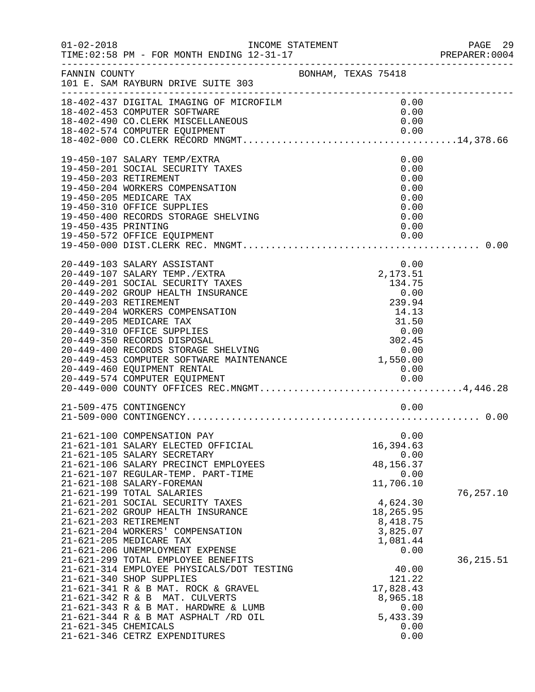|                                              | INCOME STATEMENT                                                                                                                                                                                                                                                                                                                                                                 |                     |                                                                                                                            | PAGE 29<br>PREPARER:0004 |
|----------------------------------------------|----------------------------------------------------------------------------------------------------------------------------------------------------------------------------------------------------------------------------------------------------------------------------------------------------------------------------------------------------------------------------------|---------------------|----------------------------------------------------------------------------------------------------------------------------|--------------------------|
| FANNIN COUNTY                                | 101 E. SAM RAYBURN DRIVE SUITE 303                                                                                                                                                                                                                                                                                                                                               | BONHAM, TEXAS 75418 |                                                                                                                            |                          |
|                                              | 18-402-437 DIGITAL IMAGING OF MICROFILM<br>18-402-453 COMPUTER SOFTWARE<br>18-402-490 CO. CLERK MISCELLANEOUS                                                                                                                                                                                                                                                                    |                     | 0.00<br>0.00<br>0.00                                                                                                       |                          |
| 19-450-203 RETIREMENT<br>19-450-435 PRINTING | 19-450-107 SALARY TEMP/EXTRA<br>19-450-201 SOCIAL SECURITY TAXES<br>19-450-204 WORKERS COMPENSATION<br>19-450-205 MEDICARE TAX<br>19-450-310 OFFICE SUPPLIES<br>19-450-400 RECORDS STORAGE SHELVING                                                                                                                                                                              |                     | 0.00<br>0.00<br>0.00<br>0.00<br>0.00<br>0.00<br>0.00<br>0.00                                                               |                          |
|                                              | 20-449-103 SALARY ASSISTANT                                                                                                                                                                                                                                                                                                                                                      |                     | 0.00                                                                                                                       |                          |
|                                              | 21-509-475 CONTINGENCY                                                                                                                                                                                                                                                                                                                                                           |                     | 0.00                                                                                                                       |                          |
| 21-621-203 RETIREMENT                        | 21-621-100 COMPENSATION PAY<br>21-621-101 SALARY ELECTED OFFICIAL<br>21-621-105 SALARY SECRETARY<br>21-621-106 SALARY PRECINCT EMPLOYEES<br>21-621-107 REGULAR-TEMP. PART-TIME<br>21-621-108 SALARY-FOREMAN<br>21-621-199 TOTAL SALARIES<br>21-621-201 SOCIAL SECURITY TAXES<br>21-621-202 GROUP HEALTH INSURANCE<br>21-621-204 WORKERS' COMPENSATION<br>21-621-205 MEDICARE TAX |                     | 0.00<br>16,394.63<br>0.00<br>48, 156. 37<br>0.00<br>11,706.10<br>4,624.30<br>18,265.95<br>8,418.75<br>3,825.07<br>1,081.44 | 76,257.10                |
| 21-621-345 CHEMICALS                         | 21-621-206 UNEMPLOYMENT EXPENSE<br>21-621-299 TOTAL EMPLOYEE BENEFITS<br>21-621-314 EMPLOYEE PHYSICALS/DOT TESTING<br>21-621-340 SHOP SUPPLIES<br>21-621-341 R & B MAT. ROCK & GRAVEL<br>21-621-342 R & B MAT. CULVERTS<br>21-621-343 R & B MAT. HARDWRE & LUMB<br>21-621-344 R & B MAT ASPHALT /RD OIL<br>21-621-346 CETRZ EXPENDITURES                                         |                     | 0.00<br>40.00<br>121.22<br>17,828.43<br>8,965.18<br>0.00<br>5,433.39<br>0.00<br>0.00                                       | 36, 215.51               |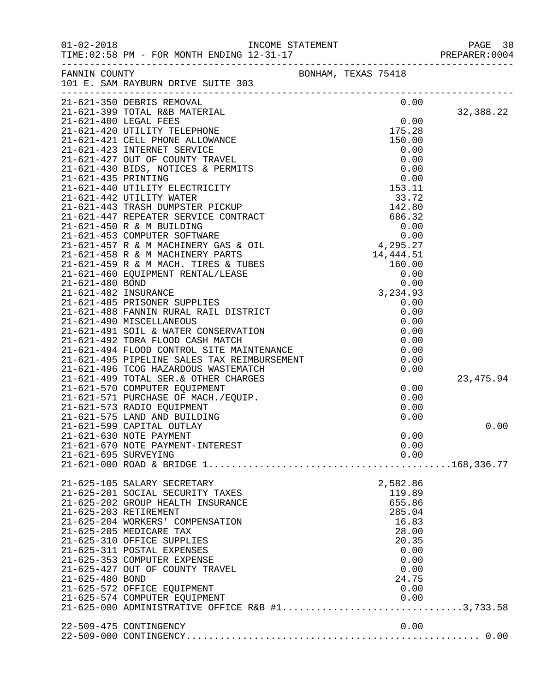| $01 - 02 - 2018$     | INCOME STATEMENT<br>10.21.17                                                                                |                     |          |      | PAGE 30<br>PREPARER: 0004 |
|----------------------|-------------------------------------------------------------------------------------------------------------|---------------------|----------|------|---------------------------|
|                      | FANNIN COUNTY<br>101 E. SAM RAYBURN DRIVE SUITE 303                                                         | BONHAM, TEXAS 75418 |          |      |                           |
|                      | 21-621-350 DEBRIS REMOVAL                                                                                   |                     |          | 0.00 |                           |
|                      |                                                                                                             |                     |          |      | 32,388.22                 |
|                      |                                                                                                             |                     |          |      |                           |
|                      |                                                                                                             |                     |          |      |                           |
|                      |                                                                                                             |                     |          |      |                           |
|                      |                                                                                                             |                     |          |      |                           |
|                      |                                                                                                             |                     |          |      |                           |
|                      |                                                                                                             |                     |          |      |                           |
|                      |                                                                                                             |                     |          |      |                           |
|                      |                                                                                                             |                     |          |      |                           |
|                      |                                                                                                             |                     |          |      |                           |
|                      |                                                                                                             |                     |          |      |                           |
|                      |                                                                                                             |                     |          |      |                           |
|                      |                                                                                                             |                     |          |      |                           |
|                      |                                                                                                             |                     |          |      |                           |
|                      |                                                                                                             |                     |          |      |                           |
|                      |                                                                                                             |                     |          |      |                           |
|                      |                                                                                                             |                     |          |      |                           |
|                      |                                                                                                             |                     |          |      |                           |
|                      |                                                                                                             |                     |          |      |                           |
|                      |                                                                                                             |                     |          |      |                           |
|                      |                                                                                                             |                     |          |      |                           |
|                      |                                                                                                             |                     |          |      |                           |
|                      |                                                                                                             |                     |          |      |                           |
|                      |                                                                                                             |                     |          |      |                           |
|                      |                                                                                                             |                     |          |      |                           |
|                      |                                                                                                             |                     |          |      |                           |
|                      | 21-621-499 TOTAL SER. & OTHER CHARGES                                                                       |                     |          |      | 23, 475.94                |
|                      |                                                                                                             |                     |          | 0.00 |                           |
|                      | 21-621-570 COMPUTER EQUIPMENT<br>21-621-571 PURCHASE OF MACH./EQUIP.<br>21-621-571 PURCHASE OF MACH./EQUIP. |                     |          | 0.00 |                           |
|                      | 21-621-573 RADIO EQUIPMENT                                                                                  |                     |          | 0.00 |                           |
|                      | 21-621-575 LAND AND BUILDING                                                                                |                     |          | 0.00 |                           |
|                      | 21-621-599 CAPITAL OUTLAY                                                                                   |                     |          |      | 0.00                      |
|                      | 21-621-630 NOTE PAYMENT                                                                                     |                     |          | 0.00 |                           |
|                      | 21-621-670 NOTE PAYMENT-INTEREST                                                                            |                     |          | 0.00 |                           |
| 21-621-695 SURVEYING |                                                                                                             |                     |          | 0.00 |                           |
|                      |                                                                                                             |                     |          |      |                           |
|                      | 21-625-105 SALARY SECRETARY                                                                                 |                     | 2,582.86 |      |                           |
|                      | 21-625-201 SOCIAL SECURITY TAXES                                                                            |                     | 119.89   |      |                           |
|                      | 21-625-202 GROUP HEALTH INSURANCE                                                                           |                     | 655.86   |      |                           |
|                      | 21-625-203 RETIREMENT                                                                                       |                     | 285.04   |      |                           |
|                      | 21-625-204 WORKERS' COMPENSATION                                                                            |                     | 16.83    |      |                           |
|                      | 21-625-205 MEDICARE TAX                                                                                     |                     | 28.00    |      |                           |
|                      | 21-625-310 OFFICE SUPPLIES                                                                                  |                     | 20.35    |      |                           |
|                      | 21-625-311 POSTAL EXPENSES                                                                                  |                     |          | 0.00 |                           |
|                      | 21-625-353 COMPUTER EXPENSE                                                                                 |                     |          | 0.00 |                           |
| 21-625-480 BOND      | 21-625-427 OUT OF COUNTY TRAVEL                                                                             |                     | 24.75    | 0.00 |                           |
|                      | 21-625-572 OFFICE EQUIPMENT                                                                                 |                     |          | 0.00 |                           |
|                      | 21-625-574 COMPUTER EQUIPMENT                                                                               |                     |          | 0.00 |                           |
|                      | 21-625-574 COMPUTER EQUIPMENT 0.00<br>21-625-000 ADMINISTRATIVE OFFICE R&B #13,733.58                       |                     |          |      |                           |
|                      |                                                                                                             |                     |          |      |                           |
|                      | 22-509-475 CONTINGENCY                                                                                      |                     |          | 0.00 |                           |
|                      |                                                                                                             |                     |          |      |                           |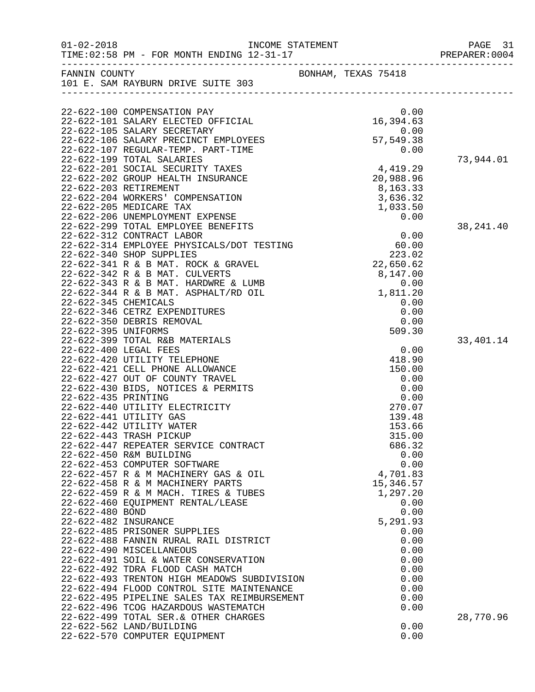| $01 - 02 - 2018$     | INCOME STATEMENT<br>TIME: 02:58 PM - FOR MONTH ENDING 12-31-17                                                                                                            |                                      | PAGE 31<br>PREPARER: 0004 |
|----------------------|---------------------------------------------------------------------------------------------------------------------------------------------------------------------------|--------------------------------------|---------------------------|
|                      | FANNIN COUNTY<br>101 E. SAM RAYBURN DRIVE SUITE 303                                                                                                                       | BONHAM, TEXAS 75418                  |                           |
|                      |                                                                                                                                                                           |                                      |                           |
|                      | 22-622-100 COMPENSATION PAY<br>22-622-101 SALARY ELECTED OFFICIAL<br>22-622-105 SALARY SECRETARY                                                                          | 0.00                                 |                           |
|                      | 22-622-106 SALARY PRECINCT EMPLOYEES<br>22-622-107 REGULAR-TEMP. PART-TIME<br>22-622-199 TOTAL SALARIES                                                                   | $57,549.38$<br>0.00<br>57,549.38     | 73,944.01                 |
|                      | 22-622-201 SOCIAL SECURITY TAXES<br>22-622-202 GROUP HEALTH INSURANCE<br>22-622-203 RETIREMENT                                                                            | 4,419.29<br>20,988.96<br>8,163.33    |                           |
|                      | 22-622-204 WORKERS' COMPENSATION<br>22-622-205 MEDICARE TAX<br>22-622-206 UNEMPLOYMENT EXPENSE                                                                            | 3,636.32<br>1,033.50<br>0.00         |                           |
|                      | 22-622-299 TOTAL EMPLOYEE BENEFITS<br>22-622-312 CONTRACT LABOR<br>22-622-314 EMPLOYEE PHYSICALS/DOT TESTING<br>22-622-340 SHOP SUDDITER<br>22-622-340 SHOP SUPPLIES      | 0.00<br>60.00<br>223.02              | 38, 241.40                |
|                      | 22-622-341 R & B MAT. ROCK & GRAVEL<br>22-622-342 R & B MAT. CULVERTS<br>22-622-343 R & B MAT. HARDWRE & LUMB                                                             | 223.02<br>22 , 650 . 62<br>8,147.00  |                           |
| 22-622-345 CHEMICALS | 22-622-344 R & B MAT. ASPHALT/RD OIL<br>22-622-346 CETRZ EXPENDITURES                                                                                                     | $0.00$<br>$1,811.20$<br>0.00<br>0.00 |                           |
| 22-622-395 UNIFORMS  | 22-622-350 DEBRIS REMOVAL<br>22-622-399 TOTAL R&B MATERIALS<br>22-622-400 LEGAL FEES                                                                                      | 0.00<br>509.30<br>0.00               | 33,401.14                 |
|                      | 22-622-420 UTILITY TELEPHONE<br>22-622-421 CELL PHONE ALLOWANCE<br>22-622-427 OUT OF COUNTY TRAVEL                                                                        | 418.90<br>150.00<br>0.00             |                           |
| 22-622-435 PRINTING  | 22-622-430 BIDS, NOTICES & PERMITS<br>22-622-440 UTILITY ELECTRICITY<br>22-622-441 UTILITY GAS                                                                            | 0.00<br>0.00<br>270.07<br>139.48     |                           |
|                      | 22-622-442 UTILITY WATER<br>22-622-443 TRASH PICKUP<br>22-622-447 REPEATER SERVICE CONTRACT<br>22-622-450 R&M BUILDING                                                    | 153.66<br>315.00<br>686.32<br>0.00   |                           |
|                      | 22-622-453 COMPUTER SOFTWARE<br>22-622-457 R & M MACHINERY GAS & OIL<br>22-622-458 R & M MACHINERY PARTS                                                                  | 0.00<br>4,701.83<br>15,346.57        |                           |
| 22-622-480 BOND      | 22-622-459 R & M MACH. TIRES & TUBES<br>22-622-460 EQUIPMENT RENTAL/LEASE                                                                                                 | 1,297.20<br>0.00<br>0.00             |                           |
| 22-622-482 INSURANCE | 22-622-485 PRISONER SUPPLIES<br>22-622-488 FANNIN RURAL RAIL DISTRICT<br>22-622-490 MISCELLANEOUS                                                                         | 5,291.93<br>0.00<br>0.00<br>0.00     |                           |
|                      | 22-622-491 SOIL & WATER CONSERVATION<br>22-622-492 TDRA FLOOD CASH MATCH<br>22-622-493 TRENTON HIGH MEADOWS SUBDIVISION                                                   | 0.00<br>0.00<br>0.00                 |                           |
|                      | 22-622-494 FLOOD CONTROL SITE MAINTENANCE<br>22-622-495 PIPELINE SALES TAX REIMBURSEMENT<br>22-622-496 TCOG HAZARDOUS WASTEMATCH<br>22-622-499 TOTAL SER. & OTHER CHARGES | 0.00<br>0.00<br>0.00                 | 28,770.96                 |
|                      | 22-622-562 LAND/BUILDING<br>22-622-570 COMPUTER EQUIPMENT                                                                                                                 | 0.00<br>0.00                         |                           |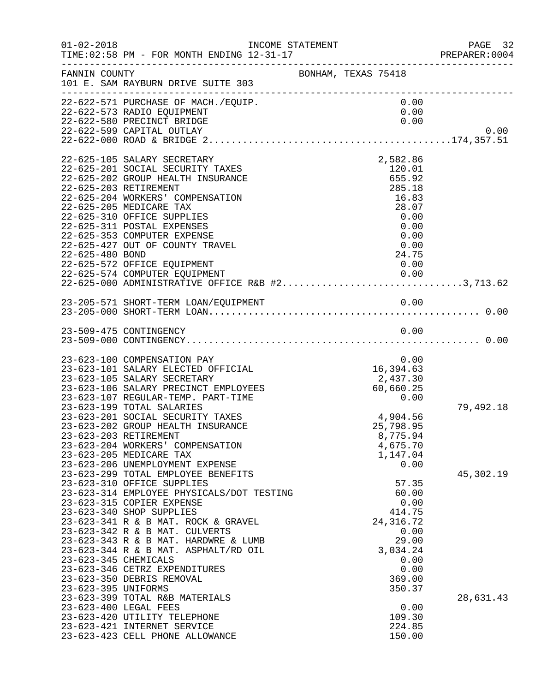| $01 - 02 - 2018$                              | INCOME STATEMENT                                                                                                                                                                                                                                                                                                                                                                                                                                                                                                                                                                                                                                                                                                          |                     |           |                                                                                                                                                                                                   | PAGE 32<br>PREPARER:0004 |
|-----------------------------------------------|---------------------------------------------------------------------------------------------------------------------------------------------------------------------------------------------------------------------------------------------------------------------------------------------------------------------------------------------------------------------------------------------------------------------------------------------------------------------------------------------------------------------------------------------------------------------------------------------------------------------------------------------------------------------------------------------------------------------------|---------------------|-----------|---------------------------------------------------------------------------------------------------------------------------------------------------------------------------------------------------|--------------------------|
| FANNIN COUNTY                                 | 101 E. SAM RAYBURN DRIVE SUITE 303<br>____________________________________                                                                                                                                                                                                                                                                                                                                                                                                                                                                                                                                                                                                                                                | BONHAM, TEXAS 75418 |           |                                                                                                                                                                                                   |                          |
|                                               | 22-622-571 PURCHASE OF MACH./EQUIP.<br>22-622-573 RADIO EQUIPMENT<br>22-622-580 PRECINCT BRIDGE<br>22-622-599 CAPITAL OUTLAY                                                                                                                                                                                                                                                                                                                                                                                                                                                                                                                                                                                              |                     |           | 0.00<br>0.00<br>0.00                                                                                                                                                                              | 0.00                     |
| 22-625-203 RETIREMENT<br>22-625-480 BOND      | 22-625-105 SALARY SECRETARY<br>22-625-201 SOCIAL SECURITY TAXES<br>22-625-202 GROUP HEALTH INSURANCE<br>22-625-204 WORKERS' COMPENSATION<br>22-625-205 MEDICARE TAX<br>22-625-310 OFFICE SUPPLIES<br>22-625-311 POSTAL EXPENSES<br>22-625-353 COMPUTER EXPENSE<br>22-625-427 OUT OF COUNTY TRAVEL<br>22-625-572 OFFICE EQUIPMENT<br>22-625-574 COMPUTER EQUIPMENT<br>22-625-000 ADMINISTRATIVE OFFICE R&B #23,713.62                                                                                                                                                                                                                                                                                                      |                     |           | 2,582.86<br>120.01<br>655.92<br>285.18<br>16.83<br>28.07<br>0.00<br>0.00<br>0.00<br>0.00<br>24.75<br>0.00                                                                                         |                          |
|                                               |                                                                                                                                                                                                                                                                                                                                                                                                                                                                                                                                                                                                                                                                                                                           |                     |           |                                                                                                                                                                                                   |                          |
|                                               | 23-509-475 CONTINGENCY                                                                                                                                                                                                                                                                                                                                                                                                                                                                                                                                                                                                                                                                                                    |                     |           | 0.00                                                                                                                                                                                              |                          |
| 23-623-203 RETIREMENT<br>23-623-345 CHEMICALS | 23-623-100 COMPENSATION PAY<br>23-623-101 SALARY ELECTED OFFICIAL<br>23-623-105 SALARY SECRETARY<br>23-623-106 SALARY PRECINCT EMPLOYEES<br>23-623-107 REGULAR-TEMP. PART-TIME<br>23-623-199 TOTAL SALARIES<br>23-623-201 SOCIAL SECURITY TAXES<br>23-623-202 GROUP HEALTH INSURANCE<br>23-623-204 WORKERS' COMPENSATION<br>23-623-205 MEDICARE TAX<br>23-623-206 UNEMPLOYMENT EXPENSE<br>23-623-299 TOTAL EMPLOYEE BENEFITS<br>23-623-310 OFFICE SUPPLIES<br>23-623-314 EMPLOYEE PHYSICALS/DOT TESTING<br>23-623-315 COPIER EXPENSE<br>23-623-340 SHOP SUPPLIES<br>23-623-341 R & B MAT. ROCK & GRAVEL<br>23-623-342 R & B MAT. CULVERTS<br>23-623-343 R & B MAT. HARDWRE & LUMB<br>23-623-344 R & B MAT. ASPHALT/RD OIL |                     | 16,394.63 | 0.00<br>2,437.30<br>60,660.25<br>0.00<br>4,904.56<br>25,798.95<br>8,775.94<br>4,675.70<br>1,147.04<br>0.00<br>57.35<br>60.00<br>0.00<br>414.75<br>24, 316.72<br>0.00<br>29.00<br>3,034.24<br>0.00 | 79,492.18<br>45,302.19   |
| 23-623-395 UNIFORMS<br>23-623-400 LEGAL FEES  | 23-623-346 CETRZ EXPENDITURES<br>23-623-350 DEBRIS REMOVAL<br>23-623-399 TOTAL R&B MATERIALS<br>23-623-420 UTILITY TELEPHONE<br>23-623-421 INTERNET SERVICE<br>23-623-423 CELL PHONE ALLOWANCE                                                                                                                                                                                                                                                                                                                                                                                                                                                                                                                            |                     |           | 0.00<br>369.00<br>350.37<br>0.00<br>109.30<br>224.85<br>150.00                                                                                                                                    | 28,631.43                |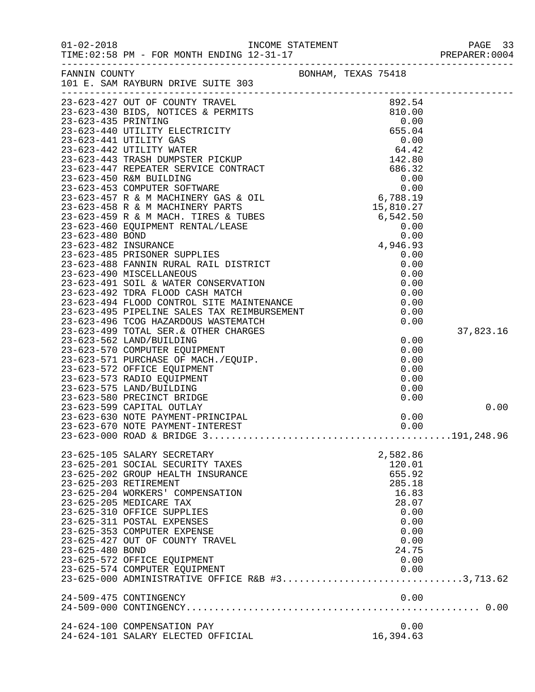|                 | FANNIN COUNTY<br>101 E. SAM RAYBURN DRIVE SUITE 303                   | BONHAM, TEXAS 75418 |           |
|-----------------|-----------------------------------------------------------------------|---------------------|-----------|
|                 |                                                                       |                     |           |
|                 |                                                                       |                     |           |
|                 |                                                                       |                     |           |
|                 |                                                                       |                     |           |
|                 |                                                                       |                     |           |
|                 |                                                                       |                     |           |
|                 |                                                                       |                     |           |
|                 |                                                                       |                     |           |
|                 |                                                                       |                     |           |
|                 |                                                                       |                     |           |
|                 |                                                                       |                     |           |
|                 |                                                                       |                     |           |
|                 |                                                                       |                     |           |
|                 |                                                                       |                     |           |
|                 |                                                                       |                     |           |
|                 |                                                                       |                     |           |
|                 |                                                                       |                     |           |
|                 |                                                                       |                     |           |
|                 |                                                                       |                     |           |
|                 |                                                                       |                     |           |
|                 |                                                                       |                     |           |
|                 |                                                                       |                     |           |
|                 |                                                                       |                     | 37,823.16 |
|                 |                                                                       |                     |           |
|                 |                                                                       |                     |           |
|                 |                                                                       |                     |           |
|                 |                                                                       |                     |           |
|                 |                                                                       |                     |           |
|                 |                                                                       |                     |           |
|                 | 23-623-599 CAPITAL OUTLAY                                             |                     | 0.00      |
|                 | 23-623-630 NOTE PAYMENT-PRINCIPAL<br>23-623-670 NOTE PAYMENT-INTEREST | 0.00<br>0.00        |           |
|                 |                                                                       |                     |           |
|                 |                                                                       |                     |           |
|                 | 23-625-105 SALARY SECRETARY                                           | 2,582.86            |           |
|                 | 23-625-201 SOCIAL SECURITY TAXES                                      | 120.01              |           |
|                 | 23-625-202 GROUP HEALTH INSURANCE                                     | 655.92              |           |
|                 | 23-625-203 RETIREMENT                                                 | 285.18              |           |
|                 | 23-625-204 WORKERS' COMPENSATION<br>23-625-205 MEDICARE TAX           | 16.83<br>28.07      |           |
|                 | 23-625-310 OFFICE SUPPLIES                                            | 0.00                |           |
|                 | 23-625-311 POSTAL EXPENSES                                            | 0.00                |           |
|                 | 23-625-353 COMPUTER EXPENSE                                           | 0.00                |           |
|                 | 23-625-427 OUT OF COUNTY TRAVEL                                       | 0.00                |           |
| 23-625-480 BOND |                                                                       | 24.75               |           |
|                 | 23-625-572 OFFICE EQUIPMENT                                           | 0.00                |           |
|                 | 23-625-574 COMPUTER EQUIPMENT                                         | 0.00                |           |
|                 | 23-625-000 ADMINISTRATIVE OFFICE R&B #33,713.62                       |                     |           |
|                 | 24-509-475 CONTINGENCY                                                | 0.00                |           |
|                 |                                                                       |                     |           |
|                 |                                                                       |                     |           |
|                 | 24-624-100 COMPENSATION PAY                                           | 0.00                |           |
|                 | 24-624-101 SALARY ELECTED OFFICIAL                                    | 16,394.63           |           |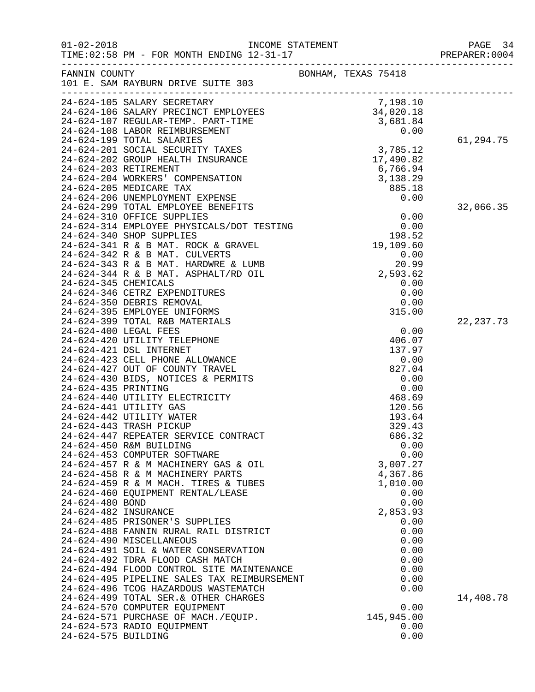|                      |                                                                                                                                                                        |                     | PAGE 34<br>PREPARER: 0004 |
|----------------------|------------------------------------------------------------------------------------------------------------------------------------------------------------------------|---------------------|---------------------------|
| FANNIN COUNTY        |                                                                                                                                                                        | BONHAM, TEXAS 75418 |                           |
|                      | 101 E. SAM RAYBURN DRIVE SUITE 303                                                                                                                                     |                     |                           |
|                      |                                                                                                                                                                        |                     |                           |
|                      |                                                                                                                                                                        |                     |                           |
|                      |                                                                                                                                                                        |                     |                           |
|                      |                                                                                                                                                                        |                     |                           |
|                      |                                                                                                                                                                        |                     | 61,294.75                 |
|                      |                                                                                                                                                                        |                     |                           |
|                      |                                                                                                                                                                        |                     |                           |
|                      |                                                                                                                                                                        |                     |                           |
|                      |                                                                                                                                                                        |                     |                           |
|                      | 24-624-206 UNEMPLOYMENT EXPENSE                                                                                                                                        | 0.00                |                           |
|                      | 24-624-299 TOTAL EMPLOYEE BENEFITS                                                                                                                                     |                     | 32,066.35                 |
|                      | 24-624-314 EMPLOYEE PHYSICALS/DOT TESTING<br>24-624-314 EMPLOYEE PHYSICALS/DOT TESTING 0.00<br>24-624-340 SHOP SUPPLIES 198.52<br>24-624-341 R & B MAT. ROCK & GRAVEL. |                     |                           |
|                      |                                                                                                                                                                        |                     |                           |
|                      |                                                                                                                                                                        |                     |                           |
|                      |                                                                                                                                                                        |                     |                           |
|                      | 24-624-342 R & B MAT. CULVERTS                                                                                                                                         | 0.00                |                           |
|                      | 24-624-343 R & B MAT. HARDWRE & LUMB                                                                                                                                   | 20.99               |                           |
|                      | 24-624-344 R & B MAT. ASPHALT/RD OIL                                                                                                                                   | 2,593.62            |                           |
| 24-624-345 CHEMICALS |                                                                                                                                                                        | 0.00                |                           |
|                      | 24-624-346 CETRZ EXPENDITURES                                                                                                                                          | 0.00                |                           |
|                      | 24-624-350 DEBRIS REMOVAL<br>24-624-395 EMPLOYEE UNIFORMS                                                                                                              | 0.00<br>315.00      |                           |
|                      | 24-624-399 TOTAL R&B MATERIALS                                                                                                                                         |                     | 22, 237.73                |
|                      | 24-624-400 LEGAL FEES                                                                                                                                                  | 0.00                |                           |
|                      | 24-624-420 UTILITY TELEPHONE                                                                                                                                           | 406.07              |                           |
|                      | 24-624-421 DSL INTERNET                                                                                                                                                | 137.97              |                           |
|                      | 24-624-423 CELL PHONE ALLOWANCE                                                                                                                                        | 0.00                |                           |
|                      | 24-624-427 OUT OF COUNTY TRAVEL                                                                                                                                        | 827.04              |                           |
|                      | 24-624-430 BIDS, NOTICES & PERMITS                                                                                                                                     | 0.00                |                           |
| 24-624-435 PRINTING  |                                                                                                                                                                        | 0.00                |                           |
|                      | 24-624-440 UTILITY ELECTRICITY                                                                                                                                         | 468.69              |                           |
|                      | 24-624-441 UTILITY GAS                                                                                                                                                 | 120.56              |                           |
|                      | 24-624-442 UTILITY WATER<br>24-624-443 TRASH PICKUP                                                                                                                    | 193.64<br>329.43    |                           |
|                      | 24-624-447 REPEATER SERVICE CONTRACT                                                                                                                                   | 686.32              |                           |
|                      | 24-624-450 R&M BUILDING                                                                                                                                                | 0.00                |                           |
|                      | 24-624-453 COMPUTER SOFTWARE                                                                                                                                           | 0.00                |                           |
|                      | 24-624-457 R & M MACHINERY GAS & OIL                                                                                                                                   | 3,007.27            |                           |
|                      | 24-624-458 R & M MACHINERY PARTS                                                                                                                                       | 4,367.86            |                           |
|                      | 24-624-459 R & M MACH. TIRES & TUBES                                                                                                                                   | 1,010.00            |                           |
|                      | 24-624-460 EQUIPMENT RENTAL/LEASE                                                                                                                                      | 0.00                |                           |
| 24-624-480 BOND      |                                                                                                                                                                        | 0.00                |                           |
| 24-624-482 INSURANCE |                                                                                                                                                                        | 2,853.93            |                           |
|                      | 24-624-485 PRISONER'S SUPPLIES                                                                                                                                         | 0.00                |                           |
|                      | 24-624-488 FANNIN RURAL RAIL DISTRICT<br>24-624-490 MISCELLANEOUS                                                                                                      | 0.00<br>0.00        |                           |
|                      | 24-624-491 SOIL & WATER CONSERVATION                                                                                                                                   | 0.00                |                           |
|                      | 24-624-492 TDRA FLOOD CASH MATCH                                                                                                                                       | 0.00                |                           |
|                      | 24-624-494 FLOOD CONTROL SITE MAINTENANCE                                                                                                                              | 0.00                |                           |
|                      | 24-624-495 PIPELINE SALES TAX REIMBURSEMENT                                                                                                                            | 0.00                |                           |
|                      | 24-624-496 TCOG HAZARDOUS WASTEMATCH                                                                                                                                   | 0.00                |                           |
|                      | 24-624-499 TOTAL SER. & OTHER CHARGES                                                                                                                                  |                     | 14,408.78                 |
|                      | 24-624-570 COMPUTER EQUIPMENT                                                                                                                                          | 0.00                |                           |
|                      | 24-624-571 PURCHASE OF MACH./EQUIP.                                                                                                                                    | 145,945.00          |                           |
|                      | 24-624-573 RADIO EQUIPMENT                                                                                                                                             | 0.00                |                           |
| 24-624-575 BUILDING  |                                                                                                                                                                        | 0.00                |                           |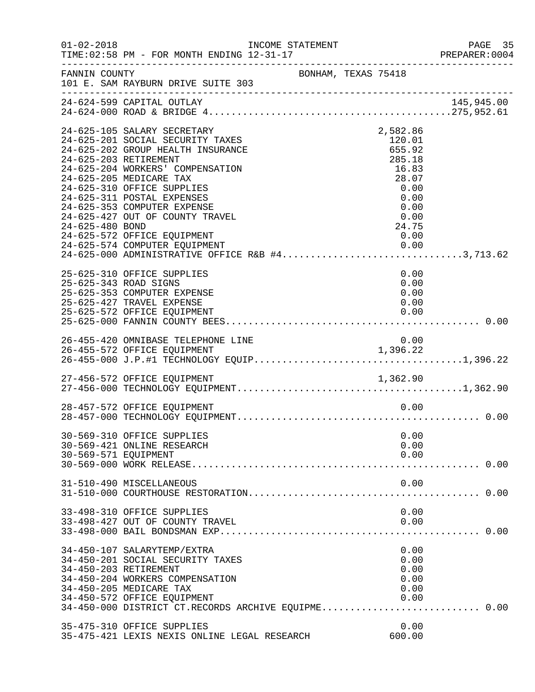| $01 - 02 - 2018$     | INCOME STATEMENT                                                                                                                                                                                                                                                                                                                                                                                                                              |                     |                                                                                                           | PAGE 35<br>PREPARER: 0004 |
|----------------------|-----------------------------------------------------------------------------------------------------------------------------------------------------------------------------------------------------------------------------------------------------------------------------------------------------------------------------------------------------------------------------------------------------------------------------------------------|---------------------|-----------------------------------------------------------------------------------------------------------|---------------------------|
| FANNIN COUNTY        | 101 E. SAM RAYBURN DRIVE SUITE 303                                                                                                                                                                                                                                                                                                                                                                                                            | BONHAM, TEXAS 75418 |                                                                                                           |                           |
|                      | 24-624-599 CAPITAL OUTLAY                                                                                                                                                                                                                                                                                                                                                                                                                     |                     |                                                                                                           | 145,945.00                |
| 24-625-480 BOND      | 24-625-105 SALARY SECRETARY<br>24-625-201 SOCIAL SECURITY TAXES<br>24-625-202 GROUP HEALTH INSURANCE<br>24-625-203 RETIREMENT<br>24-625-204 WORKERS' COMPENSATION<br>24-625-205 MEDICARE TAX<br>24-625-310 OFFICE SUPPLIES<br>24-625-311 POSTAL EXPENSES<br>24-625-353 COMPUTER EXPENSE<br>24-625-427 OUT OF COUNTY TRAVEL<br>24-625-572 OFFICE EQUIPMENT<br>24-625-574 COMPUTER EQUIPMENT<br>24-625-000 ADMINISTRATIVE OFFICE R&B #43,713.62 |                     | 2,582.86<br>120.01<br>655.92<br>285.18<br>16.83<br>28.07<br>0.00<br>0.00<br>0.00<br>0.00<br>24.75<br>0.00 |                           |
|                      | 25-625-310 OFFICE SUPPLIES<br>25-625-343 ROAD SIGNS<br>25-625-353 COMPUTER EXPENSE<br>25-625-427 TRAVEL EXPENSE<br>25-625-572 OFFICE EQUIPMENT                                                                                                                                                                                                                                                                                                |                     | 0.00<br>0.00<br>0.00<br>0.00<br>0.00                                                                      |                           |
|                      | 26-455-420 OMNIBASE TELEPHONE LINE                                                                                                                                                                                                                                                                                                                                                                                                            |                     | 0.00                                                                                                      |                           |
|                      |                                                                                                                                                                                                                                                                                                                                                                                                                                               |                     |                                                                                                           |                           |
|                      | 28-457-572 OFFICE EQUIPMENT                                                                                                                                                                                                                                                                                                                                                                                                                   |                     | 0.00                                                                                                      |                           |
| 30-569-571 EQUIPMENT | 30-569-310 OFFICE SUPPLIES<br>30-569-421 ONLINE RESEARCH                                                                                                                                                                                                                                                                                                                                                                                      |                     | 0.00<br>0.00<br>0.00                                                                                      |                           |
|                      | 31-510-490 MISCELLANEOUS                                                                                                                                                                                                                                                                                                                                                                                                                      |                     | 0.00                                                                                                      |                           |
|                      | 33-498-310 OFFICE SUPPLIES<br>33-498-427 OUT OF COUNTY TRAVEL                                                                                                                                                                                                                                                                                                                                                                                 |                     | 0.00<br>0.00                                                                                              |                           |
|                      | 34-450-107 SALARYTEMP/EXTRA<br>34-450-201 SOCIAL SECURITY TAXES<br>34-450-203 RETIREMENT<br>34-450-204 WORKERS COMPENSATION<br>34-450-205 MEDICARE TAX<br>34-450-572 OFFICE EQUIPMENT<br>34-450-000 DISTRICT CT.RECORDS ARCHIVE EQUIPME 0.00                                                                                                                                                                                                  |                     | 0.00<br>0.00<br>0.00<br>0.00<br>0.00<br>0.00                                                              |                           |
|                      | 35-475-310 OFFICE SUPPLIES<br>35-475-421 LEXIS NEXIS ONLINE LEGAL RESEARCH                                                                                                                                                                                                                                                                                                                                                                    |                     | 0.00<br>600.00                                                                                            |                           |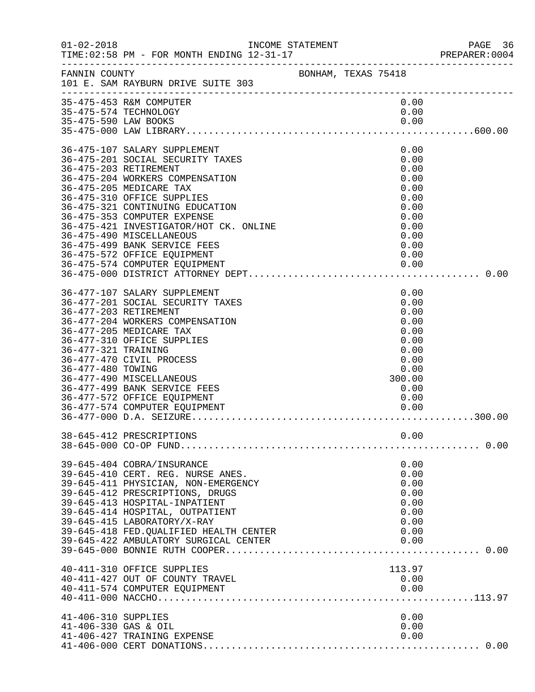|                                             | INCOME STATEMENT                                                                                                                                                                                                                                                                                                                                                                                                              |                                                                                                        | PAGE 36<br>PREPARER:0004 |
|---------------------------------------------|-------------------------------------------------------------------------------------------------------------------------------------------------------------------------------------------------------------------------------------------------------------------------------------------------------------------------------------------------------------------------------------------------------------------------------|--------------------------------------------------------------------------------------------------------|--------------------------|
| FANNIN COUNTY                               | BONHAM, TEXAS 75418<br>101 E. SAM RAYBURN DRIVE SUITE 303                                                                                                                                                                                                                                                                                                                                                                     |                                                                                                        |                          |
| 35-475-590 LAW BOOKS                        | 35-475-453 R&M COMPUTER<br>35-475-574 TECHNOLOGY                                                                                                                                                                                                                                                                                                                                                                              | 0.00<br>0.00<br>0.00                                                                                   |                          |
|                                             | 36-475-107 SALARY SUPPLEMENT<br>36-475-201 SOCIAL SECURITY TAXES<br>36-475-203 RETIREMENT<br>36-475-204 WORKERS COMPENSATION<br>36-475-205 MEDICARE TAX<br>36-475-310 OFFICE SUPPLIES<br>36-475-321 CONTINUING EDUCATION<br>36-475-353 COMPUTER EXPENSE<br>36-475-421 INVESTIGATOR/HOT CK. ONLINE<br>36-475-490 MISCELLANEOUS<br>36-475-499 BANK SERVICE FEES<br>36-475-572 OFFICE EQUIPMENT<br>36-475-574 COMPUTER EQUIPMENT | 0.00<br>0.00<br>0.00<br>0.00<br>0.00<br>0.00<br>0.00<br>0.00<br>0.00<br>0.00<br>0.00<br>0.00<br>0.00   |                          |
| 36-477-321 TRAINING<br>36-477-480 TOWING    | 36-477-107 SALARY SUPPLEMENT<br>36-477-201 SOCIAL SECURITY TAXES<br>36-477-203 RETIREMENT<br>36-477-204 WORKERS COMPENSATION<br>36-477-205 MEDICARE TAX<br>36-477-310 OFFICE SUPPLIES<br>36-477-470 CIVIL PROCESS<br>36-477-490 MISCELLANEOUS<br>36-477-499 BANK SERVICE FEES<br>36-477-572 OFFICE EQUIPMENT<br>36-477-574 COMPUTER EQUIPMENT                                                                                 | 0.00<br>0.00<br>0.00<br>0.00<br>0.00<br>0.00<br>0.00<br>0.00<br>0.00<br>300.00<br>0.00<br>0.00<br>0.00 |                          |
|                                             | 38-645-412 PRESCRIPTIONS<br>39-645-404 COBRA/INSURANCE<br>39-645-410 CERT. REG. NURSE ANES.<br>39-645-411 PHYSICIAN, NON-EMERGENCY<br>39-645-412 PRESCRIPTIONS, DRUGS<br>39-645-413 HOSPITAL-INPATIENT<br>39-645-414 HOSPITAL, OUTPATIENT<br>39-645-415 LABORATORY/X-RAY<br>39-645-418 FED. QUALIFIED HEALTH CENTER<br>39-645-422 AMBULATORY SURGICAL CENTER                                                                  | 0.00<br>0.00<br>0.00<br>0.00<br>0.00<br>0.00<br>0.00<br>0.00<br>0.00<br>0.00                           |                          |
| 41-406-310 SUPPLIES<br>41-406-330 GAS & OIL | 40-411-310 OFFICE SUPPLIES<br>40-411-427 OUT OF COUNTY TRAVEL<br>40-411-574 COMPUTER EQUIPMENT<br>41-406-427 TRAINING EXPENSE                                                                                                                                                                                                                                                                                                 | 113.97<br>0.00<br>0.00<br>0.00<br>0.00<br>0.00                                                         |                          |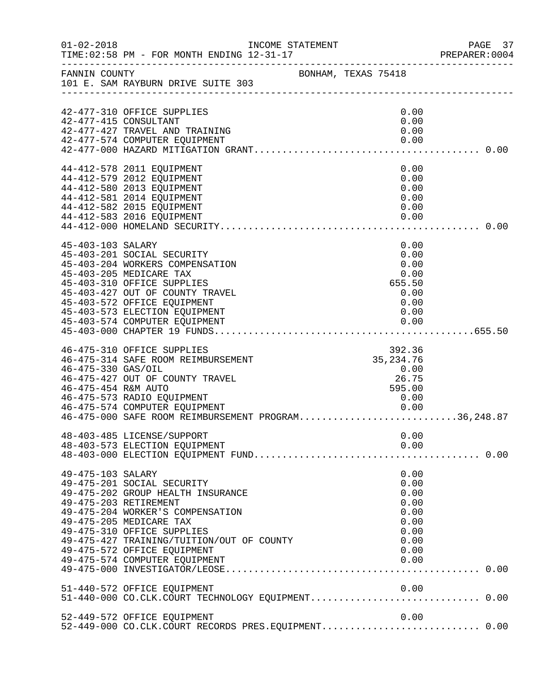| $01 - 02 - 2018$                          |                                                                                                                                                                                                                                                                                                    | INCOME STATEMENT    |                                                                              | PAGE 37<br>PREPARER: 0004 |
|-------------------------------------------|----------------------------------------------------------------------------------------------------------------------------------------------------------------------------------------------------------------------------------------------------------------------------------------------------|---------------------|------------------------------------------------------------------------------|---------------------------|
|                                           | FANNIN COUNTY<br>101 E. SAM RAYBURN DRIVE SUITE 303                                                                                                                                                                                                                                                | BONHAM, TEXAS 75418 |                                                                              |                           |
|                                           | 42-477-310 OFFICE SUPPLIES<br>42-477-415 CONSULTANT<br>42-477-427 TRAVEL AND TRAINING<br>42-477-574 COMPUTER EQUIPMENT                                                                                                                                                                             |                     | 0.00<br>0.00<br>0.00<br>0.00                                                 |                           |
|                                           | 44-412-578 2011 EQUIPMENT<br>44-412-579 2012 EQUIPMENT<br>44-412-580 2013 EQUIPMENT<br>44-412-581 2014 EQUIPMENT<br>44-412-582 2015 EQUIPMENT<br>44-412-583 2016 EQUIPMENT                                                                                                                         |                     | 0.00<br>0.00<br>0.00<br>0.00<br>0.00<br>0.00                                 |                           |
| 45-403-103 SALARY                         | 45-403-201 SOCIAL SECURITY<br>45-403-204 WORKERS COMPENSATION<br>45-403-205 MEDICARE TAX<br>45-403-310 OFFICE SUPPLIES<br>45-403-427 OUT OF COUNTY TRAVEL<br>45-403-572 OFFICE EQUIPMENT<br>45-403-573 ELECTION EQUIPMENT<br>45-403-574 COMPUTER EQUIPMENT                                         |                     | 0.00<br>0.00<br>0.00<br>0.00<br>655.50<br>0.00<br>0.00<br>0.00<br>0.00       |                           |
| 46-475-330 GAS/OIL<br>46-475-454 R&M AUTO | 46-475-310 OFFICE SUPPLIES<br>46-475-314 SAFE ROOM REIMBURSEMENT<br>46-475-427 OUT OF COUNTY TRAVEL<br>46-475-573 RADIO EQUIPMENT<br>46-475-574 COMPUTER EQUIPMENT<br>46-475-000 SAFE ROOM REIMBURSEMENT PROGRAM36,248.87                                                                          |                     | 392.36<br>35, 234. 76<br>0.00<br>26.75<br>595.00<br>0.00<br>0.00             |                           |
|                                           | 48-403-485 LICENSE/SUPPORT<br>48-403-573 ELECTION EQUIPMENT                                                                                                                                                                                                                                        |                     | 0.00<br>0.00                                                                 |                           |
| 49-475-103 SALARY                         | 49-475-201 SOCIAL SECURITY<br>49-475-202 GROUP HEALTH INSURANCE<br>49-475-203 RETIREMENT<br>49-475-204 WORKER'S COMPENSATION<br>49-475-205 MEDICARE TAX<br>49-475-310 OFFICE SUPPLIES<br>49-475-427 TRAINING/TUITION/OUT OF COUNTY<br>49-475-572 OFFICE EQUIPMENT<br>49-475-574 COMPUTER EQUIPMENT |                     | 0.00<br>0.00<br>0.00<br>0.00<br>0.00<br>0.00<br>0.00<br>0.00<br>0.00<br>0.00 |                           |
|                                           | 51-440-572 OFFICE EQUIPMENT<br>51-440-000 CO.CLK.COURT TECHNOLOGY EQUIPMENT0.00                                                                                                                                                                                                                    |                     |                                                                              |                           |
|                                           | 52-449-572 OFFICE EQUIPMENT<br>52-449-000 CO.CLK.COURT RECORDS PRES.EQUIPMENT 0.00                                                                                                                                                                                                                 |                     | 0.00                                                                         |                           |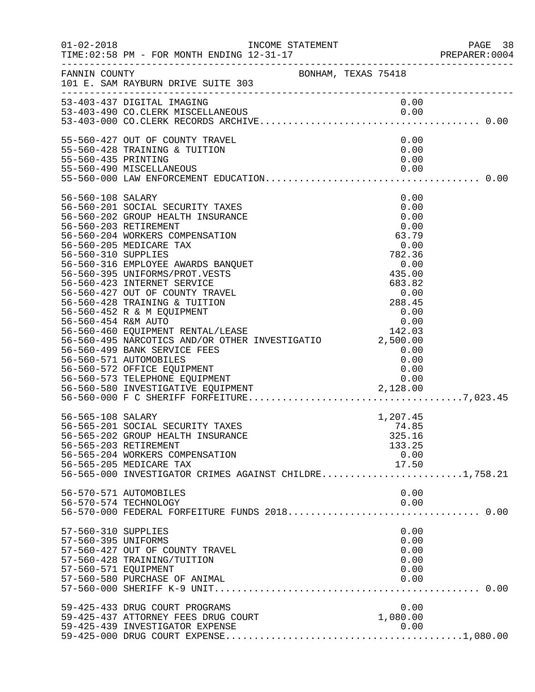|                                                                                          |                                                                                                                                                                                                                                                                                                                                                                                                                                                                                                                                       |  |                                                                                                                                                           | PAGE 38<br>PREPARER: 0004 |
|------------------------------------------------------------------------------------------|---------------------------------------------------------------------------------------------------------------------------------------------------------------------------------------------------------------------------------------------------------------------------------------------------------------------------------------------------------------------------------------------------------------------------------------------------------------------------------------------------------------------------------------|--|-----------------------------------------------------------------------------------------------------------------------------------------------------------|---------------------------|
| FANNIN COUNTY                                                                            | BONHAM, TEXAS 75418<br>101 E. SAM RAYBURN DRIVE SUITE 303                                                                                                                                                                                                                                                                                                                                                                                                                                                                             |  |                                                                                                                                                           |                           |
|                                                                                          | 53-403-437 DIGITAL IMAGING<br>53-403-490 CO.CLERK MISCELLANEOUS                                                                                                                                                                                                                                                                                                                                                                                                                                                                       |  | 0.00                                                                                                                                                      |                           |
| 55-560-435 PRINTING                                                                      | 55-560-427 OUT OF COUNTY TRAVEL<br>55-560-428 TRAINING & TUITION                                                                                                                                                                                                                                                                                                                                                                                                                                                                      |  | 0.00<br>0.00<br>0.00                                                                                                                                      |                           |
| 56-560-108 SALARY<br>56-560-203 RETIREMENT<br>56-560-310 SUPPLIES<br>56-560-454 R&M AUTO | 56-560-201 SOCIAL SECURITY TAXES<br>56-560-202 GROUP HEALTH INSURANCE<br>56-560-204 WORKERS COMPENSATION<br>56-560-205 MEDICARE TAX<br>56-560-316 EMPLOYEE AWARDS BANQUET<br>56-560-395 UNIFORMS/PROT.VESTS<br>56-560-423 INTERNET SERVICE<br>56-560-427 OUT OF COUNTY TRAVEL<br>56-560-428 TRAINING & TUITION<br>56-560-452 R & M EQUIPMENT<br>56-560-460 EQUIPMENT RENTAL/LEASE<br>56-560-495 NARCOTICS AND/OR OTHER INVESTIGATIO 2,500.00<br>56-560-499 BANK SERVICE FEES<br>56-560-571 AUTOMOBILES<br>56-560-572 OFFICE EQUIPMENT |  | 0.00<br>0.00<br>0.00<br>0.00<br>63.79<br>0.00<br>782.36<br>0.00<br>435.00<br>$683.82$<br>0.00<br>288.45<br>0.00<br>0.00<br>142.03<br>0.00<br>0.00<br>0.00 |                           |
| 56-565-108 SALARY<br>56-565-203 RETIREMENT                                               | 56-565-201 SOCIAL SECURITY TAXES<br>56-565-202 GROUP HEALTH INSURANCE<br>56-565-204 WORKERS COMPENSATION<br>56-565-205 MEDICARE TAX<br>56-565-000 INVESTIGATOR CRIMES AGAINST CHILDRE1,758.21                                                                                                                                                                                                                                                                                                                                         |  | 1,207.45<br>74.85<br>325.16<br>133.25<br>0.00<br>17.50                                                                                                    |                           |
|                                                                                          | 56-570-571 AUTOMOBILES<br>56-570-574 TECHNOLOGY                                                                                                                                                                                                                                                                                                                                                                                                                                                                                       |  | 0.00<br>0.00                                                                                                                                              |                           |
| 57-560-310 SUPPLIES<br>57-560-395 UNIFORMS<br>57-560-571 EQUIPMENT                       | 57-560-427 OUT OF COUNTY TRAVEL<br>57-560-428 TRAINING/TUITION<br>57-560-580 PURCHASE OF ANIMAL                                                                                                                                                                                                                                                                                                                                                                                                                                       |  | 0.00<br>0.00<br>0.00<br>0.00<br>0.00<br>0.00                                                                                                              |                           |
|                                                                                          | 59-425-433 DRUG COURT PROGRAMS<br>59-425-437 ATTORNEY FEES DRUG COURT<br>59-425-439 INVESTIGATOR EXPENSE                                                                                                                                                                                                                                                                                                                                                                                                                              |  | 0.00<br>1,080.00<br>0.00                                                                                                                                  |                           |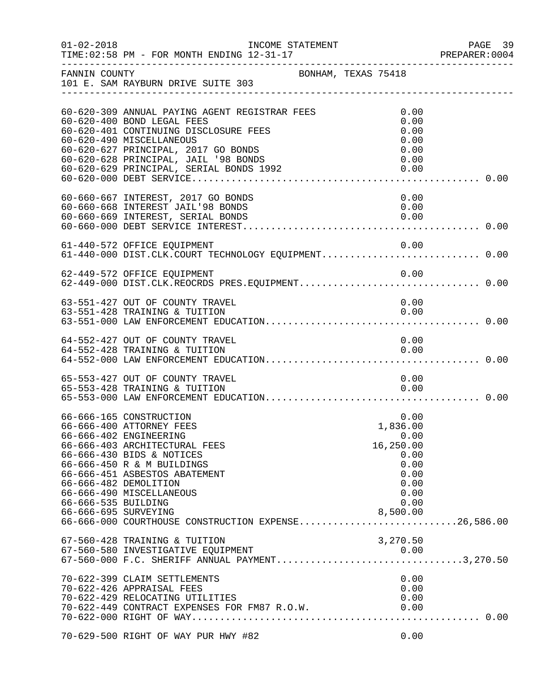| $01 - 02 - 2018$                            | INCOME STATEMENT<br>TIME: 02:58 PM - FOR MONTH ENDING 12-31-17                                                                                                                                                                                                                                                         |                                                                                                   | PAGE 39<br>PREPARER: 0004 |
|---------------------------------------------|------------------------------------------------------------------------------------------------------------------------------------------------------------------------------------------------------------------------------------------------------------------------------------------------------------------------|---------------------------------------------------------------------------------------------------|---------------------------|
| FANNIN COUNTY                               | 101 E. SAM RAYBURN DRIVE SUITE 303<br>___________________________________                                                                                                                                                                                                                                              | BONHAM, TEXAS 75418                                                                               |                           |
|                                             | 60-620-309 ANNUAL PAYING AGENT REGISTRAR FEES<br>60-620-400 BOND LEGAL FEES<br>60-620-401 CONTINUING DISCLOSURE FEES<br>60-620-490 MISCELLANEOUS<br>60-620-627 PRINCIPAL, 2017 GO BONDS<br>60-620-628 PRINCIPAL, JAIL '98 BONDS<br>60-620-628 PRINCIPAL, JAIL '98 BONDS<br>60-620-629 PRINCIPAL, SERIAL BONDS 1992     | 0.00<br>0.00<br>0.00<br>0.00<br>0.00<br>0.00<br>0.00                                              |                           |
|                                             | 60-660-667 INTEREST, 2017 GO BONDS<br>60-660-668 INTEREST JAIL'98 BONDS<br>60-660-669 INTEREST, SERIAL BONDS                                                                                                                                                                                                           | 0.00<br>0.00<br>0.00                                                                              |                           |
|                                             | 61-440-572 OFFICE EQUIPMENT                                                                                                                                                                                                                                                                                            | 0.00                                                                                              |                           |
|                                             | 62-449-572 OFFICE EQUIPMENT<br>62-449-000 DIST.CLK.REOCRDS PRES.EQUIPMENT 0.00                                                                                                                                                                                                                                         | 0.00                                                                                              |                           |
|                                             | 63-551-427 OUT OF COUNTY TRAVEL<br>63-551-428 TRAINING & TUITION                                                                                                                                                                                                                                                       | 0.00<br>0.00                                                                                      |                           |
|                                             | 64-552-427 OUT OF COUNTY TRAVEL<br>64-552-428 TRAINING & TUITION                                                                                                                                                                                                                                                       | 0.00<br>0.00                                                                                      |                           |
|                                             | 65-553-427 OUT OF COUNTY TRAVEL<br>65-553-428 TRAINING & TUITION                                                                                                                                                                                                                                                       | 0.00<br>0.00                                                                                      |                           |
| 66-666-535 BUILDING<br>66-666-695 SURVEYING | 66-666-165 CONSTRUCTION<br>66-666-400 ATTORNEY FEES<br>66-666-402 ENGINEERING<br>66-666-403 ARCHITECTURAL FEES<br>66-666-430 BIDS & NOTICES<br>66-666-450 R & M BUILDINGS<br>66-666-451 ASBESTOS ABATEMENT<br>66-666-482 DEMOLITION<br>66-666-490 MISCELLANEOUS<br>66-666-000 COURTHOUSE CONSTRUCTION EXPENSE26,586.00 | 0.00<br>1,836.00<br>0.00<br>16,250.00<br>0.00<br>0.00<br>0.00<br>0.00<br>0.00<br>0.00<br>8,500.00 |                           |
|                                             | 67-560-428 TRAINING & TUITION<br>67-560-580 INVESTIGATIVE EQUIPMENT                                                                                                                                                                                                                                                    | 3,270.50<br>0.00                                                                                  |                           |
|                                             | 70-622-399 CLAIM SETTLEMENTS<br>70-622-426 APPRAISAL FEES<br>70-622-429 RELOCATING UTILITIES<br>70-622-449 CONTRACT EXPENSES FOR FM87 R.O.W.                                                                                                                                                                           | 0.00<br>0.00<br>0.00<br>0.00                                                                      |                           |
|                                             | 70-629-500 RIGHT OF WAY PUR HWY #82                                                                                                                                                                                                                                                                                    | 0.00                                                                                              |                           |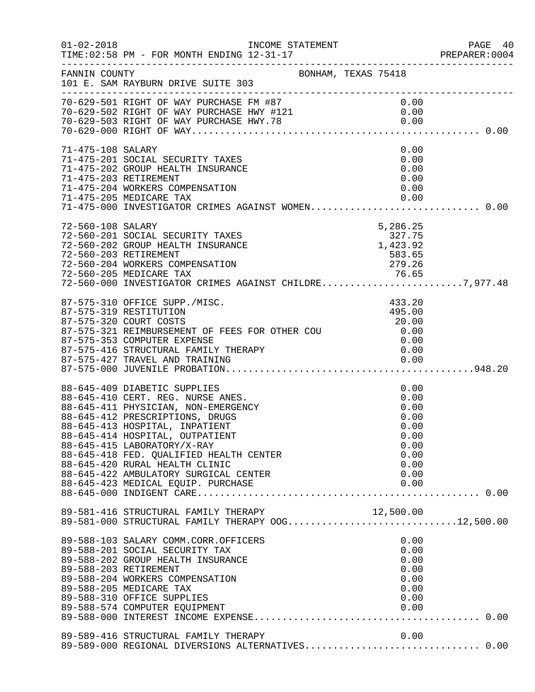| $01 - 02 - 2018$                           | INCOME STATEMENT<br>TIME: 02:58 PM - FOR MONTH ENDING 12-31-17<br>------------------------------------                                                                                                                                                                                                                                                                |                     |                                                                              | PAGE 40<br>PREPARER:0004 |
|--------------------------------------------|-----------------------------------------------------------------------------------------------------------------------------------------------------------------------------------------------------------------------------------------------------------------------------------------------------------------------------------------------------------------------|---------------------|------------------------------------------------------------------------------|--------------------------|
| FANNIN COUNTY                              | 101 E. SAM RAYBURN DRIVE SUITE 303                                                                                                                                                                                                                                                                                                                                    | BONHAM, TEXAS 75418 |                                                                              |                          |
|                                            |                                                                                                                                                                                                                                                                                                                                                                       |                     |                                                                              |                          |
| 71-475-108 SALARY<br>71-475-203 RETIREMENT | 71-475-201 SOCIAL SECURITY TAXES<br>71-475-202 GROUP HEALTH INSURANCE<br>71-475-204 WORKERS COMPENSATION<br>71-475-205 MEDICARE TAX<br>$71-475-205$ MEDICARE TAX 0.00<br>71-475-000 INVESTIGATOR CRIMES AGAINST WOMEN0.00                                                                                                                                             |                     | 0.00<br>0.00<br>0.00<br>0.00<br>0.00<br>0.00                                 |                          |
| 72-560-108 SALARY                          | 72-560-201 SOCIAL SECURITY TAXES<br>72-560-202 GROUP HEALTH INSURANCE<br>72-560-203 RETIREMENT<br>72-560-204 WORKERS COMPENSATION<br>72-560-205 MEDICARE TAX 72-560-205 MEDICARE TAX<br>72-560-000 INVESTIGATOR CRIMES AGAINST CHILDRE7,977.48                                                                                                                        |                     | 5,286.25<br>327.75<br>1,423.92<br>583.65<br>279.26                           |                          |
|                                            | 87-575-310 OFFICE SUPP./MISC.<br>87-575-319 RESTITUTION<br>87-575-320 COURT COSTS<br>87-575-321 REIMBURSEMENT OF FEES FOR OTHER COU<br>87-575-353 COMPUTER EXPENSE                                                                                                                                                                                                    |                     | 433.20<br>495.00<br>20.00<br>0.00<br>0.00                                    |                          |
|                                            | 88-645-409 DIABETIC SUPPLIES<br>88-645-410 CERT. REG. NURSE ANES.<br>88-645-411 PHYSICIAN, NON-EMERGENCY<br>88-645-412 PRESCRIPTIONS, DRUGS<br>88-645-413 HOSPITAL, INPATIENT<br>88-645-414 HOSPITAL, OUTPATIENT<br>88-645-415 LABORATORY/X-RAY<br>88-645-418 FED. QUALIFIED HEALTH CENTER<br>88-645-420 RURAL HEALTH CLINIC<br>88-645-422 AMBULATORY SURGICAL CENTER |                     | 0.00<br>0.00<br>0.00<br>0.00<br>0.00<br>0.00<br>0.00<br>0.00<br>0.00<br>0.00 |                          |
|                                            | 89-581-416 STRUCTURAL FAMILY THERAPY $12,500.00$<br>89-581-000 STRUCTURAL FAMILY THERAPY OOG12,500.00                                                                                                                                                                                                                                                                 |                     |                                                                              |                          |
|                                            | 89-588-103 SALARY COMM.CORR.OFFICERS<br>89-588-201 SOCIAL SECURITY TAX<br>89-588-202 GROUP HEALTH INSURANCE<br>89-588-203 RETIREMENT<br>89-588-204 WORKERS COMPENSATION<br>89-588-205 MEDICARE TAX<br>89-588-310 OFFICE SUPPLIES<br>89-588-574 COMPUTER EQUIPMENT                                                                                                     |                     | 0.00<br>0.00<br>0.00<br>0.00<br>0.00<br>0.00<br>0.00<br>0.00                 |                          |
|                                            | 89-589-416 STRUCTURAL FAMILY THERAPY<br>89-589-000 REGIONAL DIVERSIONS ALTERNATIVES 0.00                                                                                                                                                                                                                                                                              |                     | 0.00                                                                         |                          |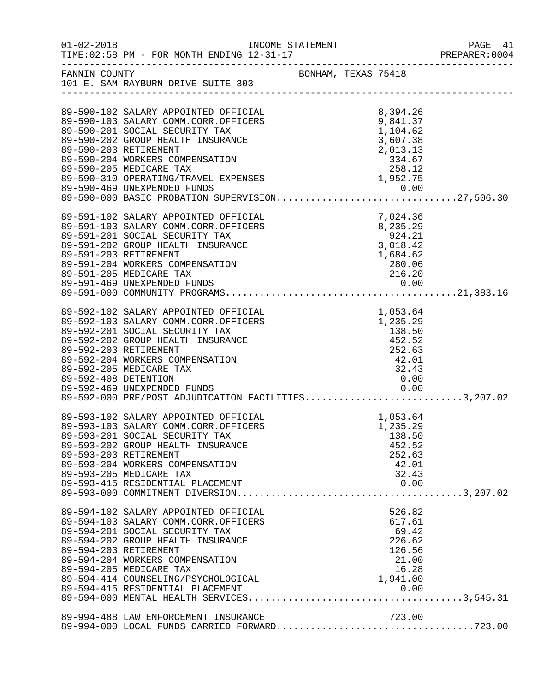| $01 - 02 - 2018$     | TIME: 02:58 PM - FOR MONTH ENDING 12-31-17                                                                                                                                                                                                                                                                                                                           | INCOME STATEMENT |                                                                                          | PAGE 41<br>PREPARER:0004 |
|----------------------|----------------------------------------------------------------------------------------------------------------------------------------------------------------------------------------------------------------------------------------------------------------------------------------------------------------------------------------------------------------------|------------------|------------------------------------------------------------------------------------------|--------------------------|
|                      | FANNIN COUNTY BONHAM, TEXAS 75418<br>101 E. SAM RAYBURN DRIVE SUITE 303                                                                                                                                                                                                                                                                                              |                  |                                                                                          |                          |
|                      | 89-590-102 SALARY APPOINTED OFFICIAL<br>89-590-103 SALARY COMM.CORR.OFFICERS<br>89-590-201 SOCIAL SECURITY TAX<br>89-590-202 GROUP HEALTH INSURANCE<br>89-590-203 RETIREMENT<br>89-590-204 WORKERS COMPENSATION<br>89-590-205 MEDICARE TAX<br>89-590-310 OPERATING/TRAVEL EXPENSES<br>89-590-469 UNEXPENDED FUNDS<br>89-590-000 BASIC PROBATION SUPERVISION27,506.30 |                  | 8,394.26<br>9,841.37<br>1,104.62<br>3,607.38<br>2,013.13<br>334.67<br>258.12<br>1,952.75 |                          |
|                      | 89-591-102 SALARY APPOINTED OFFICIAL<br>89-591-103 SALARY COMM.CORR.OFFICERS<br>89-591-201 SOCIAL SECURITY TAX<br>89-591-202 GROUP HEALTH INSURANCE<br>89-591-203 RETIREMENT<br>89-591-204 WORKERS COMPENSATION<br>89-591-205 MEDICARE TAX                                                                                                                           |                  | 7,024.36<br>7,024.36<br>8,235.29<br>924.21<br>3,018.42<br>1,684.62<br>280.06<br>216.20   |                          |
| 89-592-408 DETENTION | 89-592-102 SALARY APPOINTED OFFICIAL<br>89-592-103 SALARY COMM.CORR.OFFICERS<br>89-592-201 SOCIAL SECURITY TAX<br>89-592-202 GROUP HEALTH INSURANCE<br>89-592-203 RETIREMENT<br>89-592-204 WORKERS COMPENSATION<br>89-592-205 MEDICARE TAX<br>89-592-469 UNEXPENDED FUNDS<br>89-592-469 UNEXPENDED FUNDS<br>89-592-000 PRE/POST ADJUDICATION FACILITIES3,207.02      |                  | 1,053.64<br>1,235.29<br>138.50<br>452.52<br>252.63<br>42.01<br>32.43<br>0.00             |                          |
|                      | 89-593-102 SALARY APPOINTED OFFICIAL<br>89-593-103 SALARY COMM.CORR.OFFICERS<br>89-593-201 SOCIAL SECURITY TAX<br>89-593-202 GROUP HEALTH INSURANCE<br>89-593-203 RETIREMENT<br>89-593-204 WORKERS COMPENSATION<br>89-593-205 MEDICARE TAX                                                                                                                           |                  | 1,053.64<br>1,235.29<br>138.50<br>452.52<br>252.63<br>42.01<br>32.43                     |                          |
|                      | 89-594-102 SALARY APPOINTED OFFICIAL<br>89-594-103 SALARY COMM.CORR.OFFICERS<br>89-594-201 SOCIAL SECURITY TAX<br>89-594-202 GROUP HEALTH INSURANCE<br>89-594-203 RETIREMENT<br>89-594-204 WORKERS COMPENSATION<br>89-594-205 MEDICARE TAX<br>89-594-414 COUNSELING/PSYCHOLOGICAL                                                                                    |                  | 526.82<br>617.61<br>69.42<br>226.62<br>126.56<br>21.00<br>16.28<br>1,941.00              |                          |
|                      | 89-994-488 LAW ENFORCEMENT INSURANCE                                                                                                                                                                                                                                                                                                                                 |                  | 723.00                                                                                   |                          |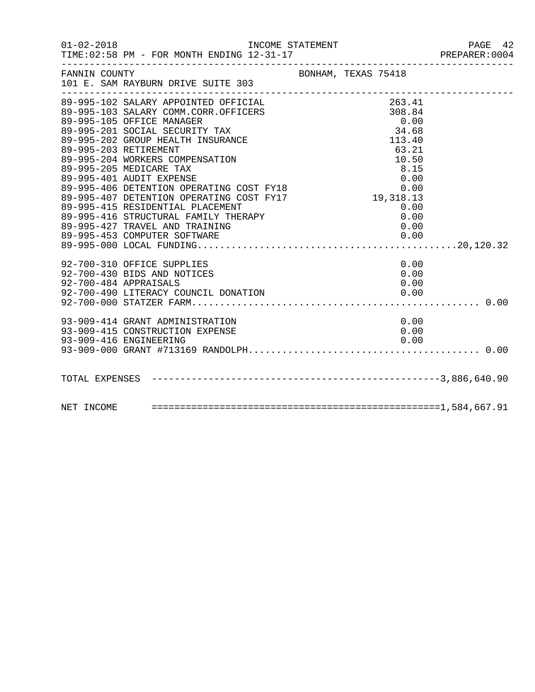| $01 - 02 - 2018$ | INCOME STATEMENT                                                                                                                                                                                                                                                                                                                                                                                                                                                                                                                      |                                                                                           | PAGE 42<br>PREPARER:0004 |
|------------------|---------------------------------------------------------------------------------------------------------------------------------------------------------------------------------------------------------------------------------------------------------------------------------------------------------------------------------------------------------------------------------------------------------------------------------------------------------------------------------------------------------------------------------------|-------------------------------------------------------------------------------------------|--------------------------|
| FANNIN COUNTY    | BONHAM, TEXAS 75418<br>101 E. SAM RAYBURN DRIVE SUITE 303                                                                                                                                                                                                                                                                                                                                                                                                                                                                             |                                                                                           |                          |
|                  | 89-995-102 SALARY APPOINTED OFFICIAL<br>89-995-103 SALARY COMM.CORR.OFFICERS<br>89-995-105 OFFICE MANAGER<br>89-995-201 SOCIAL SECURITY TAX<br>89-995-202 GROUP HEALTH INSURANCE<br>89-995-203 RETIREMENT<br>89-995-204 WORKERS COMPENSATION<br>89-995-205 MEDICARE TAX<br>89-995-401 AUDIT EXPENSE<br>0.00 0.00<br>89-995-406 DETENTION OPERATING COST FY18 0.00<br>89-995-407 DETENTION OPERATING COST FY17 19,318.13<br>89-995-415 RESIDENTIAL PLACEMENT<br>89-995-416 STRUCTURAL FAMILY THERAPY<br>89-995-427 TRAVEL AND TRAINING | $263.41$<br>$308.84$<br>0.00<br>34.68<br>113.40<br>63.21<br>10.50<br>8.15<br>0.00<br>0.00 |                          |
|                  | 92-700-310 OFFICE SUPPLIES<br>92-700-430 BIDS AND NOTICES<br>92-700-484 APPRAISALS                                                                                                                                                                                                                                                                                                                                                                                                                                                    | 0.00<br>0.00<br>0.00                                                                      |                          |
|                  | 93-909-414 GRANT ADMINISTRATION<br>93-909-415 CONSTRUCTION EXPENSE<br>93-909-416 ENGINEERING                                                                                                                                                                                                                                                                                                                                                                                                                                          | 0.00<br>0.00<br>0.00                                                                      |                          |
|                  |                                                                                                                                                                                                                                                                                                                                                                                                                                                                                                                                       |                                                                                           |                          |
|                  |                                                                                                                                                                                                                                                                                                                                                                                                                                                                                                                                       |                                                                                           |                          |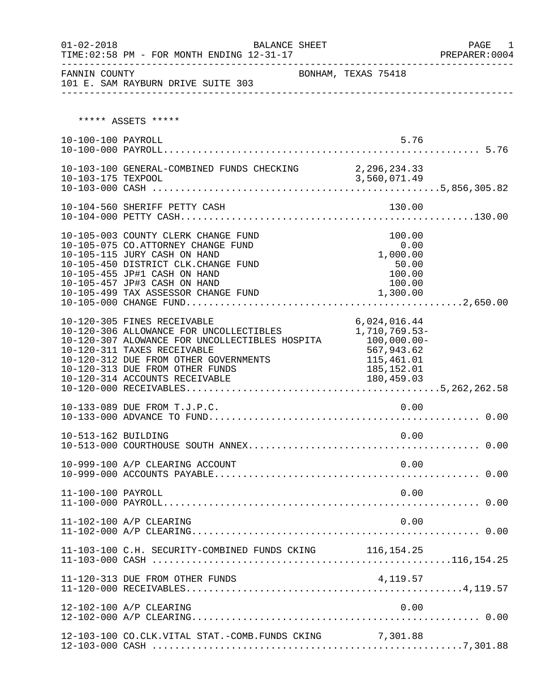| $01 - 02 - 2018$    | BALANCE SHEET<br>TIME: 02:58 PM - FOR MONTH ENDING 12-31-17<br>-------------------------                                                                                                                                                                              |                                                                                                         | PAGE<br>1<br>PREPARER: 0004<br>_____________________ |
|---------------------|-----------------------------------------------------------------------------------------------------------------------------------------------------------------------------------------------------------------------------------------------------------------------|---------------------------------------------------------------------------------------------------------|------------------------------------------------------|
| FANNIN COUNTY       | 101 E. SAM RAYBURN DRIVE SUITE 303                                                                                                                                                                                                                                    | BONHAM, TEXAS 75418                                                                                     |                                                      |
|                     | ***** ASSETS *****                                                                                                                                                                                                                                                    |                                                                                                         |                                                      |
| 10-100-100 PAYROLL  |                                                                                                                                                                                                                                                                       | 5.76                                                                                                    |                                                      |
|                     |                                                                                                                                                                                                                                                                       |                                                                                                         |                                                      |
|                     | 10-104-560 SHERIFF PETTY CASH                                                                                                                                                                                                                                         | 130.00                                                                                                  |                                                      |
|                     | 10-105-003 COUNTY CLERK CHANGE FUND<br>10-105-075 CO.ATTORNEY CHANGE FUND<br>10-105-115 JURY CASH ON HAND<br>10-105-450 DISTRICT CLK.CHANGE FUND<br>10-105-455 JP#1 CASH ON HAND<br>10-105-457 JP#3 CASH ON HAND<br>10-105-499 TAX ASSESSOR CHANGE FUND               | 100.00<br>0.00<br>1,000.00<br>50.00<br>100.00<br>100.00<br>1,300.00                                     |                                                      |
|                     | 10-120-305 FINES RECEIVABLE<br>10-120-306 ALLOWANCE FOR UNCOLLECTIBLES<br>10-120-307 ALOWANCE FOR UNCOLLECTIBLES HOSPITA<br>10-120-311 TAXES RECEIVABLE<br>10-120-312 DUE FROM OTHER GOVERNMENTS<br>10-120-313 DUE FROM OTHER FUNDS<br>10-120-314 ACCOUNTS RECEIVABLE | 6,024,016.44<br>1,710,769.53-<br>$100,000.00 -$<br>567,943.62<br>115,461.01<br>185,152.01<br>180,459.03 |                                                      |
|                     | 10-133-089 DUE FROM T.J.P.C.                                                                                                                                                                                                                                          | 0.00                                                                                                    |                                                      |
| 10-513-162 BUILDING |                                                                                                                                                                                                                                                                       | 0.00                                                                                                    |                                                      |
|                     | 10-999-100 A/P CLEARING ACCOUNT                                                                                                                                                                                                                                       | 0.00                                                                                                    |                                                      |
| 11-100-100 PAYROLL  |                                                                                                                                                                                                                                                                       | 0.00                                                                                                    |                                                      |
|                     | 11-102-100 A/P CLEARING                                                                                                                                                                                                                                               | 0.00                                                                                                    |                                                      |
|                     | 11-103-100 C.H. SECURITY-COMBINED FUNDS CKING 116,154.25                                                                                                                                                                                                              |                                                                                                         |                                                      |
|                     | 11-120-313 DUE FROM OTHER FUNDS                                                                                                                                                                                                                                       | 4, 119.57                                                                                               |                                                      |
|                     | 12-102-100 A/P CLEARING                                                                                                                                                                                                                                               | 0.00                                                                                                    |                                                      |
|                     | 12-103-100 CO.CLK.VITAL STAT.-COMB.FUNDS CKING                                                                                                                                                                                                                        | 7,301.88                                                                                                |                                                      |

12-103-000 CASH .......................................................7,301.88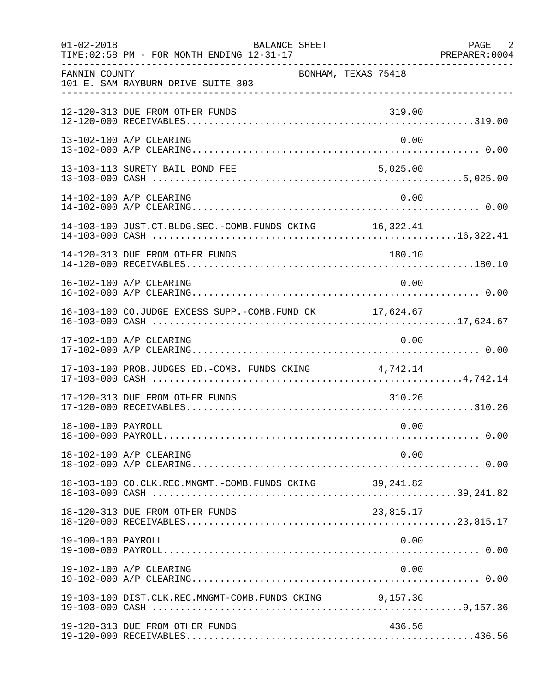| $01 - 02 - 2018$   | <b>BALANCE SHEET</b><br>TIME: 02:58 PM - FOR MONTH ENDING 12-31-17 |                     | PAGE 2<br>PREPARER: 0004 |
|--------------------|--------------------------------------------------------------------|---------------------|--------------------------|
| FANNIN COUNTY      | 101 E. SAM RAYBURN DRIVE SUITE 303                                 | BONHAM, TEXAS 75418 |                          |
|                    | 12-120-313 DUE FROM OTHER FUNDS                                    | 319.00              |                          |
|                    | 13-102-100 A/P CLEARING                                            | 0.00                |                          |
|                    | 13-103-113 SURETY BAIL BOND FEE                                    | 5,025.00            |                          |
|                    | 14-102-100 A/P CLEARING                                            | 0.00                |                          |
|                    | 14-103-100 JUST.CT.BLDG.SEC.-COMB.FUNDS CKING 16,322.41            |                     |                          |
|                    | 14-120-313 DUE FROM OTHER FUNDS                                    | 180.10              |                          |
|                    | 16-102-100 A/P CLEARING                                            | 0.00                |                          |
|                    | 16-103-100 CO.JUDGE EXCESS SUPP.-COMB.FUND CK 17,624.67            |                     |                          |
|                    | 17-102-100 A/P CLEARING                                            | 0.00                |                          |
|                    | 17-103-100 PROB.JUDGES ED.-COMB. FUNDS CKING 4,742.14              |                     |                          |
|                    | 17-120-313 DUE FROM OTHER FUNDS                                    | 310.26              |                          |
| 18-100-100 PAYROLL |                                                                    | 0.00                |                          |
|                    | 18-102-100 A/P CLEARING                                            | 0.00                |                          |
|                    |                                                                    |                     |                          |
|                    | 18-120-313 DUE FROM OTHER FUNDS                                    | 23,815.17           |                          |
| 19-100-100 PAYROLL |                                                                    | 0.00                |                          |
|                    | 19-102-100 A/P CLEARING                                            | 0.00                |                          |
|                    | 19-103-100 DIST.CLK.REC.MNGMT-COMB.FUNDS CKING 9,157.36            |                     |                          |
|                    | 19-120-313 DUE FROM OTHER FUNDS                                    | 436.56              |                          |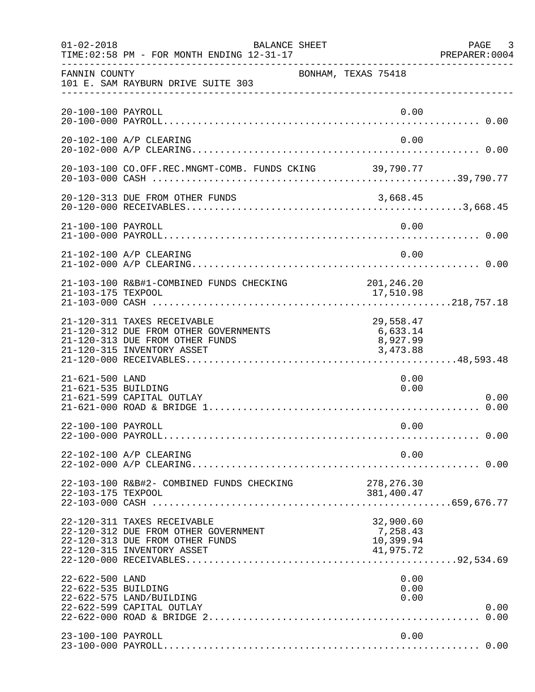| $01 - 02 - 2018$                       | BALANCE SHEET<br>TIME: 02:58 PM - FOR MONTH ENDING 12-31-17                                                                           |                                                 | PAGE 3<br>PREPARER:0004 |
|----------------------------------------|---------------------------------------------------------------------------------------------------------------------------------------|-------------------------------------------------|-------------------------|
| FANNIN COUNTY                          | 101 E. SAM RAYBURN DRIVE SUITE 303                                                                                                    | BONHAM, TEXAS 75418                             |                         |
| 20-100-100 PAYROLL                     |                                                                                                                                       | 0.00                                            |                         |
|                                        | 20-102-100 A/P CLEARING                                                                                                               | 0.00                                            |                         |
|                                        | 20-103-100 CO.OFF.REC.MNGMT-COMB. FUNDS CKING 39,790.77                                                                               |                                                 |                         |
|                                        | 20-120-313 DUE FROM OTHER FUNDS                                                                                                       | 3,668.45                                        |                         |
| 21-100-100 PAYROLL                     |                                                                                                                                       | 0.00                                            |                         |
|                                        | 21-102-100 A/P CLEARING                                                                                                               | 0.00                                            |                         |
| 21-103-175 TEXPOOL                     | 21-103-100 R&B#1-COMBINED FUNDS CHECKING                                                                                              | 201,246.20<br>17,510.98                         |                         |
|                                        | 21-120-311 TAXES RECEIVABLE<br>21-120-312 DUE FROM OTHER GOVERNMENTS<br>21-120-313 DUE FROM OTHER FUNDS<br>21-120-315 INVENTORY ASSET | 29,558.47<br>6,633.14<br>8,927.99<br>3,473.88   |                         |
| 21-621-500 LAND<br>21-621-535 BUILDING | 21-621-599 CAPITAL OUTLAY                                                                                                             | 0.00<br>0.00                                    | 0.00                    |
| 22-100-100 PAYROLL                     |                                                                                                                                       | 0.00                                            |                         |
|                                        | 22-102-100 A/P CLEARING                                                                                                               | 0.00                                            |                         |
| 22-103-175 TEXPOOL                     | 22-103-100 R&B#2- COMBINED FUNDS CHECKING                                                                                             | 278, 276.30<br>381,400.47                       |                         |
|                                        | 22-120-311 TAXES RECEIVABLE<br>22-120-312 DUE FROM OTHER GOVERNMENT<br>22-120-313 DUE FROM OTHER FUNDS<br>22-120-315 INVENTORY ASSET  | 32,900.60<br>7,258.43<br>10,399.94<br>41,975.72 |                         |
| 22-622-500 LAND<br>22-622-535 BUILDING | 22-622-575 LAND/BUILDING<br>22-622-599 CAPITAL OUTLAY                                                                                 | 0.00<br>0.00<br>0.00                            | 0.00<br>0.00            |
| 23-100-100 PAYROLL                     |                                                                                                                                       | 0.00                                            |                         |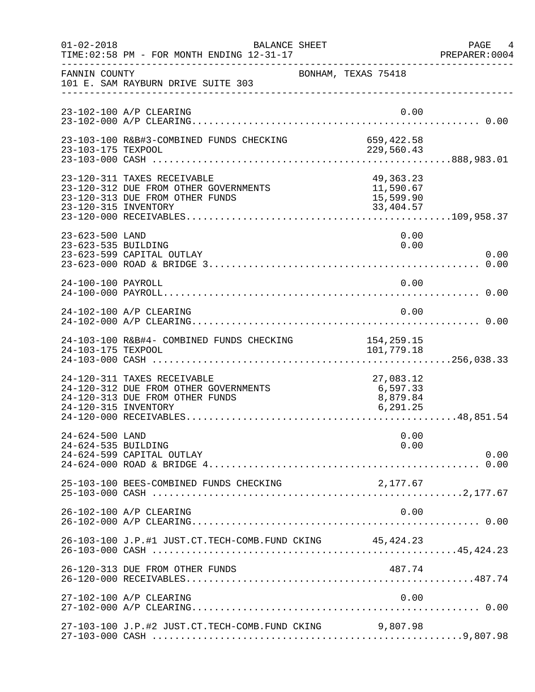| $01 - 02 - 2018$                       | <b>BALANCE SHEET</b><br>TIME: 02:58 PM - FOR MONTH ENDING 12-31-17                                      |                                                    | PAGE 4<br>PREPARER: 0004 |
|----------------------------------------|---------------------------------------------------------------------------------------------------------|----------------------------------------------------|--------------------------|
| FANNIN COUNTY                          | 101 E. SAM RAYBURN DRIVE SUITE 303                                                                      | BONHAM, TEXAS 75418                                |                          |
|                                        | 23-102-100 A/P CLEARING                                                                                 | 0.00                                               |                          |
| 23-103-175 TEXPOOL                     | 23-103-100 R&B#3-COMBINED FUNDS CHECKING                                                                | 659,422.58<br>229,560.43                           |                          |
| 23-120-315 INVENTORY                   | 23-120-311 TAXES RECEIVABLE<br>23-120-312 DUE FROM OTHER GOVERNMENTS<br>23-120-313 DUE FROM OTHER FUNDS | 49, 363. 23<br>11,590.67<br>15,599.90<br>33,404.57 |                          |
| 23-623-500 LAND<br>23-623-535 BUILDING | 23-623-599 CAPITAL OUTLAY                                                                               | 0.00<br>0.00                                       | 0.00                     |
| 24-100-100 PAYROLL                     |                                                                                                         | 0.00                                               |                          |
|                                        | 24-102-100 A/P CLEARING                                                                                 | 0.00                                               |                          |
| 24-103-175 TEXPOOL                     | 24-103-100 R&B#4- COMBINED FUNDS CHECKING                                                               | 154,259.15<br>101,779.18                           |                          |
| 24-120-315 INVENTORY                   | 24-120-311 TAXES RECEIVABLE<br>24-120-312 DUE FROM OTHER GOVERNMENTS<br>24-120-313 DUE FROM OTHER FUNDS | 27,083.12<br>6,597.33<br>8,879.84<br>6, 291.25     |                          |
| 24-624-500 LAND<br>24-624-535 BUILDING | 24-624-599 CAPITAL OUTLAY                                                                               | 0.00<br>0.00                                       | 0.00                     |
|                                        | 25-103-100 BEES-COMBINED FUNDS CHECKING                                                                 | 2,177.67                                           |                          |
|                                        | 26-102-100 A/P CLEARING                                                                                 | 0.00                                               |                          |
|                                        | 26-103-100 J.P.#1 JUST.CT.TECH-COMB.FUND CKING 45, 424.23                                               |                                                    |                          |
|                                        | 26-120-313 DUE FROM OTHER FUNDS                                                                         | 487.74                                             |                          |
|                                        | 27-102-100 A/P CLEARING                                                                                 | 0.00                                               |                          |
|                                        | 27-103-100 J.P.#2 JUST.CT.TECH-COMB.FUND CKING                                                          | 9,807.98                                           |                          |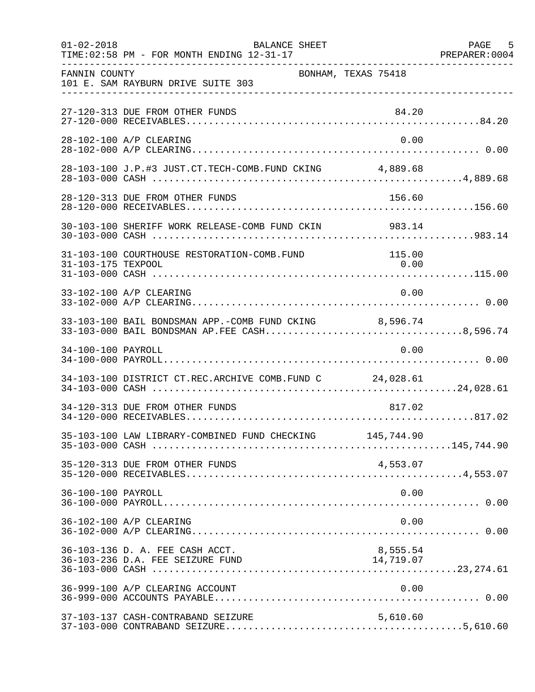| $01 - 02 - 2018$   | <b>BALANCE SHEET</b><br>TIME: 02:58 PM - FOR MONTH ENDING 12-31-17                                     |                       | PAGE 5 |
|--------------------|--------------------------------------------------------------------------------------------------------|-----------------------|--------|
| FANNIN COUNTY      | 101 E. SAM RAYBURN DRIVE SUITE 303                                                                     | BONHAM, TEXAS 75418   |        |
|                    | 27-120-313 DUE FROM OTHER FUNDS                                                                        | 84.20                 |        |
|                    | 28-102-100 A/P CLEARING                                                                                | 0.00                  |        |
|                    | 28-103-100 J.P.#3 JUST.CT.TECH-COMB.FUND CKING 4,889.68                                                |                       |        |
|                    | 28-120-313 DUE FROM OTHER FUNDS                                                                        | 156.60                |        |
|                    |                                                                                                        |                       |        |
| 31-103-175 TEXPOOL | 31-103-100 COURTHOUSE RESTORATION-COMB.FUND                                                            | 115.00<br>0.00        |        |
|                    | 33-102-100 A/P CLEARING                                                                                | 0.00                  |        |
|                    | 33-103-100 BAIL BONDSMAN APP.-COMB FUND CKING 8,596.74<br>33-103-000 BAIL BONDSMAN AP.FEE CASH8,596.74 |                       |        |
| 34-100-100 PAYROLL |                                                                                                        | 0.00                  |        |
|                    | 34-103-100 DISTRICT CT.REC.ARCHIVE COMB.FUND C 24,028.61                                               |                       |        |
|                    | 34-120-313 DUE FROM OTHER FUNDS                                                                        | 817.02                |        |
|                    | 35-103-100 LAW LIBRARY-COMBINED FUND CHECKING 145,744.90                                               |                       |        |
|                    | 35-120-313 DUE FROM OTHER FUNDS                                                                        | 4,553.07              |        |
| 36-100-100 PAYROLL |                                                                                                        | 0.00                  |        |
|                    | 36-102-100 A/P CLEARING                                                                                | 0.00                  |        |
|                    | 36-103-136 D. A. FEE CASH ACCT.<br>36-103-236 D.A. FEE SEIZURE FUND                                    | 8,555.54<br>14,719.07 |        |
|                    | 36-999-100 A/P CLEARING ACCOUNT                                                                        | 0.00                  |        |
|                    | 37-103-137 CASH-CONTRABAND SEIZURE                                                                     | 5,610.60              |        |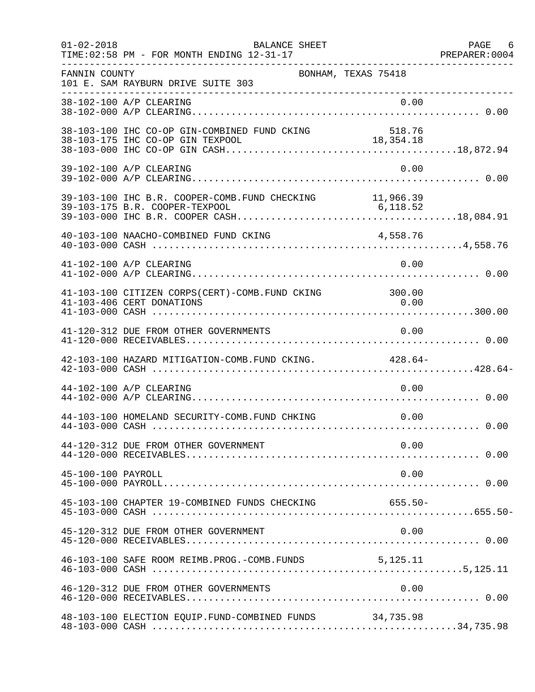| $01 - 02 - 2018$   | BALANCE SHEET<br>TIME: 02:58 PM - FOR MONTH ENDING 12-31-17                         |                     | PAGE 6 |
|--------------------|-------------------------------------------------------------------------------------|---------------------|--------|
| FANNIN COUNTY      | 101 E. SAM RAYBURN DRIVE SUITE 303                                                  | BONHAM, TEXAS 75418 |        |
|                    | 38-102-100 A/P CLEARING                                                             | 0.00                |        |
|                    |                                                                                     |                     |        |
|                    | 39-102-100 A/P CLEARING                                                             | 0.00                |        |
|                    | 39-103-100 IHC B.R. COOPER-COMB. FUND CHECKING 11,966.39                            |                     |        |
|                    | 40-103-100 NAACHO-COMBINED FUND CKING                                               | 4,558.76            |        |
|                    | 41-102-100 A/P CLEARING                                                             | 0.00                |        |
|                    | 41-103-100 CITIZEN CORPS(CERT)-COMB. FUND CKING 300.00<br>41-103-406 CERT DONATIONS | 0.00                |        |
|                    | 41-120-312 DUE FROM OTHER GOVERNMENTS                                               | 0.00                |        |
|                    | 42-103-100 HAZARD MITIGATION-COMB. FUND CKING. 428.64-                              |                     |        |
|                    | 44-102-100 A/P CLEARING                                                             | 0.00                |        |
|                    | 44-103-100 HOMELAND SECURITY-COMB. FUND CHKING                                      | 0.00                |        |
|                    | 44-120-312 DUE FROM OTHER GOVERNMENT                                                | 0.00                |        |
| 45-100-100 PAYROLL |                                                                                     | 0.00                |        |
|                    | 45-103-100 CHAPTER 19-COMBINED FUNDS CHECKING 655.50-                               |                     |        |
|                    | 45-120-312 DUE FROM OTHER GOVERNMENT                                                | 0.00                |        |
|                    | 46-103-100 SAFE ROOM REIMB. PROG. - COMB. FUNDS 5, 125.11                           |                     |        |
|                    | 46-120-312 DUE FROM OTHER GOVERNMENTS                                               | 0.00                |        |
|                    | 48-103-100 ELECTION EQUIP.FUND-COMBINED FUNDS 34,735.98                             |                     |        |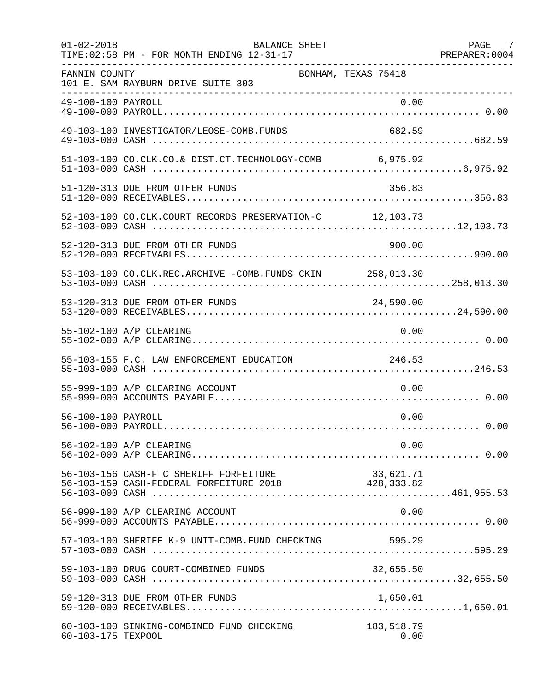| $01 - 02 - 2018$   | BALANCE SHEET<br>TIME: 02:58 PM - FOR MONTH ENDING 12-31-17                               |                     | PAGE 7 |
|--------------------|-------------------------------------------------------------------------------------------|---------------------|--------|
| FANNIN COUNTY      | 101 E. SAM RAYBURN DRIVE SUITE 303                                                        | BONHAM, TEXAS 75418 |        |
|                    |                                                                                           |                     |        |
|                    | 49-103-100 INVESTIGATOR/LEOSE-COMB.FUNDS                                                  | 682.59              |        |
|                    | 51-103-100 CO.CLK.CO.& DIST.CT.TECHNOLOGY-COMB 6,975.92                                   |                     |        |
|                    | 51-120-313 DUE FROM OTHER FUNDS                                                           | 356.83              |        |
|                    | 52-103-100 CO.CLK.COURT RECORDS PRESERVATION-C 12,103.73                                  |                     |        |
|                    | 52-120-313 DUE FROM OTHER FUNDS                                                           | 900.00              |        |
|                    | 53-103-100 CO.CLK.REC.ARCHIVE -COMB.FUNDS CKIN 258,013.30                                 |                     |        |
|                    | 53-120-313 DUE FROM OTHER FUNDS                                                           | 24,590.00           |        |
|                    | 55-102-100 A/P CLEARING                                                                   | 0.00                |        |
|                    | 55-103-155 F.C. LAW ENFORCEMENT EDUCATION                                                 | 246.53              |        |
|                    | 55-999-100 A/P CLEARING ACCOUNT                                                           | 0.00                |        |
| 56-100-100 PAYROLL |                                                                                           | 0.00                |        |
|                    | 56-102-100 A/P CLEARING                                                                   | 0.00                |        |
|                    | 56-103-156 CASH-F C SHERIFF FORFEITURE 66-103-159 CASH-FEDERAL FORFEITURE 2018 428,333.82 |                     |        |
|                    | 56-999-100 A/P CLEARING ACCOUNT                                                           | 0.00                |        |
|                    | 57-103-100 SHERIFF K-9 UNIT-COMB.FUND CHECKING                                            | 595.29              |        |
|                    | 59-103-100 DRUG COURT-COMBINED FUNDS                                                      | 32,655.50           |        |
|                    | 59-120-313 DUE FROM OTHER FUNDS                                                           |                     |        |
| 60-103-175 TEXPOOL | 60-103-100 SINKING-COMBINED FUND CHECKING                                                 | 183,518.79<br>0.00  |        |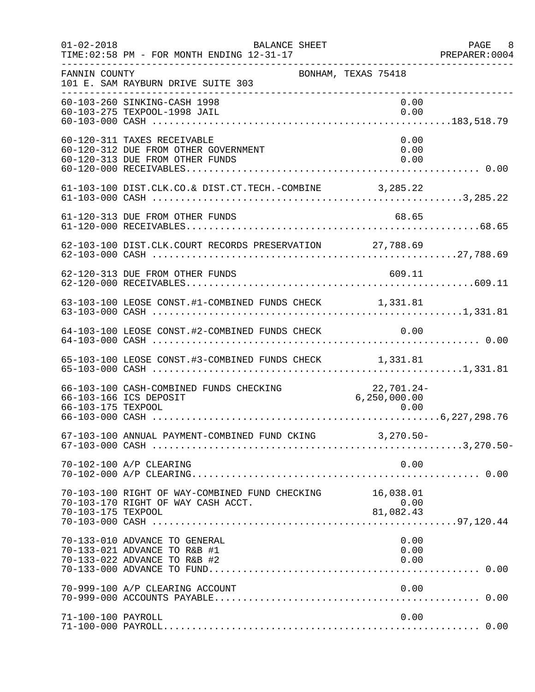| $01 - 02 - 2018$   | BALANCE SHEET<br>TIME: 02:58 PM - FOR MONTH ENDING 12-31-17                                            | -------------------------------------- | PAGE 8<br>PREPARER: 0004 |
|--------------------|--------------------------------------------------------------------------------------------------------|----------------------------------------|--------------------------|
| FANNIN COUNTY      | 101 E. SAM RAYBURN DRIVE SUITE 303                                                                     | BONHAM, TEXAS 75418                    |                          |
|                    | 60-103-260 SINKING-CASH 1998<br>60-103-275 TEXPOOL-1998 JAIL                                           | 0.00<br>0.00                           |                          |
|                    | 60-120-311 TAXES RECEIVABLE<br>60-120-312 DUE FROM OTHER GOVERNMENT<br>60-120-313 DUE FROM OTHER FUNDS | 0.00<br>0.00<br>0.00                   |                          |
|                    | 61-103-100 DIST.CLK.CO.& DIST.CT.TECH.-COMBINE 3,285.22                                                |                                        |                          |
|                    | 61-120-313 DUE FROM OTHER FUNDS                                                                        | 68.65                                  |                          |
|                    | 62-103-100 DIST.CLK.COURT RECORDS PRESERVATION 27,788.69                                               |                                        |                          |
|                    | 62-120-313 DUE FROM OTHER FUNDS                                                                        | 609.11                                 |                          |
|                    | 63-103-100 LEOSE CONST.#1-COMBINED FUNDS CHECK 1,331.81                                                |                                        |                          |
|                    | 64-103-100 LEOSE CONST.#2-COMBINED FUNDS CHECK 0.00                                                    |                                        |                          |
|                    | 65-103-100 LEOSE CONST.#3-COMBINED FUNDS CHECK 1,331.81                                                |                                        |                          |
| 66-103-175 TEXPOOL | 66-103-100 CASH-COMBINED FUNDS CHECKING<br>66-103-166 ICS DEPOSIT                                      | $22,701.24-$<br>6,250,000.00<br>0.00   |                          |
|                    | 67-103-100 ANNUAL PAYMENT-COMBINED FUND CKING 3,270.50-                                                |                                        |                          |
|                    | 70-102-100 A/P CLEARING                                                                                | 0.00                                   |                          |
| 70-103-175 TEXPOOL | 70-103-100 RIGHT OF WAY-COMBINED FUND CHECKING 16,038.01<br>70-103-170 RIGHT OF WAY CASH ACCT.         | 0.00<br>81,082.43                      |                          |
|                    | 70-133-010 ADVANCE TO GENERAL<br>70-133-021 ADVANCE TO R&B #1<br>70-133-022 ADVANCE TO R&B #2          | 0.00<br>0.00<br>0.00                   |                          |
|                    | 70-999-100 A/P CLEARING ACCOUNT                                                                        | 0.00                                   |                          |
| 71-100-100 PAYROLL |                                                                                                        | 0.00                                   |                          |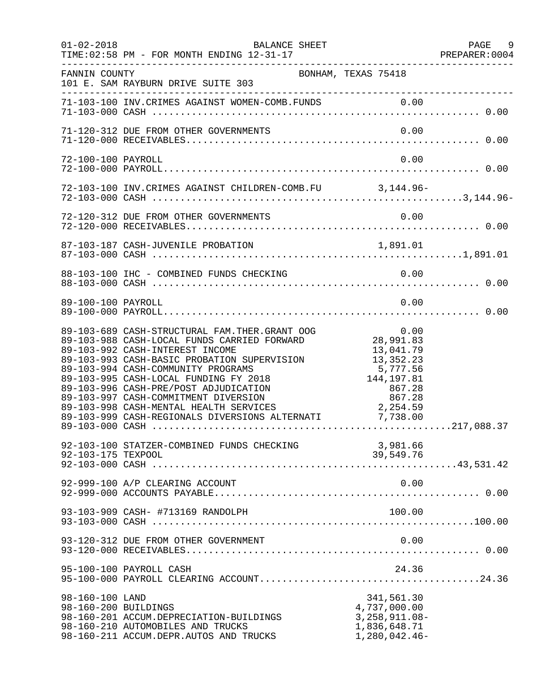| $01 - 02 - 2018$                        | BALANCE SHEET<br>TIME: 02:58 PM - FOR MONTH ENDING 12-31-17<br>------------------------                                                                                                                                                                                                                                                                                                                                                                                 |                                                                                                                 | PAGE 9<br>PREPARER: 0004 |
|-----------------------------------------|-------------------------------------------------------------------------------------------------------------------------------------------------------------------------------------------------------------------------------------------------------------------------------------------------------------------------------------------------------------------------------------------------------------------------------------------------------------------------|-----------------------------------------------------------------------------------------------------------------|--------------------------|
| FANNIN COUNTY                           | BONHAM, TEXAS 75418<br>101 E. SAM RAYBURN DRIVE SUITE 303                                                                                                                                                                                                                                                                                                                                                                                                               |                                                                                                                 |                          |
|                                         |                                                                                                                                                                                                                                                                                                                                                                                                                                                                         |                                                                                                                 |                          |
|                                         | 71-120-312 DUE FROM OTHER GOVERNMENTS                                                                                                                                                                                                                                                                                                                                                                                                                                   | 0.00                                                                                                            |                          |
| 72-100-100 PAYROLL                      |                                                                                                                                                                                                                                                                                                                                                                                                                                                                         | 0.00                                                                                                            |                          |
|                                         | 72-103-100 INV. CRIMES AGAINST CHILDREN-COMB. FU 3, 144.96-                                                                                                                                                                                                                                                                                                                                                                                                             |                                                                                                                 |                          |
|                                         |                                                                                                                                                                                                                                                                                                                                                                                                                                                                         |                                                                                                                 |                          |
|                                         |                                                                                                                                                                                                                                                                                                                                                                                                                                                                         |                                                                                                                 |                          |
|                                         | 88-103-100 IHC - COMBINED FUNDS CHECKING                                                                                                                                                                                                                                                                                                                                                                                                                                | 0.00                                                                                                            |                          |
| 89-100-100 PAYROLL                      |                                                                                                                                                                                                                                                                                                                                                                                                                                                                         | 0.00                                                                                                            |                          |
|                                         | 0.00 89-103-689 CASH-STRUCTURAL FAM.THER.GRANT OOG 0.00<br>89-103-988 CASH-LOCAL FUNDS CARRIED FORWARD 28,991.83<br>89-103-992 CASH-INTEREST INCOME<br>89-103-993 CASH-BASIC PROBATION SUPERVISION<br>89-103-994 CASH-COMMUNITY PROGRAMS<br>89-103-995 CASH-LOCAL FUNDING FY 2018<br>89-103-996 CASH-PRE/POST ADJUDICATION<br>89-103-997 CASH-COMMITMENT DIVERSION<br>89-103-998 CASH-MENTAL HEALTH SERVICES<br>89-103-999 CASH-REGIONALS DIVERSIONS ALTERNATI 7,738.00 | 13,041.79<br>13, 352. 23<br>5,777.56<br>$5\,, 777\,.56 \ 144\,, 197\,.81 \ 867\,.28 \ 867\,.28 \ 2\,, 254\,.59$ |                          |
| 92-103-175 TEXPOOL                      | 92-103-100 STATZER-COMBINED FUNDS CHECKING                                                                                                                                                                                                                                                                                                                                                                                                                              | 3,981.66<br>39,549.76                                                                                           |                          |
|                                         | 92-999-100 A/P CLEARING ACCOUNT                                                                                                                                                                                                                                                                                                                                                                                                                                         | 0.00                                                                                                            |                          |
|                                         | 93-103-909 CASH- #713169 RANDOLPH                                                                                                                                                                                                                                                                                                                                                                                                                                       | 100.00                                                                                                          |                          |
|                                         | 93-120-312 DUE FROM OTHER GOVERNMENT                                                                                                                                                                                                                                                                                                                                                                                                                                    | 0.00                                                                                                            |                          |
|                                         | 95-100-100 PAYROLL CASH                                                                                                                                                                                                                                                                                                                                                                                                                                                 | 24.36                                                                                                           |                          |
| 98-160-100 LAND<br>98-160-200 BUILDINGS | 98-160-201 ACCUM.DEPRECIATION-BUILDINGS<br>98-160-210 AUTOMOBILES AND TRUCKS<br>98-160-211 ACCUM.DEPR.AUTOS AND TRUCKS                                                                                                                                                                                                                                                                                                                                                  | 341,561.30<br>4,737,000.00<br>$3,258,911.08-$<br>1,836,648.71<br>$1,280,042.46-$                                |                          |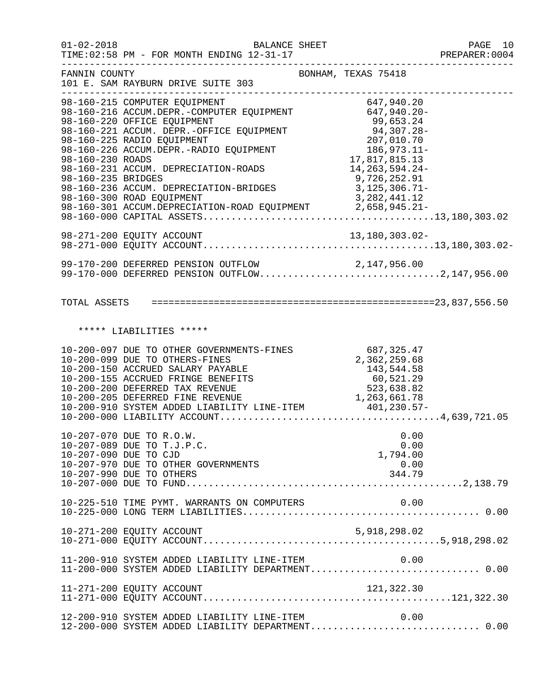| $01 - 02 - 2018$                       | <b>BALANCE SHEET</b><br>TIME: 02:58 PM - FOR MONTH ENDING 12-31-17                                                                                                                                                                                                                                                                                                                                                     |                                                                                                                                             | PAGE 10<br>PREPARER:0004            |
|----------------------------------------|------------------------------------------------------------------------------------------------------------------------------------------------------------------------------------------------------------------------------------------------------------------------------------------------------------------------------------------------------------------------------------------------------------------------|---------------------------------------------------------------------------------------------------------------------------------------------|-------------------------------------|
| FANNIN COUNTY                          | 101 E. SAM RAYBURN DRIVE SUITE 303<br>----------------------                                                                                                                                                                                                                                                                                                                                                           | BONHAM, TEXAS 75418                                                                                                                         | . _ _ _ _ _ _ _ _ _ _ _ _ _ _ _ _ _ |
| 98-160-230 ROADS<br>98-160-235 BRIDGES | 98-160-215 COMPUTER EQUIPMENT<br>98-160-216 ACCUM.DEPR.-COMPUTER EQUIPMENT 647,940.20-<br>98-160-220 OFFICE EQUIPMENT<br>98-160-221 ACCUM. DEPR.-OFFICE EQUIPMENT<br>98-160-225 RADIO EQUIPMENT<br>98-160-226 ACCUM.DEPR.-RADIO EQUIPMENT<br>98-160-231 ACCUM. DEPRECIATION-ROADS<br>98-160-236 ACCUM. DEPRECIATION-BRIDGES<br>98-160-300 ROAD EQUIPMENT<br>98-160-301 ACCUM.DEPRECIATION-ROAD EQUIPMENT 2,658,945.21- | 99,653.24<br>94,307.28-<br>207,010.70<br>186,973.11-<br>17,817,815.13<br>14, 263, 594. 24-<br>9,726,252.91<br>3,125,306.71-<br>3,282,441.12 |                                     |
|                                        |                                                                                                                                                                                                                                                                                                                                                                                                                        |                                                                                                                                             |                                     |
|                                        | 99-170-200 DEFERRED PENSION OUTFLOW 2,147,956.00<br>99-170-000 DEFERRED PENSION OUTFLOW2,147,956.00                                                                                                                                                                                                                                                                                                                    |                                                                                                                                             |                                     |
|                                        |                                                                                                                                                                                                                                                                                                                                                                                                                        |                                                                                                                                             |                                     |
|                                        | ***** LIABILITIES *****                                                                                                                                                                                                                                                                                                                                                                                                |                                                                                                                                             |                                     |
|                                        | 10-200-097 DUE TO OTHER GOVERNMENTS-FINES<br>10-200-099 DUE TO OTHERS-FINES<br>10-200-150 ACCRUED SALARY PAYABLE<br>10-200-155 ACCRUED FRINGE BENEFITS<br>10-200-200 DEFERRED TAX REVENUE<br>10-200-205 DEFERRED FINE REVENUE                                                                                                                                                                                          | 687,325.47<br>2,362,259.68<br>143,544.58<br>60,521.29<br>523,638.82<br>1, 263, 661. 78                                                      |                                     |
|                                        | 10-207-070 DUE TO R.O.W.<br>10-207-089 DUE TO T.J.P.C.<br>10-207-090 DUE TO CJD<br>10-207-970 DUE TO OTHER GOVERNMENTS<br>10-207-990 DUE TO OTHERS                                                                                                                                                                                                                                                                     | 0.00<br>0.00<br>1,794.00<br>0.00<br>344.79                                                                                                  |                                     |
|                                        | 10-225-510 TIME PYMT. WARRANTS ON COMPUTERS                                                                                                                                                                                                                                                                                                                                                                            | 0.00                                                                                                                                        |                                     |
|                                        | 10-271-200 EQUITY ACCOUNT                                                                                                                                                                                                                                                                                                                                                                                              | 5,918,298.02                                                                                                                                |                                     |
|                                        | 11-200-910 SYSTEM ADDED LIABILITY LINE-ITEM 0.00<br>11-200-000 SYSTEM ADDED LIABILITY DEPARTMENT 0.00                                                                                                                                                                                                                                                                                                                  |                                                                                                                                             |                                     |
|                                        | 11-271-200 EQUITY ACCOUNT                                                                                                                                                                                                                                                                                                                                                                                              | 121,322.30                                                                                                                                  |                                     |
|                                        | 12-200-910 SYSTEM ADDED LIABILITY LINE-ITEM<br>12-200-000 SYSTEM ADDED LIABILITY DEPARTMENT 0.00                                                                                                                                                                                                                                                                                                                       | 0.00                                                                                                                                        |                                     |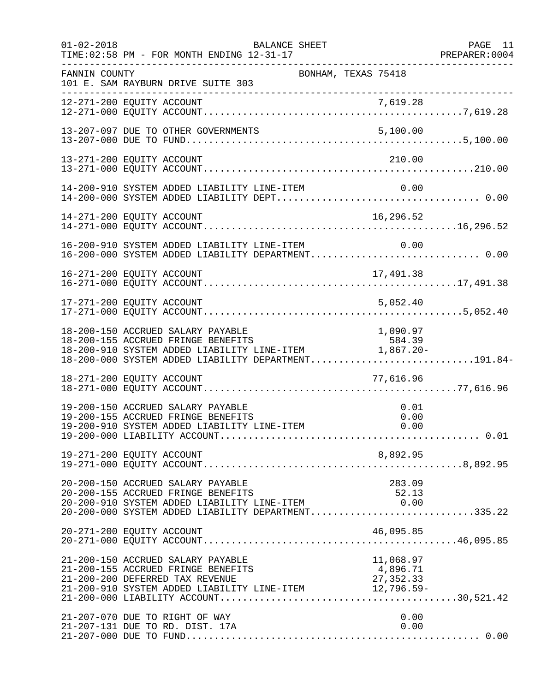| $01 - 02 - 2018$ | BALANCE SHEET<br>TIME: 02:58 PM - FOR MONTH ENDING 12-31-17                                                                                                                                                         |                                    | PAGE 11<br>PREPARER: 0004 |
|------------------|---------------------------------------------------------------------------------------------------------------------------------------------------------------------------------------------------------------------|------------------------------------|---------------------------|
| FANNIN COUNTY    | BONHAM, TEXAS 75418<br>101 E. SAM RAYBURN DRIVE SUITE 303                                                                                                                                                           |                                    |                           |
|                  |                                                                                                                                                                                                                     |                                    |                           |
|                  |                                                                                                                                                                                                                     |                                    |                           |
|                  | 13-271-200 EQUITY ACCOUNT                                                                                                                                                                                           | 210.00                             |                           |
|                  | 14-200-910 SYSTEM ADDED LIABILITY LINE-ITEM                                                                                                                                                                         | 0.00                               |                           |
|                  | 14-271-200 EQUITY ACCOUNT                                                                                                                                                                                           | 16,296.52                          |                           |
|                  | 16-200-910 SYSTEM ADDED LIABILITY LINE-ITEM                                                                                                                                                                         | 0.00                               |                           |
|                  | 16-271-200 EQUITY ACCOUNT                                                                                                                                                                                           | 17,491.38                          |                           |
|                  | 17-271-200 EQUITY ACCOUNT                                                                                                                                                                                           | 5,052.40                           |                           |
|                  | 18-200-150 ACCRUED SALARY PAYABLE<br>18-200-155 ACCRUED FRINGE BENEFITS<br>18-200-910 SYSTEM ADDED LIABILITY LINE-ITEM 1,867.20-<br>18-200-000 SYSTEM ADDED LIABILITY DEPARTMENT191.84-                             | 1,090.97                           |                           |
|                  | 18-271-200 EQUITY ACCOUNT                                                                                                                                                                                           | 77,616.96                          |                           |
|                  | 19-200-150 ACCRUED SALARY PAYABLE<br>19-200-155 ACCRUED FRINGE BENEFITS<br>19-200-910 SYSTEM ADDED LIABILITY LINE-ITEM                                                                                              | 0.01<br>0.00<br>0.00               |                           |
|                  | 19-271-200 EQUITY ACCOUNT                                                                                                                                                                                           | 8,892.95                           |                           |
|                  | 20-200-150 ACCRUED SALARY PAYABLE<br>20-200-155 ACCRUED FRINGE BENEFITS<br>20-200-910 SYSTEM ADDED LIABILITY LINE-ITEM<br>20-200-000 SYSTEM ADDED LIABILITY DEPARTMENT335.22                                        | 283.09<br>52.13<br>0.00            |                           |
|                  | 20-271-200 EQUITY ACCOUNT                                                                                                                                                                                           | 46,095.85                          |                           |
|                  | 21-200-150 ACCRUED SALARY PAYABLE<br>21-200-155 ACCRUED FRINGE BENEFITS<br>21-200-200 DEFERRED TAX REVENUE<br>21-200-200 DEFERRED TAX REVENUE<br>21-200-910 SYSTEM ADDED LIABILITY LINE-ITEM $\frac{27}{3526.59}$ - | 11,068.97<br>4,896.71<br>27,352.33 |                           |
|                  | 21-207-070 DUE TO RIGHT OF WAY<br>21-207-131 DUE TO RD. DIST. 17A                                                                                                                                                   | 0.00<br>0.00                       |                           |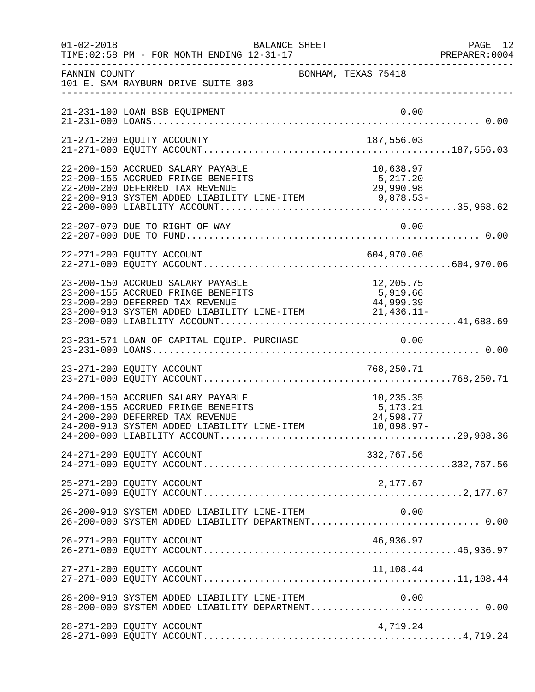| $01 - 02 - 2018$ | BALANCE SHEET<br>TIME: 02:58 PM - FOR MONTH ENDING 12-31-17                                                                                                                                                             |                                                    | PAGE 12<br>PREPARER: 0004 |
|------------------|-------------------------------------------------------------------------------------------------------------------------------------------------------------------------------------------------------------------------|----------------------------------------------------|---------------------------|
| FANNIN COUNTY    | BONHAM, TEXAS 75418<br>101 E. SAM RAYBURN DRIVE SUITE 303                                                                                                                                                               |                                                    |                           |
|                  | 21-231-100 LOAN BSB EQUIPMENT                                                                                                                                                                                           | 0.00                                               |                           |
|                  | 21-271-200 EQUITY ACCOUNTY                                                                                                                                                                                              | 187,556.03                                         |                           |
|                  | 22-200-150 ACCRUED SALARY PAYABLE<br>22-200-155 ACCRUED FRINGE BENEFITS<br>22-200-200 DEFERRED TAX REVENUE<br>22-200-200 DEFERRED TAX REVENUE<br>22-200-910 SYSTEM ADDED LIABILITY LINE-ITEM 9,878.53-                  | 10,638.97<br>5,217.20<br>29,990.98                 |                           |
|                  | 22-207-070 DUE TO RIGHT OF WAY                                                                                                                                                                                          | 0.00                                               |                           |
|                  | 22-271-200 EQUITY ACCOUNT                                                                                                                                                                                               |                                                    |                           |
|                  | 23-200-150 ACCRUED SALARY PAYABLE<br>23-200-200 DEFERRED TAX REVENUE<br>23-200-910 SYSTEM ADDED LIABILITY LINE-ITEM 44,999.39<br>23-200-910 SYSTEM ADDED LIABILITY LINE-ITEM 21,436.11-<br>23-200-000 LIABILITY ACCOUNT | 12,205.75                                          |                           |
|                  |                                                                                                                                                                                                                         |                                                    |                           |
|                  |                                                                                                                                                                                                                         |                                                    |                           |
|                  | 24-200-150 ACCRUED SALARY PAYABLE<br>24-200-155 ACCRUED FRINGE BENEFITS<br>24-200-200 DEFERRED TAX REVENUE<br>24-200-910 SYSTEM ADDED LIABILITY LINE-ITEM                                                               | 10,235.35<br>5,173.21<br>24,598.77<br>$10,098.97-$ |                           |
|                  | 24-271-200 EQUITY ACCOUNT                                                                                                                                                                                               | 332,767.56                                         |                           |
|                  | 25-271-200 EQUITY ACCOUNT                                                                                                                                                                                               | 2,177.67                                           |                           |
|                  | 26-200-910 SYSTEM ADDED LIABILITY LINE-ITEM<br>26-200-000 SYSTEM ADDED LIABILITY DEPARTMENT 0.00                                                                                                                        | 0.00                                               |                           |
|                  | 26-271-200 EQUITY ACCOUNT                                                                                                                                                                                               | 46,936.97                                          |                           |
|                  | 27-271-200 EQUITY ACCOUNT                                                                                                                                                                                               | 11,108.44                                          |                           |
|                  | 28-200-910 SYSTEM ADDED LIABILITY LINE-ITEM                                                                                                                                                                             | 0.00                                               |                           |
|                  | 28-271-200 EQUITY ACCOUNT                                                                                                                                                                                               | 4,719.24                                           |                           |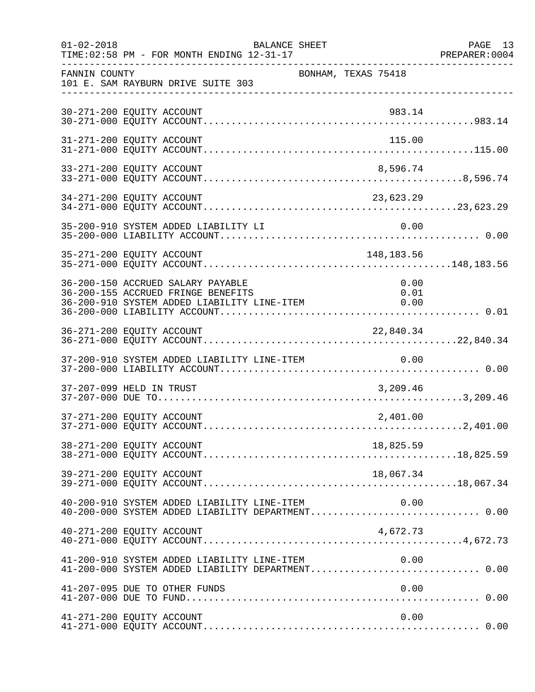| $01 - 02 - 2018$ | BALANCE SHEET<br>TIME: 02:58 PM - FOR MONTH ENDING 12-31-17                                                            |                      | PAGE 13<br>PREPARER: 0004 |
|------------------|------------------------------------------------------------------------------------------------------------------------|----------------------|---------------------------|
| FANNIN COUNTY    | 101 E. SAM RAYBURN DRIVE SUITE 303                                                                                     | BONHAM, TEXAS 75418  |                           |
|                  | 30-271-200 EQUITY ACCOUNT                                                                                              | 983.14               |                           |
|                  | 31-271-200 EQUITY ACCOUNT                                                                                              | 115.00               |                           |
|                  | 33-271-200 EQUITY ACCOUNT                                                                                              | 8,596.74             |                           |
|                  | 34-271-200 EQUITY ACCOUNT                                                                                              | 23,623.29            |                           |
|                  | 35-200-910 SYSTEM ADDED LIABILITY LI                                                                                   | 0.00                 |                           |
|                  | 35-271-200 EQUITY ACCOUNT                                                                                              | 148,183.56           |                           |
|                  | 36-200-150 ACCRUED SALARY PAYABLE<br>36-200-155 ACCRUED FRINGE BENEFITS<br>36-200-910 SYSTEM ADDED LIABILITY LINE-ITEM | 0.00<br>0.01<br>0.00 |                           |
|                  | 36-271-200 EQUITY ACCOUNT                                                                                              | 22,840.34            |                           |
|                  | 37-200-910 SYSTEM ADDED LIABILITY LINE-ITEM                                                                            | 0.00                 |                           |
|                  | 37-207-099 HELD IN TRUST                                                                                               | 3,209.46             |                           |
|                  | 37-271-200 EQUITY ACCOUNT                                                                                              | 2,401.00             |                           |
|                  | 38-271-200 EQUITY ACCOUNT                                                                                              | 18,825.59            |                           |
|                  | 39-271-200 EQUITY ACCOUNT                                                                                              | 18,067.34            |                           |
|                  | 40-200-910 SYSTEM ADDED LIABILITY LINE-ITEM                                                                            | 0.00                 |                           |
|                  | 40-271-200 EQUITY ACCOUNT                                                                                              | 4,672.73             |                           |
|                  | 41-200-910 SYSTEM ADDED LIABILITY LINE-ITEM<br>41-200-000 SYSTEM ADDED LIABILITY DEPARTMENT 0.00                       | 0.00                 |                           |
|                  | 41-207-095 DUE TO OTHER FUNDS                                                                                          | 0.00                 |                           |
|                  | 41-271-200 EQUITY ACCOUNT                                                                                              | 0.00                 |                           |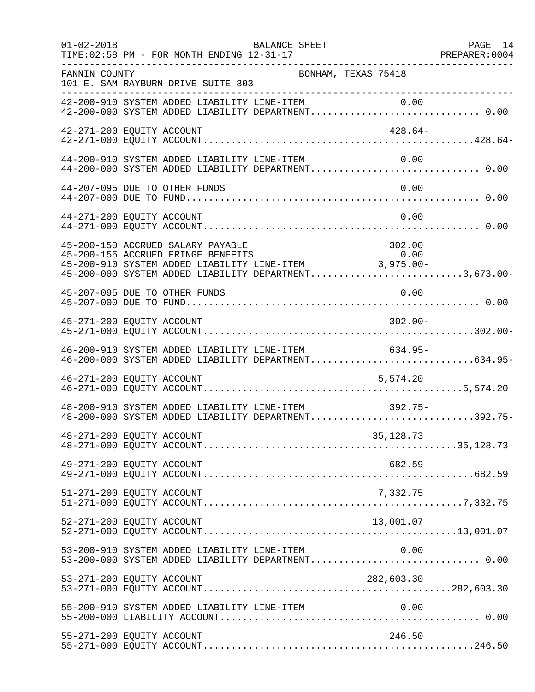| $01 - 02 - 2018$ | BALANCE SHEET<br>PREPARER: 0004<br>TIME: 02:58 PM - FOR MONTH ENDING 12-31-17                                                                                                                                                       | PAGE 14 |
|------------------|-------------------------------------------------------------------------------------------------------------------------------------------------------------------------------------------------------------------------------------|---------|
| FANNIN COUNTY    | BONHAM, TEXAS 75418<br>101 E. SAM RAYBURN DRIVE SUITE 303                                                                                                                                                                           |         |
|                  | 42-200-910 SYSTEM ADDED LIABILITY LINE-ITEM 0.00<br>42-200-000 SYSTEM ADDED LIABILITY DEPARTMENT 0.00                                                                                                                               |         |
|                  | 42-271-200 EQUITY ACCOUNT<br>$428.64-$                                                                                                                                                                                              |         |
|                  | 44-200-910 SYSTEM ADDED LIABILITY LINE-ITEM<br>0.00<br>44-200-000 SYSTEM ADDED LIABILITY DEPARTMENT 0.00                                                                                                                            |         |
|                  | 0.00<br>44-207-095 DUE TO OTHER FUNDS                                                                                                                                                                                               |         |
|                  | 0.00<br>44-271-200 EQUITY ACCOUNT                                                                                                                                                                                                   |         |
|                  | 45-200-150 ACCRUED SALARY PAYABLE<br>45-200-150 ACCRUED SALARY PAYABLE<br>45-200-155 ACCRUED FRINGE BENEFITS 0.00<br>45-200-910 SYSTEM ADDED LIABILITY LINE-ITEM 3,975.00-<br>45-200-000 SYSTEM ADDED LIABILITY DEPARTMENT3,673.00- |         |
|                  | 0.00<br>45-207-095 DUE TO OTHER FUNDS                                                                                                                                                                                               |         |
|                  | $302.00 -$<br>45-271-200 EQUITY ACCOUNT                                                                                                                                                                                             |         |
|                  | 46-200-910 SYSTEM ADDED LIABILITY LINE-ITEM 634.95-<br>46-200-000 SYSTEM ADDED LIABILITY DEPARTMENT634.95-                                                                                                                          |         |
|                  | 46-271-200 EQUITY ACCOUNT<br>5,574.20                                                                                                                                                                                               |         |
|                  | 48-200-910 SYSTEM ADDED LIABILITY LINE-ITEM<br>$392.75-$<br>48-200-000 SYSTEM ADDED LIABILITY DEPARTMENT392.75-                                                                                                                     |         |
|                  | 48-271-200 EQUITY ACCOUNT<br>35,128.73                                                                                                                                                                                              |         |
|                  | 49-271-200 EQUITY ACCOUNT<br>682.59                                                                                                                                                                                                 |         |
|                  | 51-271-200 EQUITY ACCOUNT<br>7,332.75                                                                                                                                                                                               |         |
|                  | 52-271-200 EQUITY ACCOUNT<br>13,001.07                                                                                                                                                                                              |         |
|                  | 53-200-910 SYSTEM ADDED LIABILITY LINE-ITEM<br>0.00<br>53-200-000 SYSTEM ADDED LIABILITY DEPARTMENT 0.00                                                                                                                            |         |
|                  | 53-271-200 EQUITY ACCOUNT<br>282,603.30                                                                                                                                                                                             |         |
|                  | 55-200-910 SYSTEM ADDED LIABILITY LINE-ITEM<br>0.00                                                                                                                                                                                 |         |
|                  | 55-271-200 EQUITY ACCOUNT<br>246.50                                                                                                                                                                                                 |         |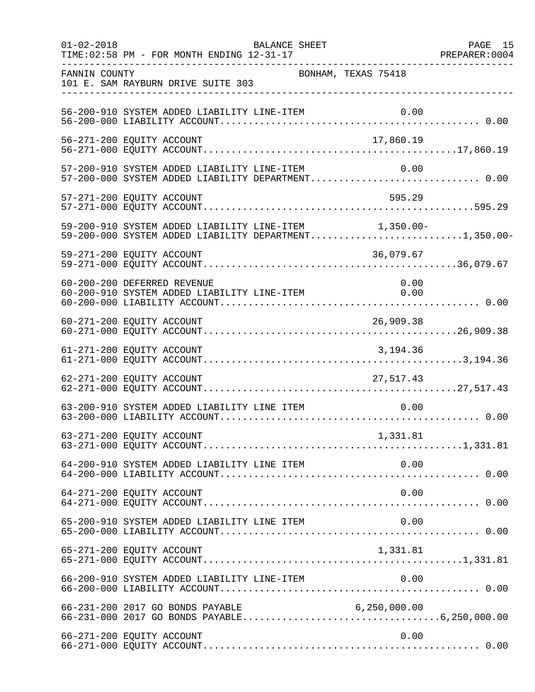| $01 - 02 - 2018$ | BALANCE SHEET                                                                                                  |                     | PAGE 15 |
|------------------|----------------------------------------------------------------------------------------------------------------|---------------------|---------|
| FANNIN COUNTY    | 101 E. SAM RAYBURN DRIVE SUITE 303                                                                             | BONHAM, TEXAS 75418 |         |
|                  | 56-200-910 SYSTEM ADDED LIABILITY LINE-ITEM                                                                    |                     |         |
|                  | 56-271-200 EQUITY ACCOUNT                                                                                      | 17,860.19           |         |
|                  | 57-200-910 SYSTEM ADDED LIABILITY LINE-ITEM<br>57-200-000 SYSTEM ADDED LIABILITY DEPARTMENT 0.00               | 0.00                |         |
|                  | 57-271-200 EQUITY ACCOUNT                                                                                      | 595.29              |         |
|                  | 59-200-910 SYSTEM ADDED LIABILITY LINE-ITEM 1,350.00-<br>59-200-000 SYSTEM ADDED LIABILITY DEPARTMENT1,350.00- |                     |         |
|                  | 59-271-200 EQUITY ACCOUNT                                                                                      | 36,079.67           |         |
|                  | 60-200-200 DEFERRED REVENUE<br>60-200-910 SYSTEM ADDED LIABILITY LINE-ITEM 0.00                                | 0.00                |         |
|                  |                                                                                                                |                     |         |
|                  | 61-271-200 EQUITY ACCOUNT                                                                                      | 3,194.36            |         |
|                  | 62-271-200 EQUITY ACCOUNT                                                                                      | 27, 517. 43         |         |
|                  | 63-200-910 SYSTEM ADDED LIABILITY LINE ITEM                                                                    | 0.00                |         |
|                  | 63-271-200 EQUITY ACCOUNT                                                                                      | 1,331.81            |         |
|                  |                                                                                                                |                     |         |
|                  | 64-271-200 EQUITY ACCOUNT                                                                                      | 0.00                |         |
|                  | 65-200-910 SYSTEM ADDED LIABILITY LINE ITEM                                                                    | 0.00                |         |
|                  | 65-271-200 EQUITY ACCOUNT                                                                                      | 1,331.81            |         |
|                  |                                                                                                                |                     |         |
|                  |                                                                                                                |                     |         |
|                  | 66-271-200 EQUITY ACCOUNT                                                                                      | 0.00                |         |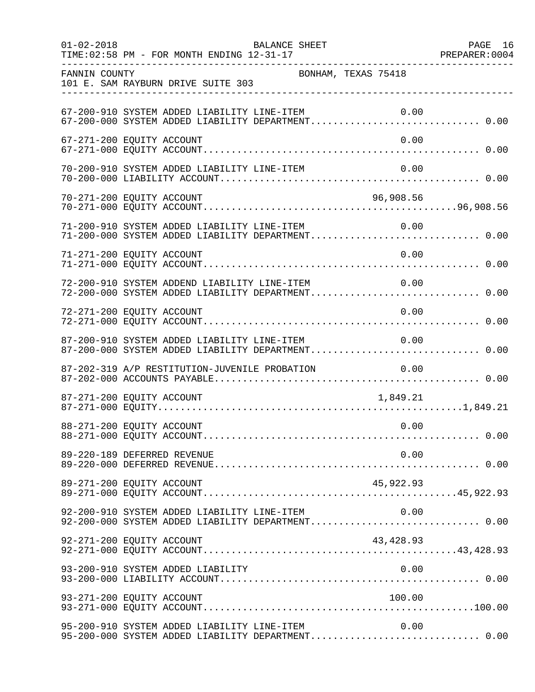| $01 - 02 - 2018$ | BALANCE SHEET<br>TIME: 02:58 PM - FOR MONTH ENDING 12-31-17                                               | PAGE 16 |
|------------------|-----------------------------------------------------------------------------------------------------------|---------|
| FANNIN COUNTY    | BONHAM, TEXAS 75418<br>101 E. SAM RAYBURN DRIVE SUITE 303                                                 |         |
|                  | 67-200-910 SYSTEM ADDED LIABILITY LINE-ITEM<br>0.00                                                       |         |
|                  | 67-271-200 EQUITY ACCOUNT<br>0.00                                                                         |         |
|                  | 70-200-910 SYSTEM ADDED LIABILITY LINE-ITEM<br>0.00                                                       |         |
|                  | 96,908.56<br>70-271-200 EQUITY ACCOUNT                                                                    |         |
|                  | 71-200-910 SYSTEM ADDED LIABILITY LINE-ITEM<br>0.00<br>71-200-000 SYSTEM ADDED LIABILITY DEPARTMENT 0.00  |         |
|                  | 71-271-200 EQUITY ACCOUNT<br>0.00                                                                         |         |
|                  | 72-200-910 SYSTEM ADDEND LIABILITY LINE-ITEM<br>0.00<br>72-200-000 SYSTEM ADDED LIABILITY DEPARTMENT 0.00 |         |
|                  | 0.00<br>72-271-200 EQUITY ACCOUNT                                                                         |         |
|                  | 87-200-910 SYSTEM ADDED LIABILITY LINE-ITEM<br>0.00<br>87-200-000 SYSTEM ADDED LIABILITY DEPARTMENT 0.00  |         |
|                  | 87-202-319 A/P RESTITUTION-JUVENILE PROBATION<br>0.00                                                     |         |
|                  | 87-271-200 EQUITY ACCOUNT<br>1,849.21                                                                     |         |
|                  | 88-271-200 EQUITY ACCOUNT<br>0.00                                                                         |         |
|                  | 0.00<br>89-220-189 DEFERRED REVENUE                                                                       |         |
|                  | 89-271-200 EQUITY ACCOUNT<br>45,922.93                                                                    |         |
|                  | 92-200-910 SYSTEM ADDED LIABILITY LINE-ITEM<br>0.00<br>92-200-000 SYSTEM ADDED LIABILITY DEPARTMENT 0.00  |         |
|                  | 43, 428.93<br>92-271-200 EQUITY ACCOUNT                                                                   |         |
|                  | 0.00<br>93-200-910 SYSTEM ADDED LIABILITY                                                                 |         |
|                  | 93-271-200 EQUITY ACCOUNT<br>100.00                                                                       |         |
|                  | 95-200-910 SYSTEM ADDED LIABILITY LINE-ITEM<br>0.00<br>95-200-000 SYSTEM ADDED LIABILITY DEPARTMENT 0.00  |         |